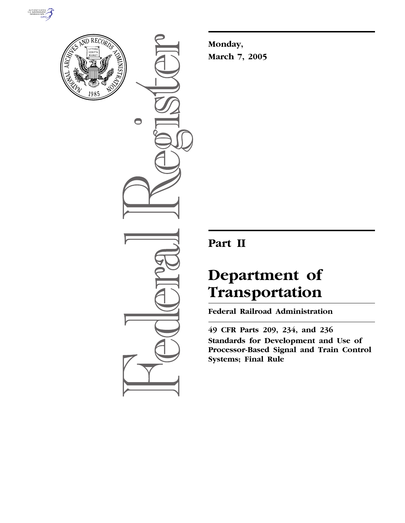



 $\bigcirc$ 

**Monday, March 7, 2005**

## **Part II**

# **Department of Transportation**

**Federal Railroad Administration** 

**49 CFR Parts 209, 234, and 236 Standards for Development and Use of Processor-Based Signal and Train Control Systems; Final Rule**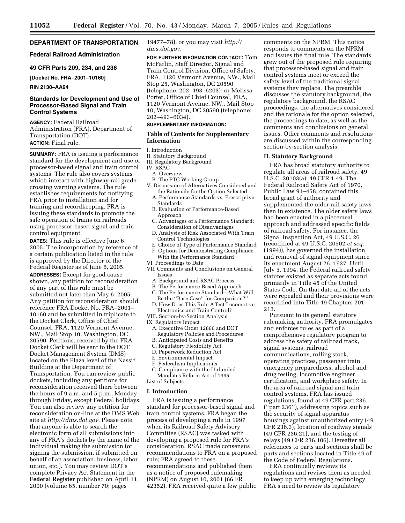#### **DEPARTMENT OF TRANSPORTATION**

#### **Federal Railroad Administration**

**49 CFR Parts 209, 234, and 236**

**[Docket No. FRA–2001–10160]** 

#### **RIN 2130–AA94**

#### **Standards for Development and Use of Processor-Based Signal and Train Control Systems**

**AGENCY:** Federal Railroad Administration (FRA), Department of Transportation (DOT). **ACTION:** Final rule.

**SUMMARY:** FRA is issuing a performance standard for the development and use of processor-based signal and train control systems. The rule also covers systems which interact with highway-rail gradecrossing warning systems. The rule establishes requirements for notifying FRA prior to installation and for training and recordkeeping. FRA is issuing these standards to promote the safe operation of trains on railroads using processor-based signal and train control equipment.

**DATES:** This rule is effective June 6, 2005. The incorporation by reference of a certain publication listed in the rule is approved by the Director of the Federal Register as of June 6, 2005.

**ADDRESSES:** Except for good cause shown, any petition for reconsideration of any part of this rule must be submitted not later than May 6, 2005. Any petition for reconsideration should reference FRA Docket No. FRA–2001– 10160 and be submitted in triplicate to the Docket Clerk, Office of Chief Counsel, FRA, 1120 Vermont Avenue, NW., Mail Stop 10, Washington, DC 20590. Petitions, received by the FRA Docket Clerk will be sent to the DOT Docket Management System (DMS) located on the Plaza level of the Nassif Building at the Department of Transportation. You can review public dockets, including any petitions for reconsideration received there between the hours of 9 a.m. and 5 p.m., Monday through Friday, except Federal holidays. You can also review any petition for reconsideration on-line at the DMS Web site at *http://dms.dot.gov.* Please note that anyone is able to search the electronic form of all submissions into any of FRA's dockets by the name of the individual making the submission (or signing the submission, if submitted on behalf of an association, business, labor union, etc.). You may review DOT's complete Privacy Act Statement in the **Federal Register** published on April 11, 2000 (volume 65, number 70; pages

19477–78), or you may visit *http:// dms.dot.gov.*

**FOR FURTHER INFORMATION CONTACT:** Tom McFarlin, Staff Director, Signal and Train Control Division, Office of Safety, FRA, 1120 Vermont Avenue, NW., Mail Stop 25, Washington, DC 20590 (telephone: 202–493–6203); or Melissa Porter, Office of Chief Counsel, FRA, 1120 Vermont Avenue, NW., Mail Stop 10, Washington, DC 20590 (telephone: 202–493–6034).

#### **SUPPLEMENTARY INFORMATION:**

#### **Table of Contents for Supplementary Information**

- I. Introduction
- II. Statutory Background III. Regulatory Background
- IV. RSAC
	- A. Overview
	- B. The PTC Working Group
- V. Discussion of Alternatives Considered and the Rationale for the Option Selected
	- A. Performance Standards vs. Prescriptive Standards
	- B. Evaluation of Performance-Based Approach
	- C. Advantages of a Performance Standard; Consideration of Disadvantages
	- D. Analysis of Risk Associated With Train Control Technologies
- E. Choice of Type of Performance Standard F. Options for Demonstrating Compliance With the Performance Standard
- VI. Proceedings to Date
- VII. Comments and Conclusions on General Issues
	- A. Background and RSAC Process
	- B. The Performance-Based Approach
	- C. The Performance Standard—What Will Be the ''Base Case'' for Comparison?''
- D. How Does This Rule Affect Locomotive Electronics and Train Control?
- VIII. Section-by-Section Analysis
- IX. Regulatory Impact
	- A. Executive Order 12866 and DOT Regulatory Policies and Procedures
- B. Anticipated Costs and Benefits
- C. Regulatory Flexibility Act
- D. Paperwork Reduction Act
- E. Environmental Impact
- F. Federalism Implications

G. Compliance with the Unfunded Mandates Reform Act of 1995 List of Subjects

#### **I. Introduction**

FRA is issuing a performance standard for processor-based signal and train control systems. FRA began the process of developing a rule in 1997 when its Railroad Safety Advisory Committee (RSAC) was tasked with developing a proposed rule for FRA's consideration. RSAC made consensus recommendations to FRA on a proposed rule; FRA agreed to these recommendations and published them as a notice of proposed rulemaking (NPRM) on August 10, 2001 (66 FR 42352). FRA received quite a few public

comments on the NPRM. This notice responds to comments on the NPRM and issues the final rule. The standards grew out of the proposed rule requiring that processor-based signal and train control systems meet or exceed the safety level of the traditional signal systems they replace. The preamble discusses the statutory background, the regulatory background, the RSAC proceedings, the alternatives considered and the rationale for the option selected, the proceedings to date, as well as the comments and conclusions on general issues. Other comments and resolutions are discussed within the corresponding section-by-section analysis.

#### **II. Statutory Background**

FRA has broad statutory authority to regulate all areas of railroad safety. 49 U.S.C. 20103(a); 49 CFR 1.49. The Federal Railroad Safety Act of 1970, Public Law 91–458, contained this broad grant of authority and supplemented the older rail safety laws then in existence. The older safety laws had been enacted in a piecemeal approach and addressed specific fields of railroad safety. For instance, the Signal Inspection Act, 49 U.S.C. 26 (recodified at 49 U.S.C. 20502 *et seq.* (1994)), has governed the installation and removal of signal equipment since its enactment August 26, 1937. Until July 5, 1994, the Federal railroad safety statutes existed as separate acts found primarily in Title 45 of the United States Code. On that date all of the acts were repealed and their provisions were recodified into Title 49 Chapters 201– 213.

Pursuant to its general statutory rulemaking authority, FRA promulgates and enforces rules as part of a comprehensive regulatory program to address the safety of railroad track, signal systems, railroad communications, rolling stock, operating practices, passenger train emergency preparedness, alcohol and drug testing, locomotive engineer certification, and workplace safety. In the area of railroad signal and train control systems, FRA has issued regulations, found at 49 CFR part 236 (''part 236''), addressing topics such as the security of signal apparatus housings against unauthorized entry (49 CFR 236.3), location of roadway signals (49 CFR 236.21), and the testing of relays (49 CFR 236.106). Hereafter all references to parts and sections shall be parts and sections located in Title 49 of the Code of Federal Regulations.

FRA continually reviews its regulations and revises them as needed to keep up with emerging technology. FRA's need to review its regulatory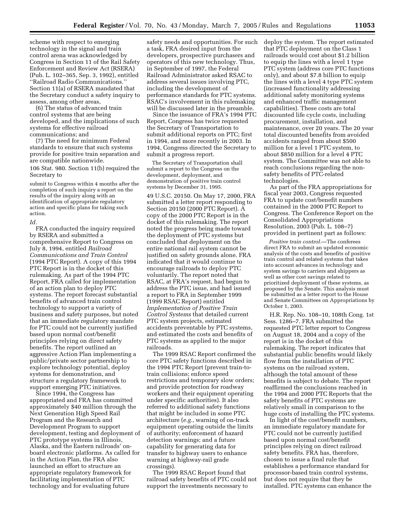scheme with respect to emerging technology in the signal and train control arena was acknowledged by Congress in Section 11 of the Rail Safety Enforcement and Review Act (RSERA) (Pub. L. 102–365, Sep. 3, 1992), entitled ''Railroad Radio Communications.'' Section 11(a) of RSERA mandated that the Secretary conduct a safety inquiry to assess, among other areas,

(6) The status of advanced train control systems that are being developed, and the implications of such systems for effective railroad communications; and

(7) The need for minimum Federal standards to ensure that such systems provide for positive train separation and are compatible nationwide.

106 Stat. 980. Section 11(b) required the Secretary to

submit to Congress within 4 months after the completion of such inquiry a report on the results of the inquiry along with an identification of appropriate regulatory action and specific plans for taking such action.

#### *Id.*

FRA conducted the inquiry required by RSERA and submitted a comprehensive Report to Congress on July 8, 1994, entitled *Railroad Communications and Train Control* (1994 PTC Report). A copy of this 1994 PTC Report is in the docket of this rulemaking. As part of the 1994 PTC Report, FRA called for implementation of an action plan to deploy PTC systems. The report forecast substantial benefits of advanced train control technology to support a variety of business and safety purposes, but noted that an immediate regulatory mandate for PTC could not be currently justified based upon normal cost/benefit principles relying on direct safety benefits. The report outlined an aggressive Action Plan implementing a public/private sector partnership to explore technology potential, deploy systems for demonstration, and structure a regulatory framework to support emerging PTC initiatives.

Since 1994, the Congress has appropriated and FRA has committed approximately \$40 million through the Next Generation High Speed Rail Program and the Research and Development Program to support development, testing and deployment of PTC prototype systems in Illinois, Alaska, and the Eastern railroads' onboard electronic platforms. As called for in the Action Plan, the FRA also launched an effort to structure an appropriate regulatory framework for facilitating implementation of PTC technology and for evaluating future

safety needs and opportunities. For such a task, FRA desired input from the developers, prospective purchasers and operators of this new technology. Thus, in September of 1997, the Federal Railroad Administrator asked RSAC to address several issues involving PTC, including the development of performance standards for PTC systems. RSAC's involvement in this rulemaking will be discussed later in the preamble.

Since the issuance of FRA's 1994 PTC Report, Congress has twice requested the Secretary of Transportation to submit additional reports on PTC; first in 1994, and more recently in 2003. In 1994, Congress directed the Secretary to submit a progress report.

The Secretary of Transportation shall submit a report to the Congress on the development, deployment, and demonstration of positive train control systems by December 31, 1995.

49 U.S.C. 20150. On May 17, 2000, FRA submitted a letter report responding to Section 20150 (2000 PTC Report). A copy of the 2000 PTC Report is in the docket of this rulemaking. The report noted the progress being made toward the deployment of PTC systems but concluded that deployment on the entire national rail system cannot be justified on safety grounds alone. FRA indicated that it would continue to encourage railroads to deploy PTC voluntarily. The report noted that RSAC, at FRA's request, had begun to address the PTC issue, and had issued a report to FRA in September 1999 (1999 RSAC Report) entitled *Implementation of Positive Train Control Systems* that detailed current PTC system projects, estimated accidents preventable by PTC systems, and estimated the costs and benefits of PTC systems as applied to the major railroads.

The 1999 RSAC Report confirmed the core PTC safety functions described in the 1994 PTC Report (prevent train-totrain collisions; enforce speed restrictions and temporary slow orders; and provide protection for roadway workers and their equipment operating under specific authorities). It also referred to additional safety functions that might be included in some PTC architecture (*e.g.*, warning of on-track equipment operating outside the limits of authority; enforcement of hazard detection warnings; and a future capability for generating data for transfer to highway users to enhance warning at highway-rail grade crossings).

The 1999 RSAC Report found that railroad safety benefits of PTC could not support the investments necessary to

deploy the system. The report estimated that PTC deployment on the Class 1 railroads would cost about \$1.2 billion to equip the lines with a level 1 type PTC system (address core PTC functions only), and about \$7.8 billion to equip the lines with a level 4 type PTC system (increased functionality addressing additional safety monitoring systems and enhanced traffic management capabilities). These costs are total discounted life cycle costs, including procurement, installation, and maintenance, over 20 years. The 20 year total discounted benefits from avoided accidents ranged from about \$500 million for a level 1 PTC system, to about \$850 million for a level 4 PTC system. The Committee was not able to reach conclusions regarding the nonsafety benefits of PTC-related technologies.

As part of the FRA appropriations for fiscal year 2003, Congress requested FRA to update cost/benefit numbers contained in the 2000 PTC Report to Congress. The Conference Report on the Consolidated Appropriations Resolution, 2003 (Pub. L. 108–7) provided in pertinent part as follows:

*Positive train control.*—The conferees direct FRA to submit an updated economic analysis of the costs and benefits of positive train control and related systems that takes into account advances in technology and system savings to carriers and shippers as well as other cost savings related to prioritized deployment of these systems, as proposed by the Senate. This analysis must be submitted as a letter report to the House and Senate Committees on Appropriations by October 1, 2003.

H.R. Rep. No. 108–10, 108th Cong. 1st Sess. 1286–7. FRA submitted the requested PTC letter report to Congress on August 18, 2004 and a copy of the report is in the docket of this rulemaking. The report indicates that substantial public benefits would likely flow from the installation of PTC systems on the railroad system, although the total amount of these benefits is subject to debate. The report reaffirmed the conclusions reached in the 1994 and 2000 PTC Reports that the safety benefits of PTC systems are relatively small in comparison to the huge costs of installing the PTC systems.

In light of the cost/benefit numbers, an immediate regulatory mandate for PTC could not be currently justified based upon normal cost/benefit principles relying on direct railroad safety benefits. FRA has, therefore, chosen to issue a final rule that establishes a performance standard for processor-based train control systems, but does not require that they be installed. PTC systems can enhance the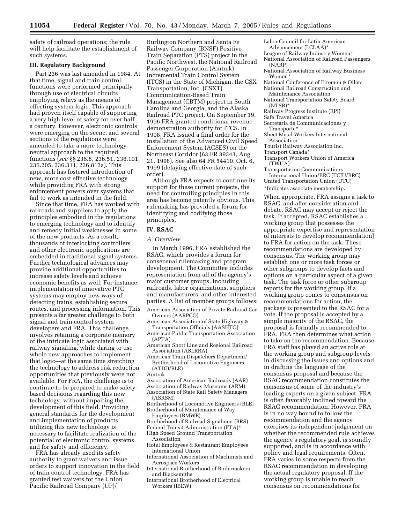safety of railroad operations; the rule will help facilitate the establishment of such systems.

#### **III. Regulatory Background**

Part 236 was last amended in 1984. At that time, signal and train control functions were performed principally through use of electrical circuits employing relays as the means of effecting system logic. This approach had proven itself capable of supporting a very high level of safety for over half a century. However, electronic controls were emerging on the scene, and several sections of the regulations were amended to take a more technologyneutral approach to the required functions (*see* §§ 236.8, 236.51, 236.101, 236.205, 236.311, 236.813a). This approach has fostered introduction of new, more cost effective technology while providing FRA with strong enforcement powers over systems that fail to work as intended in the field.

Since that time, FRA has worked with railroads and suppliers to apply the principles embodied in the regulations to emerging technology and to identify and remedy initial weaknesses in some of the new products. As a result, thousands of interlocking controllers and other electronic applications are embedded in traditional signal systems. Further technological advances may provide additional opportunities to increase safety levels and achieve economic benefits as well. For instance, implementation of innovative PTC systems may employ new ways of detecting trains, establishing secure routes, and processing information. This presents a far greater challenge to both signal and train control system developers and FRA. This challenge involves retaining a corporate memory of the intricate logic associated with railway signaling, while daring to use whole new approaches to implement that logic—at the same time stretching the technology to address risk reduction opportunities that previously were not available. For FRA, the challenge is to continue to be prepared to make safetybased decisions regarding this new technology, without impairing the development of this field. Providing general standards for the development and implementation of products utilizing this new technology is necessary to facilitate realization of the potential of electronic control systems and for safety and efficiency.

FRA has already used its safety authority to grant waivers and issue orders to support innovation in the field of train control technology. FRA has granted test waivers for the Union Pacific Railroad Company (UP)/

Burlington Northern and Santa Fe Railway Company (BNSF) Positive Train Separation (PTS) project in the Pacific Northwest, the National Railroad Passenger Corporation (Amtrak) Incremental Train Control System (ITCS) in the State of Michigan, the CSX Transportation, Inc. (CSXT) Communication-Based Train Management (CBTM) project in South Carolina and Georgia, and the Alaska Railroad PTC project. On September 19, 1996 FRA granted conditional revenue demonstration authority for ITCS. In 1998, FRA issued a final order for the installation of the Advanced Civil Speed Enforcement System (ACSES) on the Northeast Corridor (63 FR 39343, Aug. 21, 1998). See also 64 FR 54410, Oct. 6, 1999 (delaying effective date of such order).

Although FRA expects to continue its support for these current projects, the need for controlling principles in this area has become patently obvious. This rulemaking has provided a forum for identifying and codifying those principles.

#### **IV. RSAC**

#### *A. Overview*

In March 1996, FRA established the RSAC, which provides a forum for consensual rulemaking and program development. The Committee includes representation from all of the agency's major customer groups, including railroads, labor organizations, suppliers and manufacturers, and other interested parties. A list of member groups follows:

- American Association of Private Railroad Car Owners (AARPCO)
- American Association of State Highway & Transportation Officials (AASHTO)

American Public Transportation Association (APTA)

American Short Line and Regional Railroad Association (ASLRRA)

American Train Dispatchers Department/ Brotherhood of Locomotive Engineers (ATDD/BLE)

- Amtrak
- Association of American Railroads (AAR)
- Association of Railway Museums (ARM) Association of State Rail Safety Managers (ASRSM)
- Brotherhood of Locomotive Engineers (BLE) Brotherhood of Maintenance of Way
- Employees (BMWE)
- Brotherhood of Railroad Signalmen (BRS) Federal Transit Administration (FTA)\*
- High Speed Ground Transportation
- Association
- Hotel Employees & Restaurant Employees International Union
- International Association of Machinists and Aerospace Workers
- International Brotherhood of Boilermakers and Blacksmiths
- International Brotherhood of Electrical Workers (IBEW)
- Labor Council for Latin American Advancement (LCLAA)\*
- League of Railway Industry Women\*
- National Association of Railroad Passengers (NARP)
- National Association of Railway Business Women\*
- National Conference of Firemen & Oilers National Railroad Construction and
- Maintenance Association National Transportation Safety Board
- (NTSB)\*
- Railway Progress Institute (RPI)

Safe Travel America

- Secretaria de Communicaciones y Transporte\*
- Sheet Metal Workers International Association
- Tourist Railway Association Inc. Transport Canada\*
- 
- Transport Workers Union of America (TWUA)

Transportation Communications International Union/BRC (TCIU/BRC) United Transportation Union (UTU) \*Indicates associate membership.

When appropriate, FRA assigns a task to RSAC, and after consideration and debate, RSAC may accept or reject the task. If accepted, RSAC establishes a working group that possesses the appropriate expertise and representation of interests to develop recommendation] to FRA for action on the task. These recommendations are developed by consensus. The working group may establish one or more task forces or other subgroups to develop facts and options on a particular aspect of a given task. The task force or other subgroup reports for the working group. If a working group comes to consensus on recommendations for action, the package is presented to the RSAC for a vote. If the proposal is accepted by a simple majority of the RSAC, the proposal is formally recommended to FRA. FRA then determines what action to take on the recommendation. Because FRA staff has played an active role at the working group and subgroup levels in discussing the issues and options and in drafting the language of the consensus proposal and because the RSAC recommendation constitutes the consensus of some of the industry's leading experts on a given subject, FRA is often favorably inclined toward the RSAC recommendation. However, FRA is in no way bound to follow the recommendation and the agency exercises its independent judgement on whether the recommended rule achieves the agency's regulatory goal, is soundly supported, and is in accordance with policy and legal requirements. Often, FRA varies in some respects from the RSAC recommendation in developing the actual regulatory proposal. If the working group is unable to reach consensus on recommendations for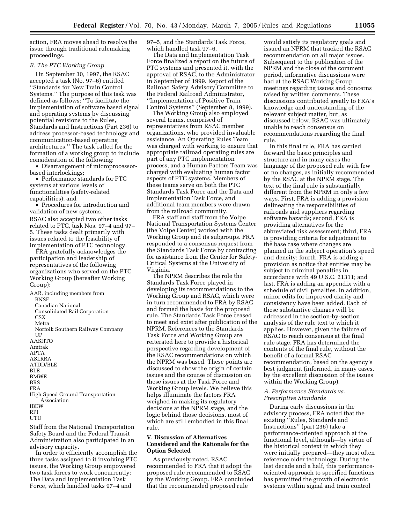action, FRA moves ahead to resolve the issue through traditional rulemaking proceedings.

#### *B. The PTC Working Group*

On September 30, 1997, the RSAC accepted a task (No. 97–6) entitled ''Standards for New Train Control Systems.'' The purpose of this task was defined as follows: ''To facilitate the implementation of software based signal and operating systems by discussing potential revisions to the Rules, Standards and Instructions (Part 236) to address processor-based technology and communication-based operating architectures.'' The task called for the formation of a working group to include consideration of the following:

• Disarrangement of microprocessorbased interlockings;

• Performance standards for PTC systems at various levels of functionalities (safety-related capabilities); and

• Procedures for introduction and validation of new systems. RSAC also accepted two other tasks related to PTC, task Nos. 97–4 and 97– 5. These tasks dealt primarily with issues related to the feasibility of implementation of PTC technology.

FRA gratefully acknowledges the participation and leadership of representatives of the following organizations who served on the PTC Working Group (hereafter Working Group):

AAR, including members from **BNSF** Canadian National Consolidated Rail Corporation **CSX** Metra Norfolk Southern Railway Company **UP** AASHTO Amtrak APTA ASLRRA ATDD/BLE BLE BMWE BRS FRA High Speed Ground Transportation Association IBEW RPI **UTU** 

Staff from the National Transportation Safety Board and the Federal Transit Administration also participated in an advisory capacity.

In order to efficiently accomplish the three tasks assigned to it involving PTC issues, the Working Group empowered two task forces to work concurrently: The Data and Implementation Task Force, which handled tasks 97–4 and

97–5, and the Standards Task Force, which handled task 97–6.

The Data and Implementation Task Force finalized a report on the future of PTC systems and presented it, with the approval of RSAC, to the Administrator in September of 1999. Report of the Railroad Safety Advisory Committee to the Federal Railroad Administrator, ''Implementation of Positive Train Control Systems'' (September 8, 1999).

The Working Group also employed several teams, comprised of representatives from RSAC member organizations, who provided invaluable assistance. An Operating Rules Team was charged with working to ensure that appropriate railroad operating rules are part of any PTC implementation process, and a Human Factors Team was charged with evaluating human factor aspects of PTC systems. Members of these teams serve on both the PTC Standards Task Force and the Data and Implementation Task Force, and additional team members were drawn from the railroad community.

FRA staff and staff from the Volpe National Transportation Systems Center (the Volpe Center) worked with the Working Group and its subgroups. FRA responded to a consensus request from the Standards Task Force by contracting for assistance from the Center for Safety-Critical Systems at the University of Virginia.

The NPRM describes the role the Standards Task Force played in developing its recommendations to the Working Group and RSAC, which were in turn recommended to FRA by RSAC and formed the basis for the proposed rule. The Standards Task Force ceased to meet and exist after publication of the NPRM. References to the Standards Task Force and Working Group are reiterated here to provide a historical perspective regarding development of the RSAC recommendations on which the NPRM was based. These points are discussed to show the origin of certain issues and the course of discussion on these issues at the Task Force and Working Group levels. We believe this helps illuminate the factors FRA weighed in making its regulatory decisions at the NPRM stage, and the logic behind those decisions, most of which are still embodied in this final rule.

#### **V. Discussion of Alternatives Considered and the Rationale for the Option Selected**

As previously noted, RSAC recommended to FRA that it adopt the proposed rule recommended to RSAC by the Working Group. FRA concluded that the recommended proposed rule

would satisfy its regulatory goals and issued an NPRM that tracked the RSAC recommendation on all major issues. Subsequent to the publication of the NPRM and the close of the comment period, informative discussions were had at the RSAC Working Group meetings regarding issues and concerns raised by written comments. These discussions contributed greatly to FRA's knowledge and understanding of the relevant subject matter, but, as discussed below, RSAC was ultimately unable to reach consensus on recommendations regarding the final rule.

In this final rule, FRA has carried forward the basic principles and structure and in many cases the language of the proposed rule with few or no changes, as initially recommended by the RSAC at the NPRM stage. The text of the final rule is substantially different from the NPRM in only a few ways. First, FRA is adding a provision delineating the responsibilities of railroads and suppliers regarding software hazards; second, FRA is providing alternatives for the abbreviated risk assessment; third, FRA is providing criteria for adjustment to the base case where changes are planned in the subject operation's speed and density; fourth, FRA is adding a provision as notice that entities may be subject to criminal penalties in accordance with 49 U.S.C. 21311; and last, FRA is adding an appendix with a schedule of civil penalties. In addition, minor edits for improved clarity and consistency have been added. Each of these substantive changes will be addressed in the section-by-section analysis of the rule text to which it applies. However, given the failure of RSAC to reach consensus at the final rule stage, FRA has determined the contents of the final rule, without the benefit of a formal RSAC recommendation, based on the agency's best judgment (informed, in many cases, by the excellent discussion of the issues within the Working Group).

#### *A. Performance Standards vs. Prescriptive Standards*

During early discussions in the advisory process, FRA noted that the existing ''Rules, Standards and Instructions'' (part 236) take a performance-oriented approach at the functional level, although—by virtue of the historical context in which they were initially prepared—they most often reference older technology. During the last decade and a half, this performanceoriented approach to specified functions has permitted the growth of electronic systems within signal and train control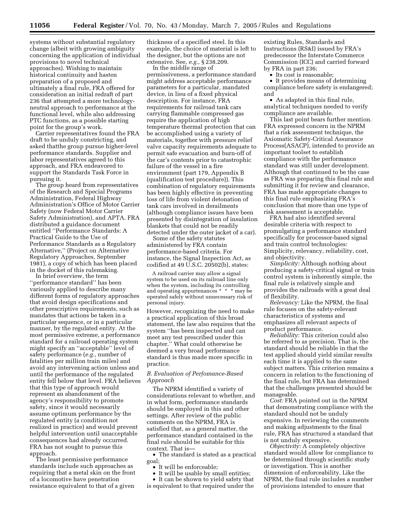systems without substantial regulatory change (albeit with growing ambiguity concerning the application of individual provisions to novel technical approaches). Wishing to maintain historical continuity and hasten preparation of a proposed and ultimately a final rule, FRA offered for consideration an initial redraft of part 236 that attempted a more technologyneutral approach to performance at the functional level, while also addressing PTC functions, as a possible starting point for the group's work.

Carrier representatives found the FRA draft to be unduly constricting, and asked thatthe group pursue higher-level performance standards. Supplier and labor representatives agreed to this approach, and FRA endeavored to support the Standards Task Force in pursuing it.

The group heard from representatives of the Research and Special Programs Administration, Federal Highway Administration's Office of Motor Carrier Safety (now Federal Motor Carrier Safety Administration), and APTA. FRA distributed a guidance document entitled ''Performance Standards: A Practical Guide to the Use of Performance Standards as a Regulatory Alternative,'' (Project on Alternative Regulatory Approaches, September 1981), a copy of which has been placed in the docket of this rulemaking.

In brief overview, the term ''performance standard'' has been variously applied to describe many different forms of regulatory approaches that avoid design specifications and other prescriptive requirements, such as mandates that actions be taken in a particular sequence, or in a particular manner, by the regulated entity. At the most permissive extreme, a performance standard for a railroad operating system might specify an ''acceptable'' level of safety performance (*e.g.*, number of fatalities per million train miles) and avoid any intervening action unless and until the performance of the regulated entity fell below that level. FRA believes that this type of approach would represent an abandonment of the agency's responsibility to promote safety, since it would necessarily assume optimum performance by the regulated entity (a condition not realized in practice) and would prevent helpful intervention until unacceptable consequences had already occurred. FRA has not sought to pursue this approach.

The least permissive performance standards include such approaches as requiring that a metal skin on the front of a locomotive have penetration resistance equivalent to that of a given

thickness of a specified steel. In this example, the choice of material is left to the designer, but the options are not extensive. See, *e.g.*, § 238.209.

In the middle range of permissiveness, a performance standard might address acceptable performance parameters for a particular, mandated device, in lieu of a fixed physical description. For instance, FRA requirements for railroad tank cars carrying flammable compressed gas require the application of high temperature thermal protection that can be accomplished using a variety of materials, together with pressure relief valve capacity requirements adequate to permit safe evacuation and burn-off of the car's contents prior to catastrophic failure of the vessel in a fire environment (part 179, Appendix B (qualification test procedure)). This combination of regulatory requirements has been highly effective in preventing loss of life from violent detonation of tank cars involved in derailments (although compliance issues have been presented by disintegration of insulation blankets that could not be readily detected under the outer jacket of a car).

Some of the safety statutes administered by FRA contain performance-based criteria. For instance, the Signal Inspection Act, as codified at  $49 \overline{U}$ .S.C. 20502(b), states:

A railroad carrier may allow a signal system to be used on its railroad line only when the system, including its controlling and operating appurtenances \* \* \* may be operated safely without unnecessary risk of personal injury.

However, recognizing the need to make a practical application of this broad statement, the law also requires that the system ''has been inspected and can meet any test prescribed under this chapter.'' What could otherwise be deemed a very broad performance standard is thus made more specific in practice.

#### *B. Evaluation of Perfomance-Based Approach*

The NPRM identified a variety of considerations relevant to whether, and in what form, performance standards should be employed in this and other settings. After review of the public comments on the NPRM, FRA is satisfied that, as a general matter, the performance standard contained in the final rule should be suitable for this context. That is—

• The standard is stated as a practical goal;

- It will be enforceable;
- It will be usable by small entities;

• It can be shown to yield safety that is equivalent to that required under the

existing Rules, Standards and Instructions (RS&I) issued by FRA's predecessor the Interstate Commerce Commission (ICC) and carried forward by FRA in part 236;

• Its cost is reasonable;

• It provides means of determining compliance before safety is endangered; and

• As adapted in this final rule, analytical techniques needed to verify compliance are available.

This last point bears further mention. FRA expressed concern in the NPRM that a risk assessment technique, the Axiomatic Safety-Critical Assurance Process(ASACP), intended to provide an important toolset to establish compliance with the performance standard was still under development. Although that continued to be the case as FRA was preparing this final rule and submitting it for review and clearance, FRA has made appropriate changes to this final rule emphasizing FRA's conclusion that more than one type of risk assessment is acceptable.

FRA had also identified several desirable criteria with respect to promulgating a performance standard specifically for processor-based signal and train control technologies: Simplicity, relevancy, reliability, cost, and objectivity.

*Simplicity:* Although nothing about producing a safety-critical signal or train control system is inherently simple, the final rule is relatively simple and provides the railroads with a great deal of flexibility.

*Relevancy:* Like the NPRM, the final rule focuses on the safety-relevant characteristics of systems and emphasizes all relevant aspects of product performance.

*Reliability:* This criterion could also be referred to as precision. That is, the standard should be reliable in that the test applied should yield similar results each time it is applied to the same subject matters. This criterion remains a concern in relation to the functioning of the final rule, but FRA has determined that the challenges presented should be manageable.

*Cost:* FRA pointed out in the NPRM that demonstrating compliance with the standard should not be unduly expensive. In reviewing the comments and making adjustments to the final rule, FRA has structured a standard that is not unduly expensive.

*Objectivity:* A completely objective standard would allow for compliance to be determined through scientific study or investigation. This is another dimension of enforceability. Like the NPRM, the final rule includes a number of provisions intended to ensure that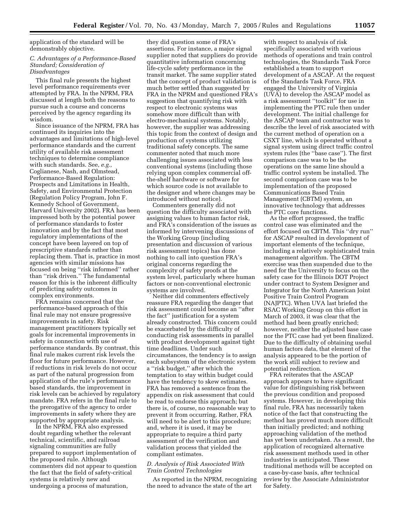application of the standard will be demonstrably objective.

#### *C. Advantages of a Performance-Based Standard; Consideration of Disadvantages*

This final rule presents the highest level performance requirements ever attempted by FRA. In the NPRM, FRA discussed at length both the reasons to pursue such a course and concerns perceived by the agency regarding its wisdom.

Since issuance of the NPRM, FRA has continued its inquiries into the advantages and limitations of high-level performance standards and the current utility of available risk assessment techniques to determine compliance with such standards. See, *e.g.,* Coglianese, Nash, and Olmstead, Performance-Based Regulation: Prospects and Limitations in Health, Safety, and Environmental Protection (Regulation Policy Program, John F. Kennedy School of Government, Harvard University 2002). FRA has been impressed both by the potential power of performance standards to foster innovation and by the fact that most regulatory implementations of the concept have been layered on top of prescriptive standards rather than replacing them. That is, practice in most agencies with similar missions has focused on being ''risk informed'' rather than ''risk driven.'' The fundamental reason for this is the inherent difficulty of predicting safety outcomes in complex environments.

FRA remains concerned that the performance-based approach of this final rule may not ensure progressive improvements in safety. Risk management practitioners typically set goals for incremental improvements in safety in connection with use of performance standards. By contrast, this final rule makes current risk levels the floor for future performance. However, if reductions in risk levels do not occur as part of the natural progression from application of the rule's performance based standards, the improvement in risk levels can be achieved by regulatory mandate. FRA refers in the final rule to the prerogative of the agency to order improvements in safety where they are supported by appropriate analysis.

In the NPRM, FRA also expressed doubt regarding whether the relevant technical, scientific, and railroad signaling communities are fully prepared to support implementation of the proposed rule. Although commenters did not appear to question the fact that the field of safety-critical systems is relatively new and undergoing a process of maturation,

they did question some of FRA's assertions. For instance, a major signal supplier noted that suppliers do provide quantitative information concerning life-cycle safety performance in the transit market. The same supplier stated that the concept of product validation is much better settled than suggested by FRA in the NPRM and questioned FRA's suggestion that quantifying risk with respect to electronic systems was somehow more difficult than with electro-mechanical systems. Notably, however, the supplier was addressing this topic from the context of design and production of systems utilizing traditional safety concepts. The same commenter noted that much more challenging issues associated with less conventional systems (including those relying upon complex commercial offthe-shelf hardware or software for which source code is not available to the designer and where changes may be introduced without notice).

Commenters generally did not question the difficulty associated with assigning values to human factor risk, and FRA's consideration of the issues as informed by intervening discussions of the Working Group (including presentation and discussion of various risk assessment topics) has done nothing to call into question FRA's original concerns regarding the complexity of safety proofs at the system level, particularly where human factors or non-conventional electronic systems are involved.

Neither did commenters effectively reassure FRA regarding the danger that risk assessment could become an ''after the fact'' justification for a system already constructed. This concern could be exacerbated by the difficulty of conducting risk assessments in parallel with product development against tight time deadlines. Under such circumstances, the tendency is to assign each subsystem of the electronic system a ''risk budget,'' after which the temptation to stay within budget could have the tendency to skew estimates. FRA has removed a sentence from the appendix on risk assessment that could be read to endorse this approach; but there is, of course, no reasonable way to prevent it from occurring. Rather, FRA will need to be alert to this procedure; and, where it is used, it may be appropriate to require a third party assessment of the verification and validation process that yielded the compliant estimates.

#### *D. Analysis of Risk Associated With Train Control Technologies*

As reported in the NPRM, recognizing the need to advance the state of the art

with respect to analysis of risk specifically associated with various methods of operations and train control technologies, the Standards Task Force established a team to support development of a ASCAP. At the request of the Standards Task Force, FRA engaged the University of Virginia (UVA) to develop the ASCAP model as a risk assessment ''toolkit'' for use in implementing the PTC rule then under development. The initial challenge for the ASCAP team and contractor was to describe the level of risk associated with the current method of operation on a CSXT line, which is operated without a signal system using direct traffic control system rules (the ''base case''). The first comparison case was to be the operations on the same line should a traffic control system be installed. The second comparison case was to be implementation of the proposed Communications Based Train Management (CBTM) system, an innovative technology that addresses the PTC core functions.

As the effort progressed, the traffic control case was eliminated and the effort focused on CBTM. This ''dry run'' for ASCAP resulted in development of important elements of the technique, including a relatively sophisticated train management algorithm. The CBTM exercise was then suspended due to the need for the University to focus on the safety case for the Illinois DOT Project under contract to System Designer and Integrator for the North American Joint Positive Train Control Program (NAJPTC). When UVA last briefed the RSAC Working Group on this effort in March of 2003, it was clear that the method had been greatly enriched; however, neither the adjusted base case nor the PTC case had yet been finalized. Due to the difficulty of obtaining useful human factors data, that element of the analysis appeared to be the portion of the work still subject to review and potential redirection.

FRA reiterates that the ASCAP approach appears to have significant value for distinguishing risk between the previous condition and proposed systems. However, in developing this final rule, FRA has necessarily taken notice of the fact that constructing the method has proved much more difficult than initially predicted; and nothing approaching validation of the method has yet been undertaken. As a result, the application of recognized alternative risk assessment methods used in other industries is anticipated. These traditional methods will be accepted on a case-by-case basis, after technical review by the Associate Administrator for Safety.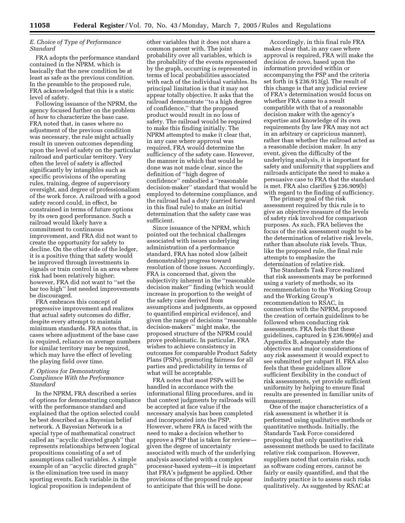#### *E. Choice of Type of Performance Standard*

FRA adopts the performance standard contained in the NPRM, which is basically that the new condition be at least as safe as the previous condition. In the preamble to the proposed rule, FRA acknowledged that this is a static level of safety.

Following issuance of the NPRM, the agency focused further on the problem of how to characterize the base case. FRA noted that, in cases where no adjustment of the previous condition was necessary, the rule might actually result in uneven outcomes depending upon the level of safety on the particular railroad and particular territory. Very often the level of safety is affected significantly by intangibles such as specific provisions of the operating rules, training, degree of supervisory oversight, and degree of professionalism of the work force. A railroad with a good safety record could, in effect, be constrained in terms of future options by its own good performance. Such a railroad would likely have a commitment to continuous improvement, and FRA did not want to create the opportunity for safety to decline. On the other side of the ledger, it is a positive thing that safety would be improved through investments in signals or train control in an area where risk had been relatively higher; however, FRA did not want to ''set the bar too high'' lest needed improvements be discouraged.

FRA embraces this concept of progressive improvement and realizes that actual safety outcomes do differ, despite every attempt to maintain minimum standards. FRA notes that, in cases where adjustment of the base case is required, reliance on average numbers for similar territory may be required, which may have the effect of leveling the playing field over time.

#### *F. Options for Demonstrating Compliance With the Performance Standard*

In the NPRM, FRA described a series of options for demonstrating compliance with the performance standard and explained that the option selected could be best described as a Bayesian belief network. A Bayesian Network is a special type of mathematical construct called an ''acyclic directed graph'' that represents relationships between logical propositions consisting of a set of assumptions called variables. A simple example of an ''acyclic directed graph'' is the elimination tree used in many sporting events. Each variable in the logical proposition is independent of

other variables that it does not share a common parent with. The joint probability over all variables, which is the probability of the events represented by the graph, occurring is represented in terms of local probabilities associated with each of the individual variables. Its principal limitation is that it may not appear totally objective. It asks that the railroad demonstrate ''to a high degree of confidence,'' that the proposed product would result in no loss of safety. The railroad would be required to make this finding initially. The NPRM attempted to make it clear that, in any case where approval was required, FRA would determine the sufficiency of the safety case. However, the manner in which that would be done was not made clear, since the definition of ''high degree of confidence'' embodied a ''reasonable decision-maker'' standard that would be employed to determine compliance, and the railroad had a duty (carried forward in this final rule) to make an initial determination that the safety case was sufficient.

Since issuance of the NPRM, which pointed out the technical challenges associated with issues underlying administration of a performance standard, FRA has noted slow (albeit demonstrable) progress toward resolution of those issues. Accordingly, FRA is concerned that, given the subjectivity inherent in the ''reasonable decision maker'' finding (which would increase in proportion to the weight of the safety case derived from assumptions and judgments, as opposed to quantified empirical evidence), and given the range of decisions ''reasonable decision-makers'' might make, the proposed structure of the NPRM could prove problematic. In particular, FRA wishes to achieve consistency in outcomes for comparable Product Safety Plans (PSPs), promoting fairness for all parties and predictability in terms of what will be acceptable.

FRA notes that most PSPs will be handled in accordance with the informational filing procedures, and in that context judgments by railroads will be accepted at face value if the necessary analysis has been completed and incorporated into the PSP. However, where FRA is faced with the need to make a decision whether to approve a PSP that is taken for review given the degree of uncertainty associated with much of the underlying analysis associated with a complex processor-based system—it is important that FRA's judgment be applied. Other provisions of the proposed rule appear to anticipate that this will be done.

Accordingly, in this final rule FRA makes clear that, in any case where approval is required, FRA will make the decision *de novo*, based upon the information provided within or accompanying the PSP and the criteria set forth in § 236.913(g). The result of this change is that any judicial review of FRA's determination would focus on whether FRA came to a result compatible with that of a reasonable decision maker with the agency's expertise and knowledge of its own requirements (by law FRA may not act in an arbitrary or capricious manner), rather than whether the railroad acted as a reasonable decision maker. In any event, given the difficulty of the underlying analysis, it is important for safety and uniformity that suppliers and railroads anticipate the need to make a persuasive case to FRA that the standard is met. FRA also clarifies § 236.909(b) with regard to the finding of sufficiency.

The primary goal of the risk assessment required by this rule is to give an objective measure of the levels of safety risk involved for comparison purposes. As such, FRA believes the focus of the risk assessment ought to be the determination of relative risk levels, rather than absolute risk levels. Thus, like the proposed rule, the final rule attempts to emphasize the determination of relative risk.

The Standards Task Force realized that risk assessments may be performed using a variety of methods, so its recommendation to the Working Group and the Working Group's recommendation to RSAC, in connection with the NPRM, proposed the creation of certain guidelines to be followed when conducting risk assessments. FRA feels that these guidelines, captured in § 236.909(e) and Appendix B, adequately state the objectives and major considerations of any risk assessment it would expect to see submitted per subpart H. FRA also feels that these guidelines allow sufficient flexibility in the conduct of risk assessments, yet provide sufficient uniformity by helping to ensure final results are presented in familiar units of measurement.

One of the major characteristics of a risk assessment is whether it is performed using qualitative methods or quantitative methods. Initially, the Standards Task Force considered proposing that only quantitative risk assessment methods be used to facilitate relative risk comparison. However, suppliers noted that certain risks, such as software coding errors, cannot be fairly or easily quantified, and that the industry practice is to assess such risks qualitatively. As suggested by RSAC at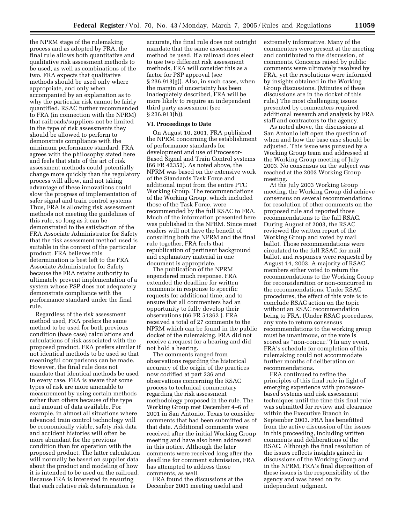the NPRM stage of the rulemaking process and as adopted by FRA, the final rule allows both quantitative and qualitative risk assessment methods to be used, as well as combinations of the two. FRA expects that qualitative methods should be used only where appropriate, and only when accompanied by an explanation as to why the particular risk cannot be fairly quantified. RSAC further recommended to FRA (in connection with the NPRM) that railroads/suppliers not be limited in the type of risk assessments they should be allowed to perform to demonstrate compliance with the minimum performance standard. FRA agrees with the philosophy stated here and feels that state of the art of risk assessment methods could potentially change more quickly than the regulatory process will allow, and not taking advantage of these innovations could slow the progress of implementation of safer signal and train control systems. Thus, FRA is allowing risk assessment methods not meeting the guidelines of this rule, so long as it can be demonstrated to the satisfaction of the FRA Associate Administrator for Safety that the risk assessment method used is suitable in the context of the particular product. FRA believes this determination is best left to the FRA Associate Administrator for Safety because the FRA retains authority to ultimately prevent implementation of a system whose PSP does not adequately demonstrate compliance with the performance standard under the final rule.

Regardless of the risk assessment method used, FRA prefers the same method to be used for both previous condition (base case) calculations and calculations of risk associated with the proposed product. FRA prefers similar if not identical methods to be used so that meaningful comparisons can be made. However, the final rule does not mandate that identical methods be used in every case. FRA is aware that some types of risk are more amenable to measurement by using certain methods rather than others because of the type and amount of data available. For example, in almost all situations where advanced train control technology will be economically viable, safety risk data and accident histories will often be more abundant for the previous condition than for operation with the proposed product. The latter calculation will normally be based on supplier data about the product and modeling of how it is intended to be used on the railroad. Because FRA is interested in ensuring that each relative risk determination is

accurate, the final rule does not outright mandate that the same assessment method be used. If a railroad does elect to use two different risk assessment methods, FRA will consider this as a factor for PSP approval (see § 236.913(g)). Also, in such cases, when the margin of uncertainty has been inadequately described, FRA will be more likely to require an independent third party assessment (see § 236.913(h)).

#### **VI. Proceedings to Date**

On August 10, 2001, FRA published the NPRM concerning the establishment of performance standards for development and use of Processor-Based Signal and Train Control systems (66 FR 42352). As noted above, the NPRM was based on the extensive work of the Standards Task Force and additional input from the entire PTC Working Group. The recommendations of the Working Group, which included those of the Task Force, were recommended by the full RSAC to FRA. Much of the information presented here was published in the NPRM. Since most readers will not have the benefit of consulting both the NPRM and the final rule together, FRA feels that republication of pertinent background and explanatory material in one document is appropriate.

The publication of the NPRM engendered much response. FRA extended the deadline for written comments in response to specific requests for additional time, and to ensure that all commenters had an opportunity to fully develop their observations (66 FR 51362 ). FRA received a total of 27 comments to the NPRM which can be found in the public docket of the rulemaking. FRA did not receive a request for a hearing and did not hold a hearing.

The comments ranged from observations regarding the historical accuracy of the origin of the practices now codified at part 236 and observations concerning the RSAC process to technical commentary regarding the risk assessment methodology proposed in the rule. The Working Group met December 4–6 of 2001 in San Antonio, Texas to consider comments that had been submitted as of that date. Additional comments were received after the initial Working Group meeting and have also been addressed in this notice. Although the later comments were received long after the deadline for comment submission, FRA has attempted to address those comments, as well.

FRA found the discussions at the December 2001 meeting useful and

extremely informative. Many of the commenters were present at the meeting and contributed to the discussion, of comments. Concerns raised by public comments were ultimately resolved by FRA, yet the resolutions were informed by insights obtained in the Working Group discussions. (Minutes of these discussions are in the docket of this rule.) The most challenging issues presented by commenters required additional research and analysis by FRA staff and contractors to the agency.

As noted above, the discussions at San Antonio left open the question of when and how the base case should be adjusted. This issue was pursued by a Working Group team and addressed at the Working Group meeting of July 2003. No consensus on the subject was reached at the 2003 Working Group meeting.

At the July 2003 Working Group meeting, the Working Group did achieve consensus on several recommendations for resolution of other comments on the proposed rule and reported those recommendations to the full RSAC. During August of 2003, the RSAC reviewed the written report of the Working Group and voted by mail ballot. Those recommendations were circulated to the full RSAC for mail ballot, and responses were requested by August 14, 2003. A majority of RSAC members either voted to return the recommendations to the Working Group for reconsideration or non-concurred in the recommendations. Under RSAC procedures, the effect of this vote is to conclude RSAC action on the topic without an RSAC recommendation being to FRA. (Under RSAC procedures, any vote to return consensus recommendations to the working group must be unanimous, or the vote is scored as ''non-concur.'') In any event, FRA's schedule for completion of this rulemaking could not accommodate further months of deliberation on recommendations.

FRA continued to refine the principles of this final rule in light of emerging experience with processorbased systems and risk assessment techniques until the time this final rule was submitted for review and clearance within the Executive Branch in September 2003. FRA has benefitted from the active discussion of the issues in this proceeding, including written comments and deliberations of the RSAC. Although the final resolution of the issues reflects insights gained in discussions of the Working Group and in the NPRM, FRA's final disposition of these issues is the responsibility of the agency and was based on its independent judgment.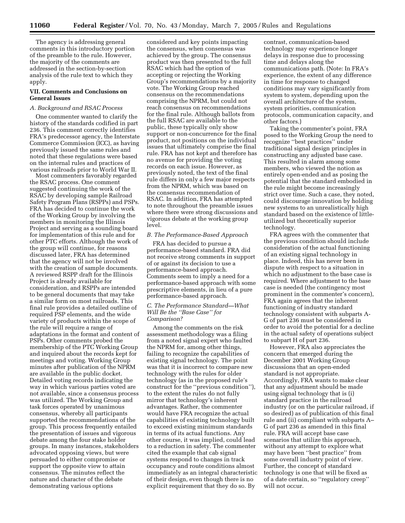The agency is addressing general comments in this introductory portion of the preamble to the rule. However, the majority of the comments are addressed in the section-by-section analysis of the rule text to which they apply.

#### **VII. Comments and Conclusions on General Issues**

#### *A. Background and RSAC Process*

One commenter wanted to clarify the history of the standards codified in part 236. This comment correctly identifies FRA's predecessor agency, the Interstate Commerce Commission (ICC), as having previously issued the same rules and noted that these regulations were based on the internal rules and practices of various railroads prior to World War II.

Most commenters favorably regarded the RSAC process. One comment suggested continuing the work of the RSAC by developing sample Railroad Safety Program Plans (RSPPs) and PSPs. FRA has decided to continue the work of the Working Group by involving the members in monitoring the Illinois Project and serving as a sounding board for implementation of this rule and for other PTC efforts. Although the work of the group will continue, for reasons discussed later, FRA has determined that the agency will not be involved with the creation of sample documents. A reviewed RSPP draft for the Illinois Project is already available for consideration, and RSPPs are intended to be general documents that may take a similar form on most railroads. This final rule provides a detailed outline of required PSP elements, and the wide variety of products within the scope of the rule will require a range of adaptations in the format and content of PSPs. Other comments probed the membership of the PTC Working Group and inquired about the records kept for meetings and voting. Working Group minutes after publication of the NPRM are available in the public docket. Detailed voting records indicating the way in which various parties voted are not available, since a consensus process was utilized. The Working Group and task forces operated by unanimous consensus, whereby all participants supported the recommendations of the group. This process frequently entailed the presentation of issues and vigorous debate among the four stake holder groups. In many instances, stakeholders advocated opposing views, but were persuaded to either compromise or support the opposite view to attain consensus. The minutes reflect the nature and character of the debate demonstrating various options

considered and key points impacting the consensus, when consensus was achieved by the group. The consensus product was then presented to the full RSAC which had the option of accepting or rejecting the Working Group's recommendations by a majority vote. The Working Group reached consensus on the recommendations comprising the NPRM, but could not reach consensus on recommendations for the final rule. Although ballots from the full RSAC are available to the public, these typically only show support or non-concurrence for the final product, not positions on the individual issues that ultimately comprise the final rule. FRA has not kept and therefore has no avenue for providing the voting records on each issue. However, as previously noted, the text of the final rule differs in only a few major respects from the NPRM, which was based on the consensus recommendation of RSAC. In addition, FRA has attempted to note throughout the preamble issues where there were strong discussions and vigorous debate at the working group level.

#### *B. The Performance-Based Approach*

FRA has decided to pursue a performance-based standard. FRA did not receive strong comments in support of or against its decision to use a performance-based approach. Comments seem to imply a need for a performance-based approach with some prescriptive elements, in lieu of a pure performance-based approach.

#### *C. The Performance Standard—What Will Be the ''Base Case'' for Comparison?*

Among the comments on the risk assessment methodology was a filing from a noted signal expert who faulted the NPRM for, among other things, failing to recognize the capabilities of existing signal technology. The point was that it is incorrect to compare new technology with the rules for older technology (as in the proposed rule's construct for the ''previous condition''), to the extent the rules do not fully mirror that technology's inherent advantages. Rather, the commenter would have FRA recognize the actual capabilities of existing technology built to exceed existing minimum standards in terms of its actual functions. Any other course, it was implied, could lead to a reduction in safety. The commenter cited the example that cab signal systems respond to changes in track occupancy and route conditions almost immediately as an integral characteristic of their design, even though there is no explicit requirement that they do so. By

contrast, communication-based technology may experience longer delays in response due to processing time and delays along the communications path. (Note: In FRA's experience, the extent of any difference in time for response to changed conditions may vary significantly from system to system, depending upon the overall architecture of the system, system priorities, communication protocols, communication capacity, and other factors.)

Taking the commenter's point, FRA posed to the Working Group the need to recognize ''best practices'' under traditional signal design principles in constructing any adjusted base case. This resulted in alarm among some members, who viewed the notion as entirely open-ended and as posing the potential that the standard embodied in the rule might become increasingly strict over time. Such a case, they noted, could discourage innovation by holding new systems to an unrealistically high standard based on the existence of littleutilized but theoretically superior technology.

FRA agrees with the commenter that the previous condition should include consideration of the actual functioning of an existing signal technology in place. Indeed, this has never been in dispute with respect to a situation in which no adjustment to the base case is required. Where adjustment to the base case is needed (the contingency most prominent in the commenter's concern), FRA again agrees that the inherent functioning of industry standard technology consistent with subparts A-G of part 236 must be considered in order to avoid the potential for a decline in the actual safety of operations subject to subpart H of part 236.

However, FRA also appreciates the concern that emerged during the December 2001 Working Group discussions that an open-ended standard is not appropriate. Accordingly, FRA wants to make clear that any adjustment should be made using signal technology that is (i) standard practice in the railroad industry (or on the particular railroad, if so desired) as of publication of this final rule and (ii) compliant with subparts A– G of part 236 as amended in this final rule. FRA will accept base case scenarios that utilize this approach, without any attempt to explore what may have been ''best practice'' from some overall industry point of view. Further, the concept of standard technology is one that will be fixed as of a date certain, so ''regulatory creep'' will not occur.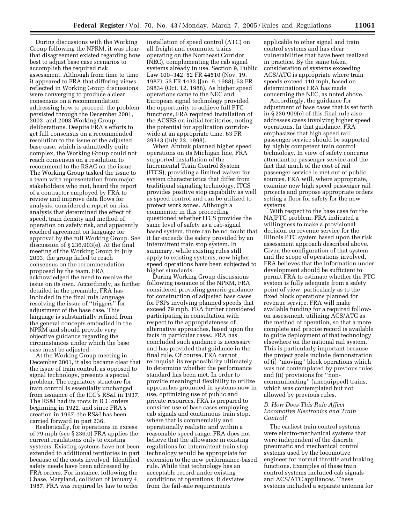During discussions with the Working Group following the NPRM, it was clear that disagreement existed regarding how best to adjust base case scenarios to accomplish the required risk assessment. Although from time to time it appeared to FRA that differing views reflected in Working Group discussions were converging to produce a clear consensus on a recommendation addressing how to proceed, the problem persisted through the December 2001, 2002, and 2003 Working Group deliberations. Despite FRA's efforts to get full consensus on a recommended resolution to the issue of the adjusted base case, which is admittedly quite complex, the Working Group could not reach consensus on a resolution to recommend to the RSAC on the issue. The Working Group tasked the issue to a team with representation from major stakeholders who met, heard the report of a contractor employed by FRA to review and improve data flows for analysis, considered a report on risk analysis that determined the effect of speed, train density and method of operation on safety risk, and apparently reached agreement on language for approval by the full Working Group. See discussion of § 236.903(e). At the final meeting of the Working Group in July 2003, the group failed to reach consensus on the recommendation proposed by the team. FRA acknowledged the need to resolve the issue on its own. Accordingly, as further detailed in the preamble, FRA has included in the final rule language resolving the issue of ''triggers'' for adjustment of the base case. This language is substantially refined from the general concepts embodied in the NPRM and should provide very objective guidance regarding the circumstances under which the base case must be adjusted.

At the Working Group meeting in December 2001, it also became clear that the issue of train control, as opposed to signal technology, presents a special problem. The regulatory structure for train control is essentially unchanged from issuance of the ICC's RS&I in 1937. The RS&I had its roots in ICC orders beginning in 1922, and since FRA's creation in 1967, the RS&I has been carried forward in part 236.

Realistically, for operations in excess of 79 mph (see § 236.0) FRA applies the current regulations only to existing systems. Existing systems have not been extended to additional territories in part because of the costs involved. Identified safety needs have been addressed by FRA orders. For instance, following the Chase, Maryland, collision of January 4, 1987, FRA was required by law to order

installation of speed control (ATC) on all freight and commuter trains operating on the Northeast Corridor (NEC), complementing the cab signal systems already in use. Section 9, Public Law 100–342; 52 FR 44510 (Nov. 19, 1987); 53 FR 1433 (Jan. 9, 1988); 53 FR 39834 (Oct. 12, 1988). As higher speed operations came to the NEC and European signal technology provided the opportunity to achieve full PTC functions, FRA required installation of the ACSES on initial territories, noting the potential for application corridorwide at an appropriate time. 63 FR 39343 (July 22, 1998).

When Amtrak planned higher speed operations on its Michigan line, FRA supported installation of the Incremental Train Control System (ITCS), providing a limited waiver for system characteristics that differ from traditional signaling technology. ITCS provides positive stop capability as well as speed control and can be utilized to protect work zones. Although a commenter in this proceeding questioned whether ITCS provides the same level of safety as a cab-signal based system, there can be no doubt that it far exceeds the safety provided by an intermittent train stop system. In summary, while existing rules still apply to existing systems, new higher speed operations have been subjected to higher standards.

During Working Group discussions following issuance of the NPRM, FRA considered providing generic guidance for construction of adjusted base cases for PSPs involving planned speeds that exceed 79 mph. FRA further considered participating in consultation with respect to the appropriateness of alternative approaches, based upon the facts in particular cases. FRA has concluded such guidance is necessary and has provided that guidance in the final rule. Of course, FRA cannot relinquish its responsibility ultimately to determine whether the performance standard has been met. In order to provide meaningful flexibility to utilize approaches grounded in systems now in use, optimizing use of public and private resources, FRA is prepared to consider use of base cases employing cab signals and continuous train stop, where that is commercially and operationally realistic and within a reasonable speed range. FRA does not believe that the allowance in existing regulations for intermittent train stop technology would be appropriate for extension to the new performance-based rule. While that technology has an acceptable record under existing conditions of operations, it deviates from the fail-safe requirements

applicable to other signal and train control systems and has clear vulnerabilities that have been realized in practice. By the same token, consideration of systems exceeding ACS/ATC is appropriate where train speeds exceed 110 mph, based on determinations FRA has made concerning the NEC, as noted above.

Accordingly, the guidance for adjustment of base cases that is set forth in § 236.909(e) of this final rule also addresses cases involving higher speed operations. In that guidance, FRA emphasizes that high speed rail passenger service should be supported by highly competent train control technology. In view of safety concerns attendant to passenger service and the fact that much of the cost of rail passenger service is met out of public sources, FRA will, where appropriate, examine new high speed passenger rail projects and propose appropriate orders setting a floor for safety for the new systems.

With respect to the base case for the NAJPTC problem, FRA indicated a willingness to make a provisional decision on revenue service for the Illinois PTC system based upon the risk assessment approach described above. Given the configuration of that system and the scope of operations involved, FRA believes that the information under development should be sufficient to permit FRA to estimate whether the PTC system is fully adequate from a safety point of view, particularly as to the fixed block operations planned for revenue service. FRA will make available funding for a required followon assessment, utilizing ACS/ATC as the method of operation, so that a more complete and precise record is available to guide deployment of that technology elsewhere on the national rail system. This is particularly important because the project goals include demonstration of (i) ''moving'' block operations which was not contemplated by previous rules and (ii) provisions for ''noncommunicating'' (unequipped) trains, which was contemplated but not allowed by previous rules.

#### *D. How Does This Rule Affect Locomotive Electronics and Train Control?*

The earliest train control systems were electro-mechanical systems that were independent of the discrete pneumatic and mechanical control systems used by the locomotive engineer for normal throttle and braking functions. Examples of these train control systems included cab signals and ACS/ATC appliances. These systems included a separate antenna for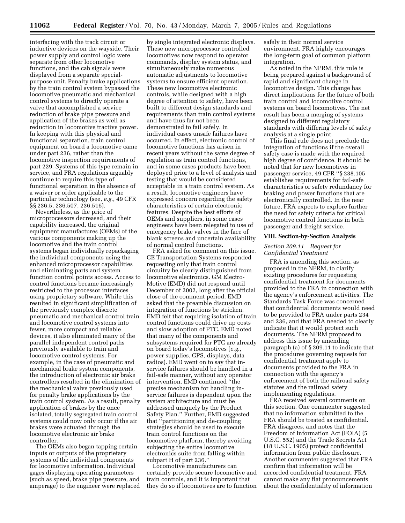interfacing with the track circuit or inductive devices on the wayside. Their power supply and control logic were separate from other locomotive functions, and the cab signals were displayed from a separate specialpurpose unit. Penalty brake applications by the train control system bypassed the locomotive pneumatic and mechanical control systems to directly operate a valve that accomplished a service reduction of brake pipe pressure and application of the brakes as well as reduction in locomotive tractive power. In keeping with this physical and functional separation, train control equipment on board a locomotive came under part 236, rather than the locomotive inspection requirements of part 229. Systems of this type remain in service, and FRA regulations arguably continue to require this type of functional separation in the absence of a waiver or order applicable to the particular technology (see, *e.g.*, 49 CFR §§ 236.5, 236.507, 236.516).

Nevertheless, as the price of microprocessors decreased, and their capability increased, the original equipment manufactures (OEMs) of the various components making up the locomotive and the train control systems began individually repackaging the individual components using the enhanced microprocessor capabilities and eliminating parts and system function control points access. Access to control functions became increasingly restricted to the processor interfaces using proprietary software. While this resulted in significant simplification of the previously complex discrete pneumatic and mechanical control train and locomotive control systems into fewer, more compact and reliable devices, it also eliminated many of the parallel independent control paths previously available to train and locomotive control systems. For example, in the case of pneumatic and mechanical brake system components, the introduction of electronic air brake controllers resulted in the elimination of the mechanical valve previously used for penalty brake applications by the train control system. As a result, penalty application of brakes by the once isolated, totally segregated train control systems could now only occur if the air brakes were actuated through the locomotive electronic air brake controller.

The OEMs also began tapping certain inputs or outputs of the proprietary systems of the individual components for locomotive information. Individual gages displaying operating parameters (such as speed, brake pipe pressure, and amperage) to the engineer were replaced

by single integrated electronic displays. These new microprocessor controlled locomotives now respond to operator commands, display system status, and simultaneously make numerous automatic adjustments to locomotive systems to ensure efficient operation. These new locomotive electronic controls, while designed with a high degree of attention to safety, have been built to different design standards and requirements than train control systems and have thus far not been demonstrated to fail safely. In individual cases unsafe failures have occurred. In effect, electronic control of locomotive functions has arisen in recent years without the same degree of regulation as train control functions, and in some cases products have been deployed prior to a level of analysis and testing that would be considered acceptable in a train control system. As a result, locomotive engineers have expressed concern regarding the safety characteristics of certain electronic features. Despite the best efforts of OEMs and suppliers, in some cases engineers have been relegated to use of emergency brake valves in the face of blank screens and uncertain availability of normal control functions.

FRA asked for comment on this issue. GE Transportation Systems responded requesting only that train control circuitry be clearly distinguished from locomotive electronics. GM Electro-Motive (EMD) did not respond until December of 2002, long after the official close of the comment period. EMD asked that the preamble discussion on integration of functions be stricken. EMD felt that requiring isolation of train control functions could drive up costs and slow adoption of PTC. EMD noted that many of the components and subsystems required for PTC are already on board today's locomotives (*e.g.*, power supplies, GPS, displays, data radios). EMD went on to say that inservice failures should be handled in a fail-safe manner, without any operator intervention. EMD continued ''the precise mechanism for handling inservice failures is dependent upon the system architecture and must be addressed uniquely by the Product Safety Plan.'' Further, EMD suggested that ''partitioning and de-coupling strategies should be used to execute train control functions on the locomotive platform, thereby avoiding subjecting the entire locomotive electronics suite from falling within subpart H of part 236.''

Locomotive manufacturers can certainly provide secure locomotive and train controls, and it is important that they do so if locomotives are to function

safely in their normal service environment. FRA highly encourages the long-term goal of common platform integration.

As noted in the NPRM, this rule is being prepared against a background of rapid and significant change in locomotive design. This change has direct implications for the future of both train control and locomotive control systems on board locomotives. The net result has been a merging of systems designed to different regulatory standards with differing levels of safety analysis at a single point.

This final rule does not preclude the integration of functions if the overall safety case is made with the required high degree of confidence. It should be noted that for new locomotives in passenger service, 49 CFR ''§ 238.105 establishes requirements for fail-safe characteristics or safety redundancy for braking and power functions that are electronically controlled. In the near future, FRA expects to explore further the need for safety criteria for critical locomotive control functions in both passenger and freight service.

#### **VIII. Section-by-Section Analysis**

#### *Section 209.11 Request for Confidential Treatment*

FRA is amending this section, as proposed in the NPRM, to clarify existing procedures for requesting confidential treatment for documents provided to the FRA in connection with the agency's enforcement activities. The Standards Task Force was concerned that confidential documents would need to be provided to FRA under parts 234 and 236, and that FRA needed to clearly indicate that it would protect such documents. The NPRM proposed to address this issue by amending paragraph (a) of § 209.11 to indicate that the procedures governing requests for confidential treatment apply to documents provided to the FRA in connection with the agency's enforcement of both the railroad safety statutes and the railroad safety implementing regulations.

FRA received several comments on this section. One commenter suggested that no information submitted to the FRA should be treated as confidential. FRA disagrees, and notes that the Freedom of Information Act (FOIA) (5 U.S.C. 552) and the Trade Secrets Act (18 U.S.C. 1905) protect confidential information from public disclosure. Another commenter suggested that FRA confirm that information will be accorded confidential treatment. FRA cannot make any flat pronouncements about the confidentiality of information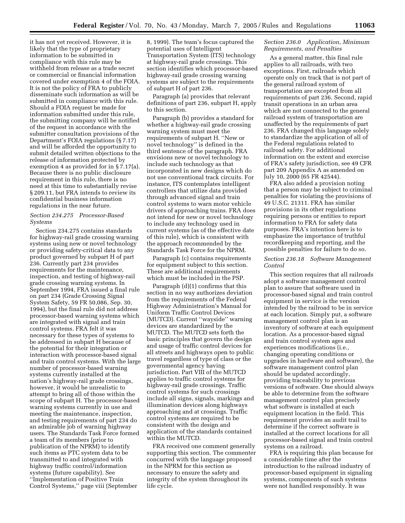it has not yet received. However, it is likely that the type of proprietary information to be submitted in compliance with this rule may be withheld from release as a trade secret or commercial or financial information covered under exemption 4 of the FOIA. It is not the policy of FRA to publicly disseminate such information as will be submitted in compliance with this rule. Should a FOIA request be made for information submitted under this rule, the submitting company will be notified of the request in accordance with the submitter consultation provisions of the Department's FOIA regulations (§ 7.17) and will be afforded the opportunity to submit detailed written objections to the release of information protected by exemption 4 as provided for in § 7.17(a). Because there is no public disclosure requirement in this rule, there is no need at this time to substantially revise § 209.11, but FRA intends to review its confidential business information regulations in the near future.

#### *Section 234.275 Processor-Based Systems*

Section 234.275 contains standards for highway-rail grade crossing warning systems using new or novel technology or providing safety-critical data to any product governed by subpart H of part 236. Currently part 234 provides requirements for the maintenance, inspection, and testing of highway-rail grade crossing warning systems. In September 1994, FRA issued a final rule on part 234 (Grade Crossing Signal System Safety, 59 FR 50,086, Sep. 30, 1994), but the final rule did not address processor-based warning systems which are integrated with signal and train control systems. FRA felt it was necessary for these types of systems to be addressed in subpart H because of the potential for their integration or interaction with processor-based signal and train control systems. With the large number of processor-based warning systems currently installed at the nation's highway-rail grade crossings, however, it would be unrealistic to attempt to bring all of those within the scope of subpart H. The processor-based warning systems currently in use and meeting the maintenance, inspection, and testing requirements of part 234 do an admirable job of warning highway users. The Standards Task Force formed a team of its members (prior to publication of the NPRM) to identify such items as PTC system data to be transmitted to and integrated with highway traffic control/information systems (future capability). See ''Implementation of Positive Train Control Systems,'' page viii (September

8, 1999). The team's focus captured the potential uses of Intelligent Transportation System (ITS) technology at highway-rail grade crossings. This section identifies which processor-based highway-rail grade crossing warning systems are subject to the requirements of subpart H of part 236.

Paragraph (a) provides that relevant definitions of part 236, subpart H, apply to this section.

Paragraph (b) provides a standard for whether a highway-rail grade crossing warning system must meet the requirements of subpart H. ''New or novel technology'' is defined in the third sentence of the paragraph. FRA envisions new or novel technology to include such technology as that incorporated in new designs which do not use conventional track circuits. For instance, ITS contemplates intelligent controllers that utilize data provided through advanced signal and train control systems to warn motor vehicle drivers of approaching trains. FRA does not intend for new or novel technology to include any technology used in current systems (as of the effective date of this rule), which is consistent with the approach recommended by the Standards Task Force for the NPRM.

Paragraph (c) contains requirements for equipment subject to this section. These are additional requirements which must be included in the PSP.

Paragraph (d)(1) confirms that this section in no way authorizes deviation from the requirements of the Federal Highway Administration's Manual for Uniform Traffic Control Devices (MUTCD). Current ''wayside'' warning devices are standardized by the MUTCD. The MUTCD sets forth the basic principles that govern the design and usage of traffic control devices for all streets and highways open to public travel regardless of type of class or the governmental agency having jurisdiction. Part VIII of the MUTCD applies to traffic control systems for highway-rail grade crossings. Traffic control systems for such crossings include all signs, signals, markings and illumination devices along highways approaching and at crossings. Traffic control systems are required to be consistent with the design and application of the standards contained within the MUTCD.

FRA received one comment generally supporting this section. The commenter concurred with the language proposed in the NPRM for this section as necessary to ensure the safety and integrity of the system throughout its life cycle.

#### *Section 236.0 Application, Minimum Requirements, and Penalties*

As a general matter, this final rule applies to all railroads, with two exceptions. First, railroads which operate only on track that is not part of the general railroad system of transportation are excepted from all requirements of part 236. Second, rapid transit operations in an urban area which are not connected to the general railroad system of transportation are unaffected by the requirements of part 236. FRA changed this language solely to standardize the application of all of the Federal regulations related to railroad safety. For additional information on the extent and exercise of FRA's safety jurisdiction, see 49 CFR part 209 Appendix A as amended on July 10, 2000 (65 FR 42544).

FRA also added a provision noting that a person may be subject to criminal penalties for violating the provisions of 49 U.S.C. 21311. FRA has similar provisions in its other regulations requiring persons or entities to report information to FRA for safety data purposes. FRA's intention here is to emphasize the importance of truthful recordkeeping and reporting, and the possible penalties for failure to do so.

#### *Section 236.18 Software Management Control*

This section requires that all railroads adopt a software management control plan to assure that software used in processor-based signal and train control equipment in service is the version intended by the railroad to be in service at each location. Simply put, a software management control plan is an inventory of software at each equipment location. As a processor-based signal and train control system ages and experiences modifications (i.e., changing operating conditions or upgrades in hardware and software), the software management control plan should be updated accordingly, providing traceability to previous versions of software. One should always be able to determine from the software management control plan precisely what software is installed at each equipment location in the field. This requirement provides an audit trail to determine if the correct software is installed at the correct locations for all processor-based signal and train control systems on a railroad.

FRA is requiring this plan because for a considerable time after the introduction to the railroad industry of processor-based equipment in signaling systems, components of such systems were not handled responsibly. It was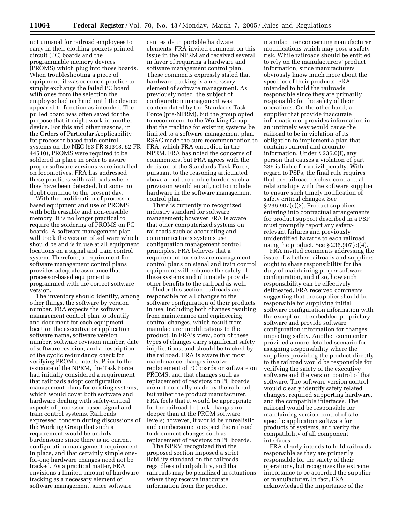not unusual for railroad employees to carry in their clothing pockets printed circuit (PC) boards and the programmable memory devices (PROMS) which plug into those boards. When troubleshooting a piece of equipment, it was common practice to simply exchange the failed PC board with ones from the selection the employee had on hand until the device appeared to function as intended. The pulled board was often saved for the purpose that it might work in another device. For this and other reasons, in the Orders of Particular Applicability for processor-based train control systems on the NEC (63 FR 39343, 52 FR 44510), PROMS were required to be soldered in place in order to assure proper software versions were installed on locomotives. FRA has addressed these practices with railroads where they have been detected, but some no doubt continue to the present day.

With the proliferation of processorbased equipment and use of PROMS with both erasable and non-erasable memory, it is no longer practical to require the soldering of PROMS on PC boards. A software management plan will track the version of software which should be and is in use at all equipment locations on a signal and train control system. Therefore, a requirement for software management control plans provides adequate assurance that processor-based equipment is programmed with the correct software version.

The inventory should identify, among other things, the software by version number. FRA expects the software management control plan to identify and document for each equipment location the executive or application software name, software version number, software revision number, date of software revision, and a description of the cyclic redundancy check for verifying PROM contents. Prior to the issuance of the NPRM, the Task Force had initially considered a requirement that railroads adopt configuration management plans for existing systems, which would cover both software and hardware dealing with safety-critical aspects of processor-based signal and train control systems. Railroads expressed concern during discussions of the Working Group that such a requirement would be unduly burdensome since there is no current configuration management requirement in place, and that certainly simple onefor-one hardware changes need not be tracked. As a practical matter, FRA envisions a limited amount of hardware tracking as a necessary element of software management, since software

can reside in portable hardware elements. FRA invited comment on this issue in the NPRM and received several in favor of requiring a hardware and software management control plan. These comments expressly stated that hardware tracking is a necessary element of software management. As previously noted, the subject of configuration management was contemplated by the Standards Task Force (pre-NPRM), but the group opted to recommend to the Working Group that the tracking for existing systems be limited to a software management plan. RSAC made the sure recommendation to FRA, which FRA embodied in the NPRM. FRA has noted the concerns of commenters, but FRA agrees with the decision of the Standards Task Force, pursuant to the reasoning articulated above about the undue burden such a provision would entail, not to include hardware in the software management control plan.

There is currently no recognized industry standard for software management; however FRA is aware that other computerized systems on railroads such as accounting and communications systems use configuration management control principles. FRA believes that a requirement for software management control plans on signal and train control equipment will enhance the safety of these systems and ultimately provide other benefits to the railroad as well.

Under this section, railroads are responsible for all changes to the software configuration of their products in use, including both changes resulting from maintenance and engineering control changes, which result from manufacturer modifications to the product. In FRA's view, both of these types of changes carry significant safety implications, and should be tracked by the railroad. FRA is aware that most maintenance changes involve replacement of PC boards or software on PROMS, and that changes such as replacement of resistors on PC boards are not normally made by the railroad, but rather the product manufacturer. FRA feels that it would be appropriate for the railroad to track changes no deeper than at the PROM software levels; however, it would be unrealistic and cumbersome to expect the railroad to document changes such as replacement of resistors on PC boards.

The NPRM recognized that the proposed section imposed a strict liability standard on the railroads regardless of culpability, and that railroads may be penalized in situations where they receive inaccurate information from the product

manufacturer concerning manufacturer modifications which may pose a safety risk. While railroads should be entitled to rely on the manufacturers' product information, since manufacturers obviously know much more about the specifics of their products, FRA intended to hold the railroads responsible since they are primarily responsible for the safety of their operations. On the other hand, a supplier that provide inaccurate information or provides information in an untimely way would cause the railroad to be in violation of its obligation to implement a plan that contains current and accurate information. Under § 236.0(f), any person that causes a violation of part 236 is liable for a civil penalty. With regard to PSPs, the final rule requires that the railroad disclose contractual relationships with the software supplier to ensure such timely notification of safety critical changes. See § 236.907(c)(3). Product suppliers entering into contractual arrangements for product support described in a PSP must promptly report any safetyrelevant failures and previously unidentified hazards to each railroad using the product. See § 236.907(c)(4).

FRA invited comments addressing the issue of whether railroads and suppliers ought to share responsibility for the duty of maintaining proper software configuration, and if so, how such responsibility can be effectively delineated. FRA received comments suggesting that the supplier should be responsible for supplying initial software configuration information with the exception of embedded proprietary software and provide software configuration information for changes impacting safety. Another commenter provided a more detailed scenario for assigning responsibility where the suppliers providing the product directly to the railroad would be responsible for verifying the safety of the executive software and the version control of that software. The software version control would clearly identify safety related changes, required supporting hardware, and the compatible interfaces. The railroad would be responsible for maintaining version control of site specific application software for products or systems, and verify the compatibility of all component interfaces.

FRA clearly intends to hold railroads responsible as they are primarily responsible for the safety of their operations, but recognizes the extreme importance to be accorded the supplier or manufacturer. In fact, FRA acknowledged the importance of the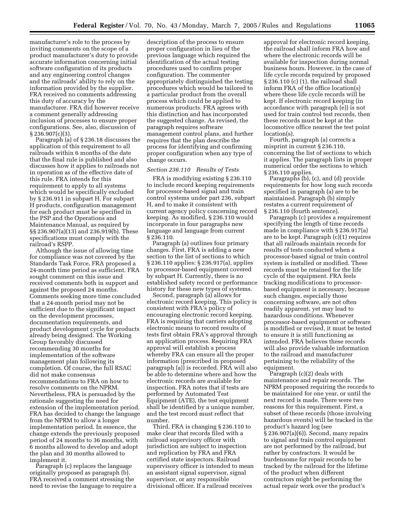manufacturer's role to the process by inviting comments on the scope of a product manufacturer's duty to provide accurate information concerning initial software configuration of its products and any engineering control changes and the railroads' ability to rely on the information provided by the supplier. FRA received no comments addressing this duty of accuracy by the manufacturer. FRA did however receive a comment generally addressing inclusion of processes to ensure proper configurations. See, also, discussion of  $\S 236.907(c)(3)$ .

Paragraph (a) of § 236.18 discusses the application of this requirement to all railroads within 6 months of the date that the final rule is published and also discusses how it applies to railroads not in operation as of the effective date of this rule. FRA intends for this requirement to apply to all systems which would be specifically excluded by § 236.911 in subpart H. For subpart H products, configuration management for each product must be specified in the PSP and the Operations and Maintenance Manual, as required by §§ 236.907(a)(13) and 236.919(b). These specifications must comply with the railroad's RSPP.

Although the issue of allowing time for compliance was not covered by the Standards Task Force, FRA proposed a 24-month time period as sufficient. FRA sought comment on this issue and received comments both in support and against the proposed 24 months. Comments seeking more time concluded that a 24-month period may not be sufficient due to the significant impact on the development processes, documentation requirements, and product development cycle for products already being designed. The Working Group favorably discussed recommending 30 months for implementation of the software management plan following its completion. Of course, the full RSAC did not make consensus recommendations to FRA on how to resolve comments on the NPRM. Nevertheless, FRA is persuaded by the rationale suggesting the need for extension of the implementation period. FRA has decided to change the language from the NPRM to allow a longer implementation period. In essence, the change extends the previously proposed period of 24 months to 36 months, with 6 months allowed to develop and adopt the plan and 30 months allowed to implement it.

Paragraph (c) replaces the language originally proposed as paragraph (b). FRA received a comment stressing the need to revise the language to require a

description of the process to ensure proper configuration in lieu of the previous language which required the identification of the actual testing procedures used to confirm proper configuration. The commenter appropriately distinguished the testing procedures which would be tailored to a particular product from the overall process which could be applied to numerous products. FRA agrees with this distinction and has incorporated the suggested change. As revised, the paragraph requires software management control plans, and further requires that the plan describe the process for identifying and confirming proper configuration when any type of change occurs.

#### *Section 236.110 Results of Tests*

FRA is modifying existing § 236.110 to include record keeping requirements for processor-based signal and train control systems under part 236, subpart H, and to make it consistent with current agency policy concerning record keeping. As modified, § 236.110 would incorporate in four paragraphs new language and language from current § 236.110.

Paragraph (a) outlines four primary changes. First, FRA is adding a new section to the list of sections to which § 236.110 applies: § 236.917(a), applies to processor-based equipment covered by subpart H. Currently, there is no established safety record or performance history for these new types of systems.

Second, paragraph (a) allows for electronic record keeping. This policy is consistent with FRA's policy of encouraging electronic record keeping. FRA is requiring that carriers adopting electronic means to record results of tests first obtain FRA's approval through an application process. Requiring FRA approval will establish a process whereby FRA can ensure all the proper information (prescribed in proposed paragraph (a)) is recorded. FRA will also be able to determine where and how the electronic records are available for inspection. FRA notes that if tests are performed by Automated Test Equipment (ATE), the test equipment shall be identified by a unique number, and the test record must reflect that number.

Third, FRA is changing § 236.110 to make clear that records filed with a railroad supervisory officer with jurisdiction are subject to inspection and replication by FRA and FRA certified state inspectors. Railroad supervisory officer is intended to mean an assistant signal supervisor, signal supervisor, or any responsible divisional officer. If a railroad receives

approval for electronic record keeping, the railroad shall inform FRA how and where the electronic records will be available for inspection during normal business hours. However, in the case of life cycle records required by proposed § 236.110 (c) (1), the railroad shall inform FRA of the office location(s) where these life cycle records will be kept. If electronic record keeping (in accordance with paragraph (e)) is not used for train control test records, then these records must be kept at the locomotive office nearest the test point location(s).

Fourth, paragraph (a) corrects a misprint in current § 236.110, concerning the list of sections to which it applies. The paragraph lists in proper numerical order the sections to which § 236.110 applies.

Paragraphs (b), (c), and (d) provide requirements for how long such records specified in paragraph (a) are to be maintained. Paragraph (b) simply restates a current requirement of § 236.110 (fourth sentence).

Paragraph (c) provides a requirement specifying the length of time records made in compliance with § 236.917(a) are to be kept. Paragraph (c)(1) requires that all railroads maintain records for results of tests conducted when a processor-based signal or train control system is installed or modified. These records must be retained for the life cycle of the equipment. FRA feels tracking modifications to processorbased equipment is necessary, because such changes, especially those concerning software, are not often readily apparent, yet may lead to hazardous conditions. Whenever processor-based equipment or software is modified or revised, it must be tested to ensure it is still functioning as intended. FRA believes these records will also provide valuable information to the railroad and manufacturer pertaining to the reliability of the equipment.

Paragraph (c)(2) deals with maintenance and repair records. The NPRM proposed requiring the records to be maintained for one year, or until the next record is made. There were two reasons for this requirement. First, a subset of these records (those involving hazardous events) will be tracked in the product's hazard log (see § 236.907(a)(6)). Second, many repairs to signal and train control equipment are not performed by the railroad, but rather by contractors. It would be burdensome for repair records to be tracked by the railroad for the lifetime of the product when different contractors might be performing the actual repair work over the product's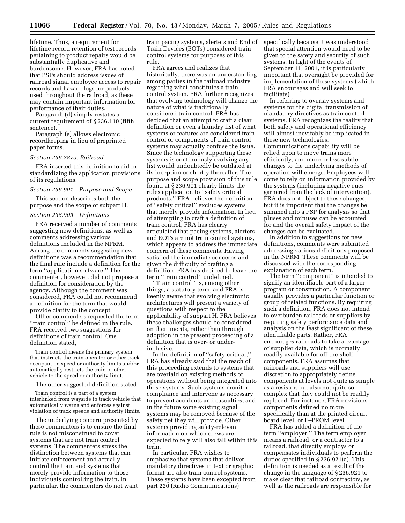lifetime. Thus, a requirement for lifetime record retention of test records pertaining to product repairs would be substantially duplicative and burdensome. However, FRA has noted that PSPs should address issues of railroad signal employee access to repair records and hazard logs for products used throughout the railroad, as these may contain important information for performance of their duties.

Paragraph (d) simply restates a current requirement of § 236.110 (fifth sentence).

Paragraph (e) allows electronic recordkeeping in lieu of preprinted paper forms.

#### *Section 236.787a. Railroad*

FRA inserted this definition to aid in standardizing the application provisions of its regulations.

#### *Section 236.901 Purpose and Scope*

This section describes both the purpose and the scope of subpart H.

#### *Section 236.903 Definitions*

FRA received a number of comments suggesting new definitions, as well as comments addressing various definitions included in the NPRM. Among the comments suggesting new definitions was a recommendation that the final rule include a definition for the term ''application software.'' The commenter, however, did not propose a definition for consideration by the agency. Although the comment was considered, FRA could not recommend a definition for the term that would provide clarity to the concept.

Other commenters requested the term ''train control'' be defined in the rule. FRA received two suggestions for definitions of train control. One definition stated,

Train control means the primary system that instructs the train operator or other track occupant on speed or authority limits and/or automatically restricts the train or other vehicle to the speed or authority limit.

The other suggested definition stated,

Train control is a part of a system interlinked from wayside to track vehicle that automatically warns and enforces against violation of track speeds and authority limits.

The underlying concern presented by these commenters is to ensure the final rule is not misconstrued to cover systems that are not train control systems. The commenters stress the distinction between systems that can initiate enforcement and actually control the train and systems that merely provide information to those individuals controlling the train. In particular, the commenters do not want

train pacing systems, alerters and End of Train Devices (EOTs) considered train control systems for purposes of this rule.

FRA agrees and realizes that historically, there was an understanding among parties in the railroad industry regarding what constitutes a train control system. FRA further recognizes that evolving technology will change the nature of what is traditionally considered train control. FRA has decided that an attempt to craft a clear definition or even a laundry list of what systems or features are considered train control or components of train control systems may actually confuse the issue. Since the technology supporting these systems is continuously evolving any list would undoubtedly be outdated at its inception or shortly thereafter. The purpose and scope provision of this rule found at § 236.901 clearly limits the rules application to ''safety critical products.'' FRA believes the definition of ''safety critical'' excludes systems that merely provide information. In lieu of attempting to craft a definition of train control, FRA has clearly articulated that pacing systems, alerters, and EOTs are not train control systems, which appears to address the immediate concern of these comments. Having satisfied the immediate concerns and given the difficulty of crafting a definition, FRA has decided to leave the term ''train control'' undefined.

''Train control'' is, among other things, a statutory term; and FRA is keenly aware that evolving electronic architectures will present a variety of questions with respect to the applicability of subpart H. FRA believes these challenges should be considered on their merits, rather than through adoption in the present proceeding of a definition that is over- or underinclusive.

In the definition of ''safety-critical,'' FRA has already said that the reach of this proceeding extends to systems that are overlaid on existing methods of operations without being integrated into those systems. Such systems monitor compliance and intervene as necessary to prevent accidents and casualties, and in the future some existing signal systems may be removed because of the safety net they will provide. Other systems providing safety-relevant information on which crews are expected to rely will also fall within this term.

In particular, FRA wishes to emphasize that systems that deliver mandatory directives in text or graphic format are also train control systems. These systems have been excepted from part 220 (Radio Communications)

specifically because it was understood that special attention would need to be given to the safety and security of such systems. In light of the events of September 11, 2001, it is particularly important that oversight be provided for implementation of these systems (which FRA encourages and will seek to facilitate).

In referring to overlay systems and systems for the digital transmission of mandatory directives as train control systems, FRA recognizes the reality that both safety and operational efficiency will almost inevitably be implicated in these new technologies. Communications capability will be relied upon to move trains more efficiently, and more or less subtle changes to the underlying methods of operation will emerge. Employees will come to rely on information provided by the systems (including negative cues garnered from the lack of intervention). FRA does not object to these changes, but it is important that the changes be summed into a PSP for analysis so that pluses and minuses can be accounted for and the overall safety impact of the changes can be evaluated.

In addition to suggestions for new definitions, comments were submitted addressing various definitions proposed in the NPRM. These comments will be discussed with the corresponding explanation of each term.

The term ''component'' is intended to signify an identifiable part of a larger program or construction. A component usually provides a particular function or group of related functions. By requiring such a definition, FRA does not intend to overburden railroads or suppliers by requiring safety performance data and analysis on the least significant of these identifiable parts. Rather, FRA encourages railroads to take advantage of supplier data, which is normally readily available for off-the-shelf components. FRA assumes that railroads and suppliers will use discretion to appropriately define components at levels not quite as simple as a resistor, but also not quite so complex that they could not be readily replaced. For instance, FRA envisions components defined no more specifically than at the printed circuit board level, or E–PROM level.

FRA has added a definition of the term ''employer.'' The term employer means a railroad, or a contractor to a railroad, that directly employs or compensates individuals to perform the duties specified in § 236.921(a). This definition is needed as a result of the change in the language of § 236.921 to make clear that railroad contractors, as well as the railroads are responsible for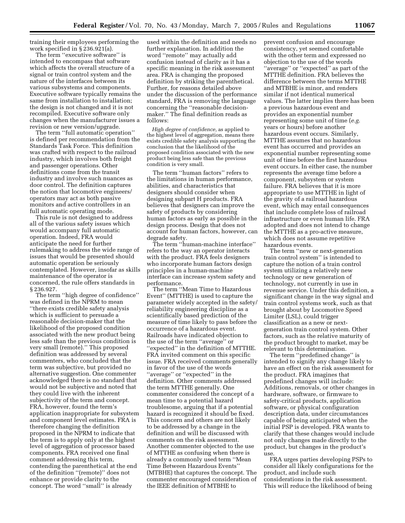training their employees performing the work specified in § 236.921(a).

The term "executive software" is intended to encompass that software which affects the overall structure of a signal or train control system and the nature of the interfaces between its various subsystems and components. Executive software typically remains the same from installation to installation; the design is not changed and it is not recompiled. Executive software only changes when the manufacturer issues a revision or new version/upgrade.

The term ''full automatic operation'' is defined per recommendation from the Standards Task Force. This definition was crafted with respect to the railroad industry, which involves both freight and passenger operations. Other definitions come from the transit industry and involve such nuances as door control. The definition captures the notion that locomotive engineers/ operators may act as both passive monitors and active controllers in an full automatic operating mode.

This rule is not designed to address all of the various safety issues which would accompany full automatic operation. Indeed, FRA would anticipate the need for further rulemaking to address the wide range of issues that would be presented should automatic operation be seriously contemplated. However, insofar as skills maintenance of the operator is concerned, the rule offers standards in § 236.927.

The term ''high degree of confidence'' was defined in the NPRM to mean ''there exists credible safety analysis which is sufficient to persuade a reasonable decision-maker that the likelihood of the proposed condition associated with the new product being less safe than the previous condition is very small (remote).'' This proposed definition was addressed by several commenters, who concluded that the term was subjective, but provided no alternative suggestion. One commenter acknowledged there is no standard that would not be subjective and noted that they could live with the inherent subjectivity of the term and concept. FRA, however, found the term's application inappropriate for subsystem and component level estimates. FRA is therefore changing the definition proposed in the NPRM to indicate that the term is to apply only at the highest level of aggregation of processor based components. FRA received one final comment addressing this term, contending the parenthetical at the end of the definition ''(remote)'' does not enhance or provide clarity to the concept. The word ''small'' is already

used within the definition and needs no further explanation. In addition the word ''remote'' may actually add confusion instead of clarity as it has a specific meaning in the risk assessment area. FRA is changing the proposed definition by striking the parenthetical. Further, for reasons detailed above under the discussion of the performance standard, FRA is removing the language concerning the ''reasonable decisionmaker.'' The final definition reads as follows:

*High degree of confidence,* as applied to the highest level of aggregation, means there exists credible safety analysis supporting the conclusion that the likelihood of the proposed condition associated with the new product being less safe than the previous condition is very small.

The term ''human factors'' refers to the limitations in human performance, abilities, and characteristics that designers should consider when designing subpart H products. FRA believes that designers can improve the safety of products by considering human factors as early as possible in the design process. Design that does not account for human factors, however, can degrade safety.

The term ''human-machine interface'' refers to the way an operator interacts with the product. FRA feels designers who incorporate human factors design principles in a human-machine interface can increase system safety and performance.

The term ''Mean Time to Hazardous Event'' (MTTHE) is used to capture the parameter widely accepted in the safety/ reliability engineering discipline as a scientifically based prediction of the measure of time likely to pass before the occurrence of a hazardous event. Railroads have indicated objection to the use of the term ''average'' or ''expected'' in the definition of MTTHE. FRA invited comment on this specific issue. FRA received comments generally in favor of the use of the words ''average'' or ''expected'' in the definition. Other comments addressed the term MTTHE generally. One commenter considered the concept of a mean time to a potential hazard troublesome, arguing that if a potential hazard is recognized it should be fixed. This concern and others are not likely to be addressed by a change in the definition and will be discussed with comments on the risk assessment. Another commenter objected to the use of MTTHE as confusing when there is already a commonly used term ''Mean Time Between Hazardous Events'' (MTBHE) that captures the concept. The commenter encouraged consideration of the IEEE definition of MTBHE to

prevent confusion and encourage consistency, yet seemed comfortable with the other term and expressed no objection to the use of the words ''average'' or ''expected'' as part of the MTTHE definition. FRA believes the difference between the terms MTTHE and MTBHE is minor, and renders similar if not identical numerical values. The latter implies there has been a previous hazardous event and provides an exponential number representing some unit of time (*e.g.* years or hours) before another hazardous event occurs. Similarly, MTTHE assumes that no hazardous event has occurred and provides an exponential number representing some unit of time before the first hazardous event occurs. In either case, the number represents the average time before a component, subsystem or system failure. FRA believes that it is more appropriate to use MTTHE in light of the gravity of a railroad hazardous event, which may entail consequences that include complete loss of railroad infrastructure or even human life. FRA adopted and does not intend to change the MTTHE as a pro-active measure, which does not assume repetitive hazardous events.

The term ''new or next-generation train control system'' is intended to capture the notion of a train control system utilizing a relatively new technology or new generation of technology, not currently in use in revenue service. Under this definition, a significant change in the way signal and train control systems work, such as that brought about by Locomotive Speed Limiter (LSL), could trigger classification as a new or nextgeneration train control system. Other factors, such as the relative maturity of the product brought to market, may be relevant to this determination.

The term ''predefined change'' is intended to signify any change likely to have an effect on the risk assessment for the product. FRA imagines that predefined changes will include: Additions, removals, or other changes in hardware, software, or firmware to safety-critical products, application software, or physical configuration description data, under circumstances capable of being anticipated when the initial PSP is developed. FRA wants to clarify that these changes would include not only changes made directly to the product, but changes in the product's use.

FRA urges parties developing PSPs to consider all likely configurations for the product, and include such considerations in the risk assessment. This will reduce the likelihood of being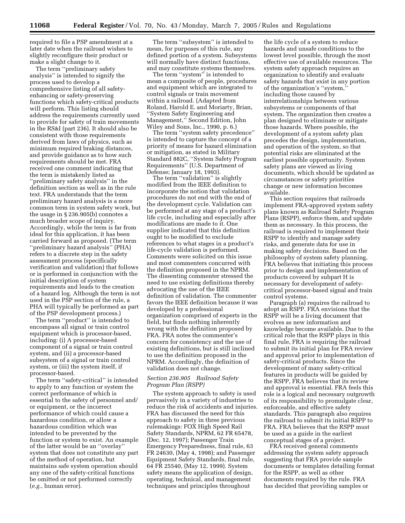required to file a PSP amendment at a later date when the railroad wishes to slightly reconfigure their product or make a slight change to it.

The term ''preliminary safety analysis'' is intended to signify the process used to develop a comprehensive listing of all safetyenhancing or safety-preserving functions which safety-critical products will perform. This listing should address the requirements currently used to provide for safety of train movements in the RS&I (part 236). It should also be consistent with those requirements derived from laws of physics, such as minimum required braking distances, and provide guidance as to how such requirements should be met. FRA received one comment indicating that the term is mistakenly listed as ''preliminary safety analysis'' in the definition section as well as in the rule text. FRA understands that the term preliminary hazard analysis is a more common term in system safety work, but the usage in § 236.905(b) connotes a much broader scope of inquiry. Accordingly, while the term is far from ideal for this application, it has been carried forward as proposed. (The term ''preliminary hazard analysis'' (PHA) refers to a discrete step in the safety assessment process (specifically verification and validation) that follows or is performed in conjunction with the initial description of system requirements and leads to the creation of a hazard log. Although the term is not used in the PSP section of the rule, a PHA will typically be performed as part of the PSP development process.)

The term ''product'' is intended to encompass all signal or train control equipment which is processor-based, including: (i) A processor-based component of a signal or train control system, and (ii) a processor-based subsystem of a signal or train control system, or (iii) the system itself, if processor-based.

The term ''safety-critical'' is intended to apply to any function or system the correct performance of which is essential to the safety of personnel and/ or equipment, or the incorrect performance of which could cause a hazardous condition, or allow a hazardous condition which was intended to be prevented by the function or system to exist. An example of the latter would be an ''overlay'' system that does not constitute any part of the method of operation, but maintains safe system operation should any one of the safety-critical functions be omitted or not performed correctly (*e.g.*, human error).

The term "subsystem" is intended to mean, for purposes of this rule, any defined portion of a system. Subsystems will normally have distinct functions, and may constitute systems themselves.

The term ''system'' is intended to mean a composite of people, procedures and equipment which are integrated to control signals or train movement within a railroad. (Adapted from Roland, Harold E. and Moriarty, Brian, ''System Safety Engineering and Management,'' Second Edition, John Wiley and Sons, Inc., 1990, p. 6.)

The term ''system safety precedence'' is intended to capture the concept of a priority of means for hazard elimination or mitigation, as stated in Military Standard 882C, ''System Safety Program Requirements'' (U.S. Department of Defense; January 18, 1993).

The term "validation" is slightly modified from the IEEE definition to incorporate the notion that validation procedures do not end with the end of the development cycle. Validation can be performed at any stage of a product's life cycle, including and especially after modifications are made to it. One supplier indicated that this definition ought to be modified to exclude references to what stages in a product's life-cycle validation is performed. Comments were solicited on this issue and most commenters concurred with the definition proposed in the NPRM. The dissenting commenter stressed the need to use existing definitions thereby advocating the use of the IEEE definition of validation. The commenter favors the IEEE definition because it was developed by a professional organization comprised of experts in the field, but finds nothing inherently wrong with the definition proposed by FRA. FRA notes the commenter's concern for consistency and the use of existing definitions, but is still inclined to use the definition proposed in the NPRM. Accordingly, the definition of validation does not change.

#### *Section 236.905 Railroad Safety Program Plan (RSPP)*

The system approach to safety is used pervasively in a variety of industries to reduce the risk of accidents and injuries. FRA has discussed the need for this approach to safety in three previous rulemakings: FOX High Speed Rail Safety Standards, NPRM, 62 FR 65478, (Dec. 12, 1997); Passenger Train Emergency Preparedness, final rule, 63 FR 24630, (May 4, 1998); and Passenger Equipment Safety Standards, final rule, 64 FR 25540, (May 12, 1999). System safety means the application of design, operating, technical, and management techniques and principles throughout

the life cycle of a system to reduce hazards and unsafe conditions to the lowest level possible, through the most effective use of available resources. The system safety approach requires an organization to identify and evaluate safety hazards that exist in any portion of the organization's ''system,'' including those caused by interrelationships between various subsystems or components of that system. The organization then creates a plan designed to eliminate or mitigate those hazards. Where possible, the development of a system safety plan precedes the design, implementation, and operation of the system, so that potential risks are eliminated at the earliest possible opportunity. System safety plans are viewed as living documents, which should be updated as circumstances or safety priorities change or new information becomes available.

This section requires that railroads implement FRA-approved system safety plans known as Railroad Safety Program Plans (RSPP), enforce them, and update them as necessary. In this process, the railroad is required to implement their RSPP to identify and manage safety risks, and generate data for use in making safety decisions. Based on the philosophy of system safety planning, FRA believes that initiating this process prior to design and implementation of products covered by subpart H is necessary for development of safetycritical processor-based signal and train control systems.

Paragraph (a) requires the railroad to adopt an RSPP. FRA envisions that the RSPP will be a living document that evolves as new information and knowledge become available. Due to the critical role that the RSPP plays in this final rule, FRA is requiring the railroad to submit its initial plan for FRA review and approval prior to implementation of safety-critical products. Since the development of many safety-critical features in products will be guided by the RSPP, FRA believes that its review and approval is essential. FRA feels this role is a logical and necessary outgrowth of its responsibility to promulgate clear, enforceable, and effective safety standards. This paragraph also requires the railroad to submit its initial RSPP to FRA. FRA believes that the RSPP must be used as a guide in the earliest conceptual stages of a project.

FRA received general comments addressing the system safety approach suggesting that FRA provide sample documents or templates detailing format for the RSPP, as well as other documents required by the rule. FRA has decided that providing samples or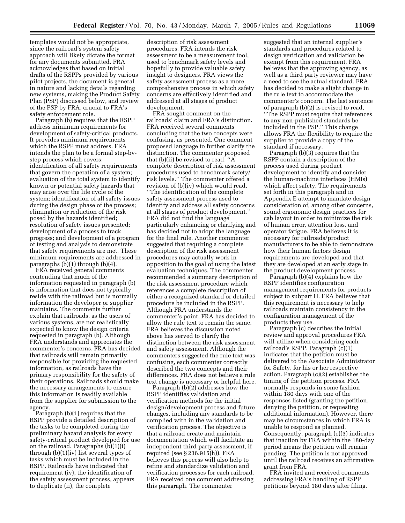templates would not be appropriate, since the railroad's system safety approach will likely dictate the format for any documents submitted. FRA acknowledges that based on initial drafts of the RSPPs provided by various pilot projects, the document is general in nature and lacking details regarding new systems, making the Product Safety Plan (PSP) discussed below, and review of the PSP by FRA, crucial to FRA's safety enforcement role.

Paragraph (b) requires that the RSPP address minimum requirements for development of safety-critical products. It provides minimum requirements which the RSPP must address. FRA intends the plan to be a formal step-bystep process which covers: identification of all safety requirements that govern the operation of a system; evaluation of the total system to identify known or potential safety hazards that may arise over the life cycle of the system; identification of all safety issues during the design phase of the process; elimination or reduction of the risk posed by the hazards identified; resolution of safety issues presented; development of a process to track progress; and development of a program of testing and analysis to demonstrate that safety requirements are met. These minimum requirements are addressed in paragraphs (b)(1) through (b)(4).

FRA received general comments contending that much of the information requested in paragraph (b) is information that does not typically reside with the railroad but is normally information the developer or supplier maintains. The comments further explain that railroads, as the users of various systems, are not realistically expected to know the design criteria requested in paragraph (b). Although FRA understands and appreciates the commenter's concerns, FRA has decided that railroads will remain primarily responsible for providing the requested information, as railroads have the primary responsibility for the safety of their operations. Railroads should make the necessary arrangements to ensure this information is readily available from the supplier for submission to the agency.

Paragraph (b)(1) requires that the RSPP provide a detailed description of the tasks to be completed during the preliminary hazard analysis for every safety-critical product developed for use on the railroad. Paragraphs (b)(1)(i) through (b)(1)(iv) list several types of tasks which must be included in the RSPP. Railroads have indicated that requirement (iv), the identification of the safety assessment process, appears to duplicate (ii), the complete

description of risk assessment procedures. FRA intends the risk assessment to be a measurement tool, used to benchmark safety levels and hopefully to provide valuable safety insight to designers. FRA views the safety assessment process as a more comprehensive process in which safety concerns are effectively identified and addressed at all stages of product development.

FRA sought comment on the railroads' claim and FRA's distinction. FRA received several comments concluding that the two concepts were confusing, as presented. One comment proposed language to further clarify the distinction. The commenter proposed that (b)(ii) be revised to read, ''A complete description of risk assessment procedures used to benchmark safety/ risk levels.'' The commenter offered a revision of (b)(iv) which would read, ''The identification of the complete safety assessment process used to identify and address all safety concerns at all stages of product development.'' FRA did not find the language particularly enhancing or clarifying and has decided not to adopt the language for the final rule. Another commenter suggested that requiring a complete description of the risk assessment procedures may actually work in opposition to the goal of using the latest evaluation techniques. The commenter recommended a summary description of the risk assessment procedure which references a complete description of either a recognized standard or detailed procedure be included in the RSPP. Although FRA understands the commenter's point, FRA has decided to allow the rule text to remain the same. FRA believes the discussion noted above has served to clarify the distinction between the risk assessment and safety assessment. Although the commenters suggested the rule text was confusing, each commenter correctly described the two concepts and their differences. FRA does not believe a rule text change is necessary or helpful here.

Paragraph (b)(2) addresses how the RSPP identifies validation and verification methods for the initial design/development process and future changes, including any standards to be complied with in the validation and verification process. The objective is that a railroad create and maintain documentation which will facilitate an independent third party assessment, if required (see § 236.915(h)). FRA believes this process will also help to refine and standardize validation and verification processes for each railroad. FRA received one comment addressing this paragraph. The commenter

suggested that an internal supplier's standards and procedures related to design verification and validation be exempt from this requirement. FRA believes that the approving agency, as well as a third party reviewer may have a need to see the actual standard. FRA has decided to make a slight change in the rule text to accommodate the commenter's concern. The last sentence of paragraph (b)(2) is revised to read, ''The RSPP must require that references to any non-published standards be included in the PSP.'' This change allows FRA the flexibility to require the supplier to provide a copy of the standard if necessary.

Paragraph (b)(3) requires that the RSPP contain a description of the process used during product development to identify and consider the human-machine interfaces (HMIs) which affect safety. The requirements set forth in this paragraph and in Appendix E attempt to mandate design consideration of, among other concerns, sound ergonomic design practices for cab layout in order to minimize the risk of human error, attention loss, and operator fatigue. FRA believes it is necessary for railroads/product manufacturers to be able to demonstrate how their human factors design requirements are developed and that they are developed at an early stage in the product development process.

Paragraph (b)(4) explains how the RSPP identifies configuration management requirements for products subject to subpart H. FRA believes that this requirement is necessary to help railroads maintain consistency in the configuration management of the products they use.

Paragraph (c) describes the initial review and approval procedures FRA will utilize when considering each railroad's RSPP. Paragraph (c)(1) indicates that the petition must be delivered to the Associate Administrator for Safety, for his or her respective action. Paragraph (c)(2) establishes the timing of the petition process. FRA normally responds in some fashion within 180 days with one of the responses listed (granting the petition, denying the petition, or requesting additional information). However, there may be circumstances in which FRA is unable to respond as planned. Consequently, paragraph (c)(3) indicates that inaction by FRA within the 180-day period means the petition will remain pending. The petition is not approved until the railroad receives an affirmative grant from FRA.

FRA invited and received comments addressing FRA's handling of RSPP petitions beyond 180 days after filing.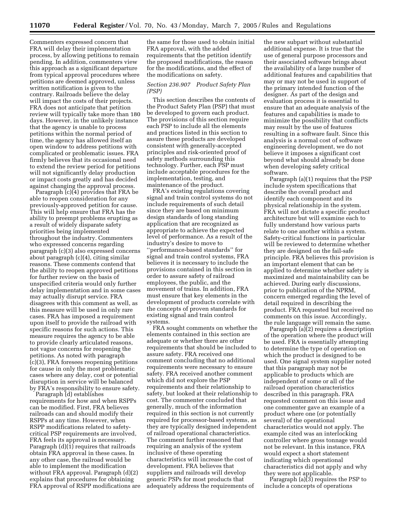Commenters expressed concern that FRA will delay their implementation process, by allowing petitions to remain pending. In addition, commenters view this approach as a significant departure from typical approval procedures where petitions are deemed approved, unless written notification is given to the contrary. Railroads believe the delay will impact the costs of their projects. FRA does not anticipate that petition review will typically take more than 180 days. However, in the unlikely instance that the agency is unable to process petitions within the normal period of time, the agency has allowed itself an open window to address petitions with complicated or problematic issues. FRA firmly believes that its occasional need to extend the review period for petitions will not significantly delay production or impact costs greatly and has decided against changing the approval process.

Paragraph (c)(4) provides that FRA be able to reopen consideration for any previously-approved petition for cause. This will help ensure that FRA has the ability to preempt problems erupting as a result of widely disparate safety priorities being implemented throughout the industry. Commenters who expressed concerns regarding paragraph (c)(3) also expressed concerns about paragraph (c)(4), citing similar reasons. These comments contend that the ability to reopen approved petitions for further review on the basis of unspecified criteria would only further delay implementation and in some cases may actually disrupt service. FRA disagrees with this comment as well, as this measure will be used in only rare cases. FRA has imposed a requirement upon itself to provide the railroad with specific reasons for such actions. This measure requires the agency to be able to provide clearly articulated reasons, not vague concerns for reopening the petitions. As noted with paragraph (c)(3), FRA foresees reopening petitions for cause in only the most problematic cases where any delay, cost or potential disruption in service will be balanced by FRA's responsibility to ensure safety.

Paragraph (d) establishes requirements for how and when RSPPs can be modified. First, FRA believes railroads can and should modify their RSPPs at any time. However, when RSPP modifications related to safetycritical PSP requirements are involved, FRA feels its approval is necessary. Paragraph (d)(1) requires that railroads obtain FRA approval in these cases. In any other case, the railroad would be able to implement the modification without FRA approval. Paragraph (d)(2) explains that procedures for obtaining FRA approval of RSPP modifications are

the same for those used to obtain initial FRA approval, with the added requirements that the petition identify the proposed modifications, the reason for the modifications, and the effect of the modifications on safety.

#### *Section 236.907 Product Safety Plan (PSP)*

This section describes the contents of the Product Safety Plan (PSP) that must be developed to govern each product. The provisions of this section require each PSP to include all the elements and practices listed in this section to assure these products are developed consistent with generally-accepted principles and risk-oriented proof of safety methods surrounding this technology. Further, each PSP must include acceptable procedures for the implementation, testing, and maintenance of the product.

FRA's existing regulations covering signal and train control systems do not include requirements of such detail since they are based on minimum design standards of long standing application that are recognized as appropriate to achieve the expected level of performance. As a result of the industry's desire to move to ''performance-based standards'' for signal and train control systems, FRA believes it is necessary to include the provisions contained in this section in order to assure safety of railroad employees, the public, and the movement of trains. In addition, FRA must ensure that key elements in the development of products correlate with the concepts of proven standards for existing signal and train control systems.

FRA sought comments on whether the elements contained in this section are adequate or whether there are other requirements that should be included to assure safety. FRA received one comment concluding that no additional requirements were necessary to ensure safety. FRA received another comment which did not explore the PSP requirements and their relationship to safety, but looked at their relationship to cost. The commenter concluded that generally, much of the information required in this section is not currently required for processor-based systems, as they are typically designed independent of railroad operational characteristics. The comment further reasoned that requiring an analysis of the system inclusive of these operating characteristics will increase the cost of development. FRA believes that suppliers and railroads will develop generic PSPs for most products that adequately address the requirements of

the new subpart without substantial additional expense. It is true that the use of general purpose processors and their associated software brings about the availability of a large number of additional features and capabilities that may or may not be used in support of the primary intended function of the designer. As part of the design and evaluation process it is essential to ensure that an adequate analysis of the features and capabilities is made to minimize the possibility that conflicts may result by the use of features resulting in a software fault. Since this analysis is a normal cost of software engineering development, we do not believe it imposes a significant cost beyond what should already be done when developing safety critical software.

Paragraph (a)(1) requires that the PSP include system specifications that describe the overall product and identify each component and its physical relationship in the system. FRA will not dictate a specific product architecture but will examine each to fully understand how various parts relate to one another within a system. Safety-critical functions in particular will be reviewed to determine whether they are designed on the fail-safe principle. FRA believes this provision is an important element that can be applied to determine whether safety is maximized and maintainability can be achieved. During early discussions, prior to publication of the NPRM, concern emerged regarding the level of detail required in describing the product. FRA requested but received no comments on this issue. Accordingly, the rule language will remain the same.

Paragraph (a)(2) requires a description of the operation where the product will be used. FRA is essentially attempting to determine the type of operation on which the product is designed to be used. One signal system supplier noted that this paragraph may not be applicable to products which are independent of some or all of the railroad operation characteristics described in this paragraph. FRA requested comment on this issue and one commenter gave an example of a product where one (or potentially several) of the operational characteristics would not apply. The example cited was an interlocking controller where gross tonnage would not be relevant. In this instance, FRA would expect a short statement indicating which operational characteristics did not apply and why they were not applicable.

Paragraph  $(a)(3)$  requires the PSP to include a concepts of operations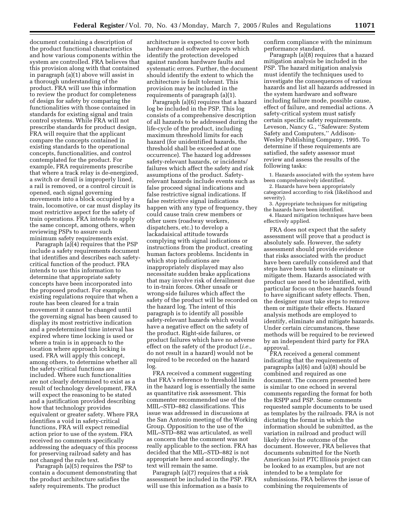document containing a description of the product functional characteristics and how various components within the system are controlled. FRA believes that this provision along with that contained in paragraph (a)(1) above will assist in a thorough understanding of the product. FRA will use this information to review the product for completeness of design for safety by comparing the functionalities with those contained in standards for existing signal and train control systems. While FRA will not prescribe standards for product design, FRA will require that the applicant compare the concepts contained in existing standards to the operational concepts, functionalities, and control contemplated for the product. For example, FRA requirements prescribe that where a track relay is de-energized, a switch or derail is improperly lined, a rail is removed, or a control circuit is opened, each signal governing movements into a block occupied by a train, locomotive, or car must display its most restrictive aspect for the safety of train operations. FRA intends to apply the same concept, among others, when reviewing PSPs to assure such minimum safety requirements exist.

Paragraph (a)(4) requires that the PSP include a safety requirements document that identifies and describes each safetycritical function of the product. FRA intends to use this information to determine that appropriate safety concepts have been incorporated into the proposed product. For example, existing regulations require that when a route has been cleared for a train movement it cannot be changed until the governing signal has been caused to display its most restrictive indication and a predetermined time interval has expired where time locking is used or where a train is in approach to the location where approach locking is used. FRA will apply this concept, among others, to determine whether all the safety-critical functions are included. Where such functionalities are not clearly determined to exist as a result of technology development, FRA will expect the reasoning to be stated and a justification provided describing how that technology provides equivalent or greater safety. Where FRA identifies a void in safety-critical functions, FRA will expect remedial action prior to use of the system. FRA received no comments specifically addressing the adequacy of this process for preserving railroad safety and has not changed the rule text.

Paragraph (a)(5) requires the PSP to contain a document demonstrating that the product architecture satisfies the safety requirements. The product

architecture is expected to cover both hardware and software aspects which identify the protection developed against random hardware faults and systematic errors. Further, the document should identify the extent to which the architecture is fault tolerant. This provision may be included in the requirements of paragraph (a)(1).

Paragraph (a)(6) requires that a hazard log be included in the PSP. This log consists of a comprehensive description of all hazards to be addressed during the life-cycle of the product, including maximum threshold limits for each hazard (for unidentified hazards, the threshold shall be exceeded at one occurrence). The hazard log addresses safety-relevant hazards, or incidents/ failures which affect the safety and risk assumptions of the product. Safetyrelevant hazards include events such as false proceed signal indications and false restrictive signal indications. If false restrictive signal indications happen with any type of frequency, they could cause train crew members or other users (roadway workers, dispatchers, etc.) to develop a lackadaisical attitude towards complying with signal indications or instructions from the product, creating human factors problems. Incidents in which stop indications are inappropriately displayed may also necessitate sudden brake applications that may involve risk of derailment due to in-train forces. Other unsafe or wrong-side failures which affect the safety of the product will be recorded on the hazard log. The intent of this paragraph is to identify all possible safety-relevant hazards which would have a negative effect on the safety of the product. Right-side failures, or product failures which have no adverse effect on the safety of the product (*i.e.*, do not result in a hazard) would not be required to be recorded on the hazard log.

FRA received a comment suggesting that FRA's reference to threshold limits in the hazard log is essentially the same as quantitative risk assessment. This commenter recommended use of the MIIL–STD–882 classifications. This issue was addressed in discussions at the San Antonio meeting of the Working Group. Opposition to the use of the MIL–STD–882 was articulated, as well as concern that the comment was not really applicable to the section. FRA has decided that the MIL–STD–882 is not appropriate here and accordingly, the text will remain the same.

Paragraph (a)(7) requires that a risk assessment be included in the PSP. FRA will use this information as a basis to

confirm compliance with the minimum performance standard.

Paragraph (a)(8) requires that a hazard mitigation analysis be included in the PSP. The hazard mitigation analysis must identify the techniques used to investigate the consequences of various hazards and list all hazards addressed in the system hardware and software including failure mode, possible cause, effect of failure, and remedial actions. A safety-critical system must satisfy certain specific safety requirements. Leveson, Nancy G., ''Safeware: System Safety and Computers,'' Addison-Wesley Publishing Company, 1995. To determine if these requirements are satisfied, the safety assessor must review and assess the results of the following tasks:

1. Hazards associated with the system have been comprehensively identified.

2. Hazards have been appropriately categorized according to risk (likelihood and severity).

3. Appropriate techniques for mitigating the hazards have been identified.

4. Hazard mitigation techniques have been effectively applied.

FRA does not expect that the safety assessment will prove that a product is absolutely safe. However, the safety assessment should provide evidence that risks associated with the product have been carefully considered and that steps have been taken to eliminate or mitigate them. Hazards associated with product use need to be identified, with particular focus on those hazards found to have significant safety effects. Then, the designer must take steps to remove them or mitigate their effects. Hazard analysis methods are employed to identify, eliminate and mitigate hazards. Under certain circumstances, these methods will be required to be reviewed by an independent third party for FRA approval.

FRA received a general comment indicating that the requirements of paragraphs (a)(6) and (a)(8) should be combined and required as one document. The concern presented here is similar to one echoed in several comments regarding the format for both the RSPP and PSP. Some comments requested sample documents to be used as templates by the railroads. FRA is not dictating the format in which the information should be submitted, as the variation in railroad and product will likely drive the outcome of the document. However, FRA believes that documents submitted for the North American Joint PTC Illinois project can be looked to as examples, but are not intended to be a template for submissions. FRA believes the issue of combining the requirements of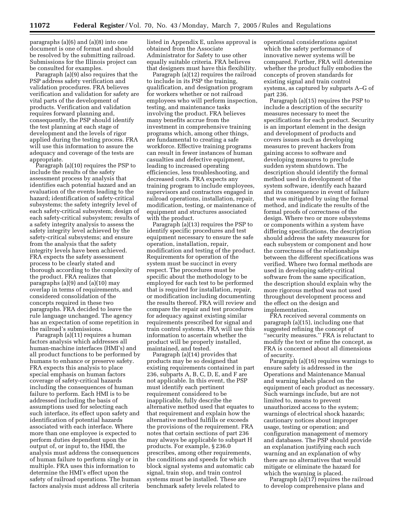paragraphs (a)(6) and (a)(8) into one document is one of format and should be resolved by the submitting railroad. Submissions for the Illinois project can be consulted for examples.

Paragraph (a)(9) also requires that the PSP address safety verification and validation procedures. FRA believes verification and validation for safety are vital parts of the development of products. Verification and validation requires forward planning and, consequently, the PSP should identify the test planning at each stage of development and the levels of rigor applied during the testing process. FRA will use this information to assure the adequacy and coverage of the tests are appropriate.

Paragraph (a)(10) requires the PSP to include the results of the safety assessment process by analysis that identifies each potential hazard and an evaluation of the events leading to the hazard; identification of safety-critical subsystems; the safety integrity level of each safety-critical subsystem; design of each safety-critical subsystem; results of a safety integrity analysis to assess the safety integrity level achieved by the safety-critical subsystems; and ensure from the analysis that the safety integrity levels have been achieved. FRA expects the safety assessment process to be clearly stated and thorough according to the complexity of the product. FRA realizes that paragraphs (a)(9) and (a)(10) may overlap in terms of requirements, and considered consolidation of the concepts required in these two paragraphs. FRA decided to leave the rule language unchanged. The agency has an expectation of some repetition in the railroad's submissions.

Paragraph (a)(11) requires a human factors analysis which addresses all human-machine interfaces (HMI's) and all product functions to be performed by humans to enhance or preserve safety. FRA expects this analysis to place special emphasis on human factors coverage of safety-critical hazards including the consequences of human failure to perform. Each HMI is to be addressed including the basis of assumptions used for selecting each such interface, its effect upon safety and identification of potential hazards associated with each interface. Where more than one employee is expected to perform duties dependent upon the output of, or input to, the HMI, the analysis must address the consequences of human failure to perform singly or in multiple. FRA uses this information to determine the HMI's effect upon the safety of railroad operations. The human factors analysis must address all criteria

listed in Appendix E, unless approval is obtained from the Associate Administrator for Safety to use other equally suitable criteria. FRA believes that designers must have this flexibility.

Paragraph (a)(12) requires the railroad to include in its PSP the training, qualification, and designation program for workers whether or not railroad employees who will perform inspection, testing, and maintenance tasks involving the product. FRA believes many benefits accrue from the investment in comprehensive training programs which, among other things, are fundamental to creating a safe workforce. Effective training programs can result in fewer instances of human casualties and defective equipment, leading to increased operating efficiencies, less troubleshooting, and decreased costs. FRA expects any training program to include employees, supervisors and contractors engaged in railroad operations, installation, repair, modification, testing, or maintenance of equipment and structures associated with the product.

Paragraph (a)(13) requires the PSP to identify specific procedures and test equipment necessary to ensure the safe operation, installation, repair, modification and testing of the product. Requirements for operation of the system must be succinct in every respect. The procedures must be specific about the methodology to be employed for each test to be performed that is required for installation, repair, or modification including documenting the results thereof. FRA will review and compare the repair and test procedures for adequacy against existing similar requirements prescribed for signal and train control systems. FRA will use this information to ascertain whether the product will be properly installed, maintained, and tested.

Paragraph (a)(14) provides that products may be so designed that existing requirements contained in part 236, subparts A, B, C, D, E, and F are not applicable. In this event, the PSP must identify each pertinent requirement considered to be inapplicable, fully describe the alternative method used that equates to that requirement and explain how the alternative method fulfills or exceeds the provisions of the requirement. FRA notes that certain sections of part 236 may always be applicable to subpart H products. For example, § 236.0 prescribes, among other requirements, the conditions and speeds for which block signal systems and automatic cab signal, train stop, and train control systems must be installed. These are benchmark safety levels related to

operational considerations against which the safety performance of innovative newer systems will be compared. Further, FRA will determine whether the product fully embodies the concepts of proven standards for existing signal and train control systems, as captured by subparts A–G of part 236.

Paragraph (a)(15) requires the PSP to include a description of the security measures necessary to meet the specifications for each product. Security is an important element in the design and development of products and covers issues such as developing measures to prevent hackers from gaining access to software and developing measures to preclude sudden system shutdown. The description should identify the formal method used in development of the system software, identify each hazard and its consequence in event of failure that was mitigated by using the formal method, and indicate the results of the formal proofs of correctness of the design. Where two or more subsystems or components within a system have differing specifications, the description should address the safety measures for each subsystem or component and how the correctness of the relationships between the different specifications was verified. Where two formal methods are used in developing safety-critical software from the same specification, the description should explain why the more rigorous method was not used throughout development process and the effect on the design and implementation.

FRA received several comments on paragraph (a)(15), including one that suggested refining the concept of ''security measures.'' FRA is reluctant to modify the text or refine the concept, as FRA is concerned about all dimensions of security.

Paragraph (a)(16) requires warnings to ensure safety is addressed in the Operations and Maintenance Manual and warning labels placed on the equipment of each product as necessary. Such warnings include, but are not limited to, means to prevent unauthorized access to the system; warnings of electrical shock hazards; cautionary notices about improper usage, testing or operation; and configuration management of memory and databases. The PSP should provide an explanation justifying each such warning and an explanation of why there are no alternatives that would mitigate or eliminate the hazard for which the warning is placed.

Paragraph (a)(17) requires the railroad to develop comprehensive plans and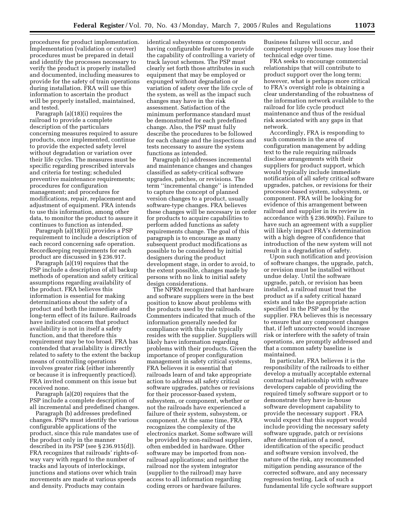procedures for product implementation. Implementation (validation or cutover) procedures must be prepared in detail and identify the processes necessary to verify the product is properly installed and documented, including measures to provide for the safety of train operations during installation. FRA will use this information to ascertain the product will be properly installed, maintained, and tested.

Paragraph (a)(18)(i) requires the railroad to provide a complete description of the particulars concerning measures required to assure products, once implemented, continue to provide the expected safety level without degradation or variation over their life cycles. The measures must be specific regarding prescribed intervals and criteria for testing; scheduled preventive maintenance requirements; procedures for configuration management; and procedures for modifications, repair, replacement and adjustment of equipment. FRA intends to use this information, among other data, to monitor the product to assure it continues to function as intended.

Paragraph (a)(18)(ii) provides a PSP requirement to include a description of each record concerning safe operation. Recordkeeping requirements for each product are discussed in § 236.917.

Paragraph (a)(19) requires that the PSP include a description of all backup methods of operation and safety critical assumptions regarding availability of the product. FRA believes this information is essential for making determinations about the safety of a product and both the immediate and long-term effect of its failure. Railroads have indicated concern that product availability is not in itself a safety function, and that therefore this requirement may be too broad. FRA has contended that availability is directly related to safety to the extent the backup means of controlling operations involves greater risk (either inherently or because it is infrequently practiced). FRA invited comment on this issue but received none.

Paragraph (a)(20) requires that the PSP include a complete description of all incremental and predefined changes.

Paragraph (b) addresses predefined changes. PSPs must identify the various configurable applications of the product, since this rule mandates use of the product only in the manner described in its PSP (see § 236.915(d)). FRA recognizes that railroads' rights-ofway vary with regard to the number of tracks and layouts of interlockings, junctions and stations over which train movements are made at various speeds and density. Products may contain

identical subsystems or components having configurable features to provide the capability of controlling a variety of track layout schemes. The PSP must clearly set forth those attributes in such equipment that may be employed or expunged without degradation or variation of safety over the life cycle of the system, as well as the impact such changes may have in the risk assessment. Satisfaction of the minimum performance standard must be demonstrated for each predefined change. Also, the PSP must fully describe the procedures to be followed for each change and the inspections and tests necessary to assure the system functions as intended.

Paragraph (c) addresses incremental and maintenance changes and changes classified as safety-critical software upgrades, patches, or revisions. The term ''incremental change'' is intended to capture the concept of planned version changes to a product, usually software-type changes. FRA believes these changes will be necessary in order for products to acquire capabilities to perform added functions as safety requirements change. The goal of this paragraph is to encourage as many subsequent product modifications as possible to be considered by initial designers during the product development stage, in order to avoid, to the extent possible, changes made by persons with no link to initial safety design considerations.

The NPRM recognized that hardware and software suppliers were in the best position to know about problems with the products used by the railroads. Commenters indicated that much of the information generally needed for compliance with this rule typically resides with the supplier. Suppliers will likely have information regarding problems with their products. Given the importance of proper configuration management in safety critical systems, FRA believes it is essential that railroads learn of and take appropriate action to address all safety critical software upgrades, patches or revisions for their processor-based system, subsystem, or component, whether or not the railroads have experienced a failure of their system, subsystem, or component. At the same time, FRA recognizes the complexity of the electronics market. Some software will be provided by non-railroad suppliers, often embedded in hardware. Other software may be imported from nonrailroad applications; and neither the railroad nor the system integrator (supplier to the railroad) may have access to all information regarding coding errors or hardware failures.

Business failures will occur, and competent supply houses may lose their technical edge over time.

FRA seeks to encourage commercial relationships that will contribute to product support over the long term; however, what is perhaps more critical to FRA's oversight role is obtaining a clear understanding of the robustness of the information network available to the railroad for life cycle product maintenance and thus of the residual risk associated with any gaps in that network.

Accordingly, FRA is responding to such comments in the area of configuration management by adding text to the rule requiring railroads disclose arrangements with their suppliers for product support, which would typically include immediate notification of all safety critical software upgrades, patches, or revisions for their processor-based system, subsystem, or component. FRA will be looking for evidence of this arrangement between railroad and supplier in its review in accordance with § 236.909(b). Failure to have such an agreement with a supplier will likely impact FRA's determination with a high degree of confidence that introduction of the new system will not result in a degradation of safety.

Upon such notification and provision of software changes, the upgrade, patch, or revision must be installed without undue delay. Until the software upgrade, patch, or revision has been installed, a railroad must treat the product as if a safety critical hazard exists and take the appropriate action specified in the PSP and by the supplier. FRA believes this is necessary to ensure that any component changes that, if left uncorrected would increase risk or interfere with the safety of train operations, are promptly addressed and that a common safety baseline is maintained.

In particular, FRA believes it is the responsibility of the railroads to either develop a mutually acceptable external contractual relationship with software developers capable of providing the required timely software support or to demonstrate they have in-house software development capability to provide the necessary support . FRA would expect that this support would include providing the necessary safety software upgrade, patch or revisions after determination of a need, identification of the specific product and software version involved, the nature of the risk, any recommended mitigation pending assurance of the corrected software, and any necessary regression testing. Lack of such a fundamental life cycle software support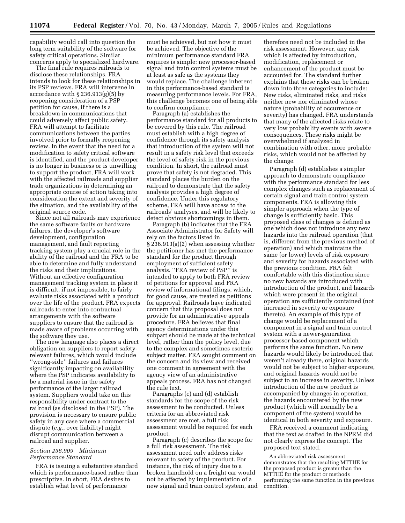capability would call into question the long term suitability of the software for safety critical operations. Similar concerns apply to specialized hardware.

The final rule requires railroads to disclose these relationships. FRA intends to look for these relationships in its PSP reviews. FRA will intervene in accordance with § 236.913(g)(5) by reopening consideration of a PSP petition for cause, if there is a breakdown in communications that could adversely affect public safety. FRA will attempt to facilitate communications between the parties involved prior to formally reopening review. In the event that the need for a modification to safety critical software is identified, and the product developer is no longer in business or is unwilling to support the product, FRA will work with the affected railroads and supplier trade organizations in determining an appropriate course of action taking into consideration the extent and severity of the situation, and the availability of the original source code.

Since not all railroads may experience the same software faults or hardware failures, the developer's software development, configuration management, and fault reporting tracking system play a crucial role in the ability of the railroad and the FRA to be able to determine and fully understand the risks and their implications. Without an effective configuration management tracking system in place it is difficult, if not impossible, to fairly evaluate risks associated with a product over the life of the product. FRA expects railroads to enter into contractual arrangements with the software suppliers to ensure that the railroad is made aware of problems occurring with the software they use.

The new language also places a direct obligation on suppliers to report safetyrelevant failures, which would include ''wrong-side'' failures and failures significantly impacting on availability where the PSP indicates availability to be a material issue in the safety performance of the larger railroad system. Suppliers would take on this responsibility under contract to the railroad (as disclosed in the PSP). The provision is necessary to ensure public safety in any case where a commercial dispute (*e.g.*, over liability) might disrupt communication between a railroad and supplier.

#### *Section 236.909 Minimum Performance Standard*

FRA is issuing a substantive standard which is performance-based rather than prescriptive. In short, FRA desires to establish what level of performance

must be achieved, but not how it must be achieved. The objective of the minimum performance standard FRA requires is simple: new processor-based signal and train control systems must be at least as safe as the systems they would replace. The challenge inherent in this performance-based standard is measuring performance levels. For FRA, this challenge becomes one of being able to confirm compliance.

Paragraph (a) establishes the performance standard for all products to be covered by this rule. The railroad must establish with a high degree of confidence through its safety analysis that introduction of the system will not result in a safety risk level that exceeds the level of safety risk in the previous condition. In short, the railroad must prove that safety is not degraded. This standard places the burden on the railroad to demonstrate that the safety analysis provides a high degree of confidence. Under this regulatory scheme, FRA will have access to the railroads' analyses, and will be likely to detect obvious shortcomings in them.

Paragraph (b) indicates that the FRA Associate Administrator for Safety will rely on the factors listed in § 236.913(g)(2) when assessing whether the petitioner has met the performance standard for the product through employment of sufficient safety analysis. ''FRA review of PSP'' is intended to apply to both FRA review of petitions for approval and FRA review of informational filings, which, for good cause, are treated as petitions for approval. Railroads have indicated concern that this proposal does not provide for an administrative appeals procedure. FRA believes that final agency determinations under this subpart should be made at the technical level, rather than the policy level, due to the complex and sometimes esoteric subject matter. FRA sought comment on the concern and its view and received one comment in agreement with the agency view of an administrative appeals process. FRA has not changed the rule text.

Paragraphs (c) and (d) establish standards for the scope of the risk assessment to be conducted. Unless criteria for an abbreviated risk assessment are met, a full risk assessment would be required for each product.

Paragraph (c) describes the scope for a full risk assessment. The risk assessment need only address risks relevant to safety of the product. For instance, the risk of injury due to a broken handhold on a freight car would not be affected by implementation of a new signal and train control system, and

therefore need not be included in the risk assessment. However, any risk which is affected by introduction, modification, replacement or enhancement of the product must be accounted for. The standard further explains that these risks can be broken down into three categories to include: New risks, eliminated risks, and risks neither new nor eliminated whose nature (probability of occurrence or severity) has changed. FRA understands that many of the affected risks relate to very low probability events with severe consequences. These risks might be overwhelmed if analyzed in combination with other, more probable risks, which would not be affected by the change.

Paragraph (d) establishes a simpler approach to demonstrate compliance with the performance standard for less complex changes such as replacement of certain signal and train control system components. FRA is allowing this simpler approach when the type of change is sufficiently basic. This proposed class of changes is defined as one which does not introduce any new hazards into the railroad operation (that is, different from the previous method of operation) and which maintains the same (or lower) levels of risk exposure and severity for hazards associated with the previous condition. FRA felt comfortable with this distinction since no new hazards are introduced with introduction of the product, and hazards which were present in the original operation are sufficiently contained (not increased in severity or exposure thereto). An example of this type of change would be replacement of a component in a signal and train control system with a newer-generation processor-based component which performs the same function. No new hazards would likely be introduced that weren't already there, original hazards would not be subject to higher exposure, and original hazards would not be subject to an increase in severity. Unless introduction of the new product is accompanied by changes in operation, the hazards encountered by the new product (which will normally be a component of the system) would be identical in both severity and exposure.

FRA received a comment indicating that the text as drafted in the NPRM did not clearly express the concept. The proposed text stated,

An abbreviated risk assessment demonstrates that the resulting MTTHE for the proposed product is greater than the MTTHE for the product or methods performing the same function in the previous condition.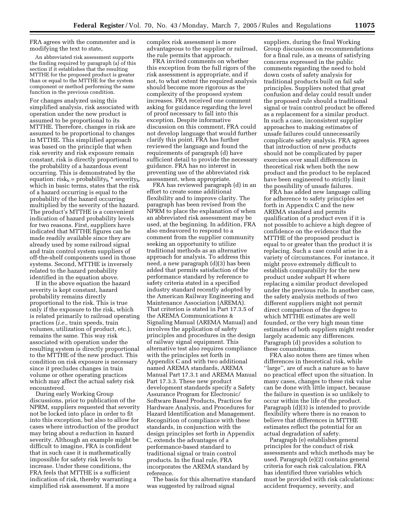FRA agrees with the commenter and is modifying the text to state,

An abbreviated risk assessment supports the finding required by paragraph (a) of this section if it establishes that the resulting MTTHE for the proposed product is greater than or equal to the MTTHE for the system component or method performing the same function in the previous condition.

For changes analyzed using this simplified analysis, risk associated with operation under the new product is assumed to be proportional to its MTTHE. Therefore, changes in risk are assumed to be proportional to changes in MTTHE. This simplified approach was based on the principle that when risk severity and risk exposure remain constant, risk is directly proportional to the probability of a hazardous event occurring. This is demonstrated by the equation:  $risk_h = probability_h *$  severity<sub>h</sub>. which in basic terms, states that the risk of a hazard occurring is equal to the probability of the hazard occurring multiplied by the severity of the hazard. The product's MTTHE is a convenient indication of hazard probability levels for two reasons. First, suppliers have indicated that MTTHE figures can be made readily available since they are already used by some railroad signal and train control system suppliers of off-the-shelf components used in those systems. Second, MTTHE is inversely related to the hazard probability identified in the equation above.

If in the above equation the hazard severity is kept constant, hazard probability remains directly proportional to the risk. This is true only if the exposure to the risk, which is related primarily to railroad operating practices (*i.e.*, train speeds, train volumes, utilization of product, etc.), remains the same. This way risk associated with operation under the resulting system is directly proportional to the MTTHE of the new product. This condition on risk exposure is necessary since it precludes changes in train volume or other operating practices which may affect the actual safety risk encountered.

During early Working Group discussions, prior to publication of the NPRM, suppliers requested that severity not be locked into place in order to fit into this exception, but also to allow for cases where introduction of the product may bring about a reduction in hazard severity. Although an example might be difficult to imagine, FRA is confident that in such case it is mathematically impossible for safety risk levels to increase. Under these conditions, the FRA feels that MTTHE is a sufficient indication of risk, thereby warranting a simplified risk assessment. If a more

complex risk assessment is more advantageous to the supplier or railroad, the rule permits that approach.

FRA invited comments on whether this exception from the full rigors of the risk assessment is appropriate, and if not, to what extent the required analysis should become more rigorous as the complexity of the proposed system increases. FRA received one comment asking for guidance regarding the level of proof necessary to fall into this exception. Despite informative discussion on this comment, FRA could not develop language that would further clarify this point. FRA has further reviewed the language and found the requirements of paragraph (d) have sufficient detail to provide the necessary guidance. FRA has no interest in preventing use of the abbreviated risk assessment, when appropriate.

FRA has reviewed paragraph (d) in an effort to create some additional flexibility and to improve clarity. The paragraph has been revised from the NPRM to place the explanation of when an abbreviated risk assessment may be used, at the beginning. In addition, FRA also endeavored to respond to a comment from the supplier community seeking an opportunity to utilize traditional methods as an alternative approach for analysis. To address this need, a new paragraph (d)(3) has been added that permits satisfaction of the performance standard by reference to safety criteria stated in a specified industry standard recently adopted by the American Railway Engineering and Maintenance Association (AREMA). That criterion is stated in Part 17.3.5 of the AREMA Communications & Signaling Manual (AREMA Manual) and involves the application of safety principles and procedures in the design of railway signal equipment. This alternative test also requires compliance with the principles set forth in Appendix C and with two additional named AREMA standards, AREMA Manual Part 17.3.1 and AREMA Manual Part 17.3.3. These new product development standards specify a Safety Assurance Program for Electronic/ Software Based Products, Practices for Hardware Analysis, and Procedures for Hazard Identification and Management. Recognition of compliance with these standards, in conjunction with the design principles set forth in Appendix C, extends the advantages of a performance-based standard to traditional signal or train control products. In the final rule, FRA incorporates the AREMA standard by reference.

The basis for this alternative standard was suggested by railroad signal

suppliers, during the final Working Group discussions on recommendations for a final rule, as a means of satisfying concerns expressed in the public comments regarding the need to hold down costs of safety analysis for traditional products built on fail safe principles. Suppliers noted that great confusion and delay could result under the proposed rule should a traditional signal or train control product be offered as a replacement for a similar product. In such a case, inconsistent supplier approaches to making estimates of unsafe failures could unnecessarily complicate safety analysis. FRA agrees that introduction of new products should not be complicated by paper exercises over small differences in theoretical risk when both the new product and the product to be replaced have been engineered to strictly limit the possibility of unsafe failures.

FRA has added new language calling for adherence to safety principles set forth in Appendix C and the new AREMA standard and permits qualification of a product even if it is not possible to achieve a high degree of confidence on the evidence that the MTTHE of the proposed product is equal to or greater than the product it is replacing. Such a case could arise in a variety of circumstances. For instance, it might prove extremely difficult to establish comparability for the new product under subpart H where replacing a similar product developed under the previous rule. In another case, the safety analysis methods of two different suppliers might not permit direct comparison of the degree to which MTTHE estimates are well founded, or the very high mean time estimates of both suppliers might render largely academic any differences. Paragraph (d) provides a solution to these conundrums.

FRA also notes there are times when differences in theoretical risk, while ''large'', are of such a nature as to have no practical effect upon the situation. In many cases, changes to these risk value can be done with little impact, because the failure in question is so unlikely to occur within the life of the product. Paragraph (d)(3) is intended to provide flexibility where there is no reason to believe that differences in MTTHE estimates reflect the potential for an actual degradation of safety.

Paragraph (e) establishes general principles for the conduct of risk assessments and which methods may be used. Paragraph (e)(2) contains general criteria for each risk calculation. FRA has identified three variables which must be provided with risk calculations: accident frequency, severity, and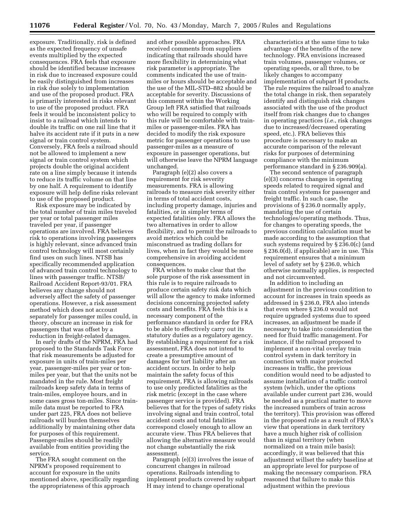exposure. Traditionally, risk is defined as the expected frequency of unsafe events multiplied by the expected consequences. FRA feels that exposure should be identified because increases in risk due to increased exposure could be easily distinguished from increases in risk due solely to implementation and use of the proposed product. FRA is primarily interested in risks relevant to use of the proposed product. FRA feels it would be inconsistent policy to insist to a railroad which intends to double its traffic on one rail line that it halve its accident rate if it puts in a new signal or train control system. Conversely, FRA feels a railroad should not be allowed to implement a new signal or train control system which projects double the original accident rate on a line simply because it intends to reduce its traffic volume on that line by one half. A requirement to identify exposure will help define risks relevant to use of the proposed product.

Risk exposure may be indicated by the total number of train miles traveled per year or total passenger miles traveled per year, if passenger operations are involved. FRA believes risk to operations involving passengers is highly relevant, since advanced train control technology will most certainly find uses on such lines. NTSB has specifically recommended application of advanced train control technology to lines with passenger traffic. NTSB/ Railroad Accident Report-93/01. FRA believes any change should not adversely affect the safety of passenger operations. However, a risk assessment method which does not account separately for passenger miles could, in theory, obscure an increase in risk for passengers that was offset by a reduction in freight-related damages.

In early drafts of the NPRM, FRA had proposed to the Standards Task Force that risk measurements be adjusted for exposure in units of train-miles per year, passenger-miles per year or tonmiles per year, but that the units not be mandated in the rule. Most freight railroads keep safety data in terms of train-miles, employee hours, and in some cases gross ton-miles. Since trainmile data must be reported to FRA under part 225, FRA does not believe railroads will burden themselves additionally by maintaining other data for purposes of this requirement. Passenger-miles should be readily available from entities providing the service.

The FRA sought comment on the NPRM's proposed requirement to account for exposure in the units mentioned above, specifically regarding the appropriateness of this approach

and other possible approaches. FRA received comments from suppliers indicating that railroads should have more flexibility in determining what risk parameter is appropriate. The comments indicated the use of trainmiles or hours should be acceptable and the use of the MIL-STD–882 should be acceptable for severity. Discussions of this comment within the Working Group left FRA satisfied that railroads who will be required to comply with this rule will be comfortable with trainmiles or passenger-miles. FRA has decided to modify the risk exposure metric for passenger operations to use passenger-miles as a measure of exposure in passenger operations, but will otherwise leave the NPRM language unchanged.

Paragraph (e)(2) also covers a requirement for risk severity measurements. FRA is allowing railroads to measure risk severity either in terms of total accident costs, including property damage, injuries and fatalities, or in simpler terms of expected fatalities only. FRA allows the two alternatives in order to allow flexibility, and to permit the railroads to avoid metrics which could be misconstrued as trading dollars for lives, when in fact they would be more comprehensive in avoiding accident consequences.

FRA wishes to make clear that the sole purpose of the risk assessment in this rule is to require railroads to produce certain safety risk data which will allow the agency to make informed decisions concerning projected safety costs and benefits. FRA feels this is a necessary component of the performance standard in order for FRA to be able to effectively carry out its statutory duties as a regulatory agency. By establishing a requirement for a risk assessment, FRA does not intend to create a presumptive amount of damages for tort liability after an accident occurs. In order to help maintain the safety focus of this requirement, FRA is allowing railroads to use only predicted fatalities as the risk metric (except in the case where passenger service is provided). FRA believes that for the types of safety risks involving signal and train control, total accident costs and total fatalities correspond closely enough to allow an accurate view. Thus FRA believes that allowing the alternative measure would not change substantially the risk assessment.

Paragraph (e)(3) involves the issue of concurrent changes in railroad operations. Railroads intending to implement products covered by subpart H may intend to change operational

characteristics at the same time to take advantage of the benefits of the new technology. FRA envisions increased train volumes, passenger volumes, or operating speeds, or all three, to be likely changes to accompany implementation of subpart H products. The rule requires the railroad to analyze the total change in risk, then separately identify and distinguish risk changes associated with the use of the product itself from risk changes due to changes in operating practices (*i.e.*, risk changes due to increased/decreased operating speed, etc.). FRA believes this procedure is necessary to make an accurate comparison of the relevant risks for purposes of determining compliance with the minimum performance standard in § 236.909(a).

The second sentence of paragraph (e)(3) concerns changes in operating speeds related to required signal and train control systems for passenger and freight traffic. In such case, the provisions of § 236.0 normally apply, mandating the use of certain technologies/operating methods. Thus, for changes to operating speeds, the previous condition calculation must be made according to the assumption that such systems required by § 236.0(c) (and § 236.0(d), if applicable) are in use. This requirement ensures that a minimum level of safety set by § 236.0, which otherwise normally applies, is respected and not circumvented.

In addition to including an adjustment in the previous condition to account for increases in train speeds as addressed in § 236.0, FRA also intends that even where § 236.0 would not require upgraded systems due to speed increases, an adjustment be made if necessary to take into consideration the need for fluid traffic management. For instance, if the railroad proposed to implement a non-vital overlay train control system in dark territory in connection with major projected increases in traffic, the previous condition would need to be adjusted to assume installation of a traffic control system (which, under the options available under current part 236, would be needed as a practical matter to move the increased numbers of train across the territory). This provision was offered in the proposed rule as a result of FRA's view that operations in dark territory have a much higher risk of collision than in signal territory (when normalized on a train mile basis); accordingly, it was believed that this adjustment willset the safety baseline at an appropriate level for purpose of making the necessary comparison. FRA reasoned that failure to make this adjustment within the previous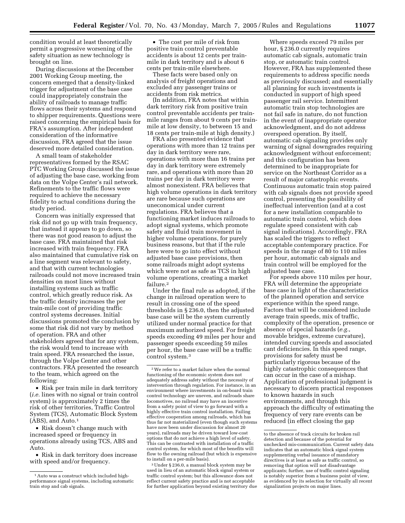condition would at least theoretically permit a progressive worsening of the safety situation as new technology is brought on line.

During discussions at the December 2001 Working Group meeting, the concern emerged that a density-linked trigger for adjustment of the base case could inappropriately constrain the ability of railroads to manage traffic flows across their systems and respond to shipper requirements. Questions were raised concerning the empirical basis for FRA's assumption. After independent consideration of the informative discussion, FRA agreed that the issue deserved more detailed consideration.

A small team of stakeholder representatives formed by the RSAC PTC Working Group discussed the issue of adjusting the base case, working from data on the Volpe Center's rail network. Refinements to the traffic flows were required to achieve the necessary fidelity to actual conditions during the study period.

Concern was initially expressed that risk did not go up with train frequency, that instead it appears to go down, so there was not good reason to adjust the base case. FRA maintained that risk increased with train frequency. FRA also maintained that cumulative risk on a line segment was relevant to safety, and that with current technologies railroads could not move increased train densities on most lines without installing systems such as traffic control, which greatly reduce risk. As the traffic density increases the per train-mile cost of providing traffic control systems decreases. Initial discussions promoted the conclusion by some that risk did not vary by method of operation. FRA and other stakeholders agreed that for any system, the risk would tend to increase with train speed. FRA researched the issue, through the Volpe Center and other contractors. FRA presented the research to the team, which agreed on the following:

• Risk per train mile in dark territory (*i.e.* lines with no signal or train control system) is approximately 2 times the risk of other territories, Traffic Control System (TCS), Automatic Block System (ABS), and Auto.1

• Risk doesn't change much with increased speed or frequency in operations already using TCS, ABS and Auto.

• Risk in dark territory does increase with speed and/or frequency.

• The cost per mile of risk from positive train control preventable accidents is about 12 cents per trainmile in dark territory and is about 6 cents per train-mile elsewhere.

These facts were based only on analysis of freight operations and excluded any passenger trains or accidents from risk metrics.

(In addition, FRA notes that within dark territory risk from positive train control preventable accidents per trainmile ranges from about 9 cents per trainmile at low density, to between 15 and 18 cents per train-mile at high density.)

FRA also presented evidence that operations with more than 12 trains per day in dark territory were rare, operations with more than 16 trains per day in dark territory were extremely rare, and operations with more than 20 trains per day in dark territory were almost nonexistent. FRA believes that high volume operations in dark territory are rare because such operations are uneconomical under current regulations. FRA believes that a functioning market induces railroads to adopt signal systems, which promote safety and fluid train movement in higher volume operations, for purely business reasons, but that if the rule here were to go into effect without adjusted base case provisions, then some railroads might adopt systems which were not as safe as TCS in high volume operations, creating a market failure.2

Under the final rule as adopted, if the change in railroad operation were to result in crossing one of the speed thresholds in § 236.0, then the adjusted base case will be the system currently utilized under normal practice for that maximum authorized speed. For freight speeds exceeding 49 miles per hour and passenger speeds exceeding 59 miles per hour, the base case will be a traffic control system.3

3Under § 236.0, a manual block system may be used in lieu of an automatic block signal system or traffic control system; but this allowance does not reflect current safety practice and is not acceptable for further application beyond existing territory due

Where speeds exceed 79 miles per hour, § 236.0 currently requires automatic cab signals, automatic train stop, or automatic train control. However, FRA has supplemented these requirements to address specific needs as previously discussed; and essentially all planning for such investments is conducted in support of high speed passenger rail service. Intermittent automatic train stop technologies are not fail safe in nature, do not function in the event of inappropriate operator acknowledgment, and do not address overspeed operation. By itself, automatic cab signaling provides only warning of signal downgrades requiring acknowledgment without enforcement; and this configuration has been determined to be inappropriate for service on the Northeast Corridor as a result of major catastrophic events. Continuous automatic train stop paired with cab signals does not provide speed control, presenting the possibility of ineffectual intervention (and at a cost for a new installation comparable to automatic train control, which does regulate speed consistent with cab signal indications). Accordingly, FRA has scaled the triggers to reflect acceptable contemporary practice. For speeds in the range of 80 to 110 miles per hour, automatic cab signals and train control will be employed for the adjusted base case.

For speeds above 110 miles per hour, FRA will determine the appropriate base case in light of the characteristics of the planned operation and service experience within the speed range. Factors that will be considered include average train speeds, mix of traffic, complexity of the operation, presence or absence of special hazards (*e.g.*, movable bridges, extreme curvature), intended curving speeds and associated cant deficiencies. In this speed range, provisions for safety must be particularly rigorous because of the highly catastrophic consequences that can occur in the case of a mishap. Application of professional judgment is necessary to discern practical responses to known hazards in such environments, and through this approach the difficulty of estimating the frequency of very rare events can be reduced (in effect closing the gap

<sup>&</sup>lt;sup>1</sup> Auto was a construct which included highperformance signal systems, including automatic train stop and cab signals.

<sup>2</sup>We refer to a market failure when the normal functioning of the economic system does not adequately address safety without the necessity of intervention through regulation. For instance, in an environment where investments in on-board train control technology are uneven, and railroads share locomotives, no railroad may have an incentive from a safety point of view to go forward with a highly effective train control installation. Failing effective cooperation among railroads, which has thus far not materialized (even though such systems have now been under discussion for almost 20 years), railroads may be driven toward low-cost options that do not achieve a high level of safety. This can be contrasted with installation of a traffic control system, for which most of the benefits will flow to the owning railroad (but which is expensive to install on a per-mile basis).

to the absence of track circuits for broken rail detection and because of the potential for unchecked mis-communication. Current safety data indicates that an automatic block signal system supplementing verbal issuance of mandatory directives is at least as safe as traffic control, so removing that option will not disadvantage applicants; further, use of traffic control signaling is notably superior from a business point of view, as evidenced by its selection for virtually all recent signalization projects on major lines.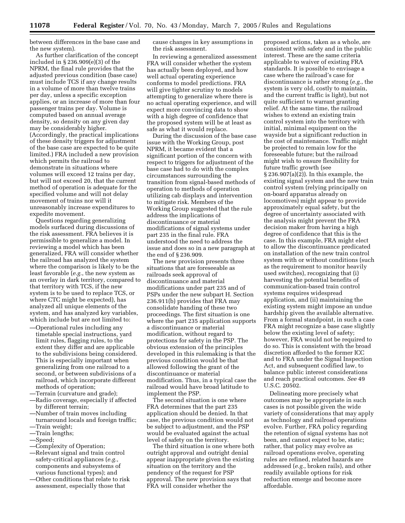between differences in the base case and the new system).

As further clarification of the concept included in § 236.909(e)(3) of the NPRM, the final rule provides that the adjusted previous condition (base case) must include TCS if any change results in a volume of more than twelve trains per day, unless a specific exception applies, or an increase of more than four passenger trains per day. Volume is computed based on annual average density, so density on any given day may be considerably higher. (Accordingly, the practical implications of these density triggers for adjustment of the base case are expected to be quite limited.) FRA included a new provision which permits the railroad to demonstrate in situations where volumes will exceed 12 trains per day, but will not exceed 20, that the current method of operation is adequate for the specified volume and will not delay movement of trains nor will it unreasonably increase expenditures to expedite movement.

Questions regarding generalizing models surfaced during discussions of the risk assessment. FRA believes it is permissible to generalize a model. In reviewing a model which has been generalized, FRA will consider whether the railroad has analyzed the system where the comparison is likely to be the least favorable (*e.g.*, the new system as an overlay in dark territory, compared to that territory with TCS, if the new system is to be used to replace TCS, or where CTC might be expected), has analyzed all unique elements of the system, and has analyzed key variables, which include but are not limited to:

- —Operational rules including any timetable special instructions, yard limit rules, flagging rules, to the extent they differ and are applicable to the subdivisions being considered. This is especially important when generalizing from one railroad to a second, or between subdivisions of a railroad, which incorporate different methods of operation;
- —Terrain (curvature and grade);
- —Radio coverage, especially if affected by different terrain;
- —Number of train moves including turnaround locals and foreign traffic;
- —Train weight;
- —Train lengths;
- —Speed;
- —Complexity of Operation;
- —Relevant signal and train control safety-critical appliances (*e.g.*, components and subsystems of various functional types); and
- —Other conditions that relate to risk assessment, especially those that

cause changes in key assumptions in the risk assessment.

In reviewing a generalized assessment FRA will consider whether the system has actually been deployed, and how well actual operating experience conforms to model predictions. FRA will give tighter scrutiny to models attempting to generalize where there is no actual operating experience, and will expect more convincing data to show with a high degree of confidence that the proposed system will be at least as safe as what it would replace.

During the discussion of the base case issue with the Working Group, post NPRM, it became evident that a significant portion of the concern with respect to triggers for adjustment of the base case had to do with the complex circumstances surrounding the transition from signal-based methods of operation to methods of operation utilizing cab displays and intervention to mitigate risk. Members of the Working Group suggested that the rule address the implications of discontinuance or material modifications of signal systems under part 235 in the final rule. FRA understood the need to address the issue and does so in a new paragraph at the end of § 236.909.

The new provision presents three situations that are foreseeable as railroads seek approval of discontinuance and material modifications under part 235 and of PSPs under the new subpart H. Section 236.911(b) provides that FRA may consolidate handing of these two proceedings. The first situation is one where the part 235 application supports a discontinuance or material modification, without regard to protections for safety in the PSP. The obvious extension of the principles developed in this rulemaking is that the previous condition would be that allowed following the grant of the discontinuance or material modification. Thus, in a typical case the railroad would have broad latitude to implement the PSP.

The second situation is one where FRA determines that the part 235 application should be denied. In that case, the previous condition would not be subject to adjustment, and the PSP would be evaluated against the actual level of safety on the territory.

The third situation is one where both outright approval and outright denial appear inappropriate given the existing situation on the territory and the pendency of the request for PSP approval. The new provision says that FRA will consider whether the

proposed actions, taken as a whole, are consistent with safety and in the public interest. These are the same criteria applicable to waiver of existing FRA standards. It is possible to envisage a case where the railroad's case for discontinuance is rather strong (*e.g.*, the system is very old, costly to maintain, and the current traffic is light), but not quite sufficient to warrant granting relief. At the same time, the railroad wishes to extend an existing train control system into the territory with initial, minimal equipment on the wayside but a significant reduction in the cost of maintenance. Traffic might be projected to remain low for the foreseeable future; but the railroad might wish to ensure flexibility for future traffic growth (see § 236.907(a)(2)). In this example, the existing signal system and the new train control system (relying principally on on-board apparatus already on locomotives) might appear to provide approximately equal safety, but the degree of uncertainty associated with the analysis might prevent the FRA decision maker from having a high degree of confidence that this is the case. In this example, FRA might elect to allow the discontinuance predicated on installation of the new train control system with or without conditions (such as the requirement to monitor heavily used switches), recognizing that (i) harvesting the potential benefits of communication-based train control systems requires widespread application, and (ii) maintaining the existing system might impose an undue hardship given the available alternative. From a formal standpoint, in such a case FRA might recognize a base case slightly below the existing level of safety; however, FRA would not be required to do so. This is consistent with the broad discretion afforded to the former ICC and to FRA under the Signal Inspection Act, and subsequent codified law, to balance public interest considerations and reach practical outcomes. *See* 49 U.S.C. 20502.

Delineating more precisely what outcomes may be appropriate in such cases is not possible given the wide variety of considerations that may apply as technology and railroad operations evolve. Further, FRA policy regarding the retention of signal systems has not been, and cannot expect to be, static; rather, that policy may evolve as railroad operations evolve, operating rules are refined, related hazards are addressed (*e.g.*, broken rails), and other readily available options for risk reduction emerge and become more affordable.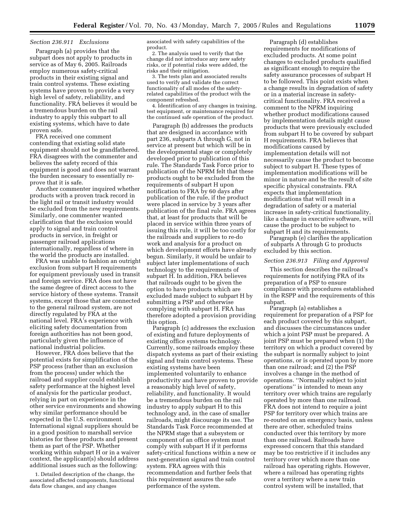#### *Section 236.911 Exclusions*

Paragraph (a) provides that the subpart does not apply to products in service as of May 6, 2005. Railroads employ numerous safety-critical products in their existing signal and train control systems. These existing systems have proven to provide a very high level of safety, reliability, and functionality. FRA believes it would be a tremendous burden on the rail industry to apply this subpart to all existing systems, which have to date proven safe.

FRA received one comment contending that existing solid state equipment should not be grandfathered. FRA disagrees with the commenter and believes the safety record of this equipment is good and does not warrant the burden necessary to essentially reprove that it is safe.

Another commenter inquired whether products with a proven track record in the light rail or transit industry would be excluded from the new requirements. Similarly, one commenter wanted clarification that the exclusion would apply to signal and train control products in service, in freight or passenger railroad applications internationally, regardless of where in the world the products are installed.

FRA was unable to fashion an outright exclusion from subpart H requirements for equipment previously used in transit and foreign service. FRA does not have the same degree of direct access to the service history of these systems. Transit systems, except those that are connected to the general railroad system, are not directly regulated by FRA at the national level. FRA's experience with eliciting safety documentation from foreign authorities has not been good, particularly given the influence of national industrial policies.

However, FRA does believe that the potential exists for simplification of the PSP process (rather than an exclusion from the process) under which the railroad and supplier could establish safety performance at the highest level of analysis for the particular product, relying in part on experience in the other service environments and showing why similar performance should be expected in the U.S. environment. International signal suppliers should be in a good position to marshall service histories for these products and present them as part of the PSP. Whether working within subpart H or in a waiver context, the applicant(s) should address additional issues such as the following:

1. Detailed description of the change, the associated affected components, functional data flow changes, and any changes

associated with safety capabilities of the product.

2. The analysis used to verify that the change did not introduce any new safety risks, or if potential risks were added, the risks and their mitigation.

3. The tests plan and associated results used to verify and validate the correct functionality of all modes of the safetyrelated capabilities of the product with the component refreshed.

4. Identification of any changes in training, test equipment, or maintenance required for the continued safe operation of the product.

Paragraph (b) addresses the products that are designed in accordance with part 236, subparts A through G, not in service at present but which will be in the developmental stage or completely developed prior to publication of this rule. The Standards Task Force prior to publication of the NPRM felt that these products ought to be excluded from the requirements of subpart H upon notification to FRA by 60 days after publication of the rule, if the product were placed in service by 3 years after publication of the final rule. FRA agrees that, at least for products that will be placed in service within three years of issuing this rule, it will be too costly for the railroads and suppliers to re-do work and analysis for a product on which development efforts have already begun. Similarly, it would be unfair to subject later implementations of such technology to the requirements of subpart H. In addition, FRA believes that railroads ought to be given the option to have products which are excluded made subject to subpart H by submitting a PSP and otherwise complying with subpart H. FRA has therefore adopted a provision providing this option.

Paragraph (c) addresses the exclusion of existing and future deployments of existing office systems technology. Currently, some railroads employ these dispatch systems as part of their existing signal and train control systems. These existing systems have been implemented voluntarily to enhance productivity and have proven to provide a reasonably high level of safety, reliability, and functionality. It would be a tremendous burden on the rail industry to apply subpart H to this technology and, in the case of smaller railroads, might discourage its use. The Standards Task Force recommended at the NPRM stage that a subsystem or component of an office system must comply with subpart H if it performs safety-critical functions within a new or next-generation signal and train control system. FRA agrees with this recommendation and further feels that this requirement assures the safe performance of the system.

Paragraph (d) establishes requirements for modifications of excluded products. At some point changes to excluded products qualified as significant enough to require the safety assurance processes of subpart H to be followed. This point exists when a change results in degradation of safety or in a material increase in safetycritical functionality. FRA received a comment to the NPRM inquiring whether product modifications caused by implementation details might cause products that were previously excluded from subpart H to be covered by subpart H requirements. FRA believes that modifications caused by implementation details will not necessarily cause the product to become subject to subpart H. These types of implementation modifications will be minor in nature and be the result of site specific physical constraints. FRA expects that implementation modifications that will result in a degradation of safety or a material increase in safety-critical functionality, like a change in executive software, will cause the product to be subject to subpart H and its requirements.

Paragraph (e) clarifies the application of subparts A through G to products excluded by this section.

#### *Section 236.913 Filing and Approval*

This section describes the railroad's requirements for notifying FRA of its preparation of a PSP to ensure compliance with procedures established in the RSPP and the requirements of this subpart.

Paragraph (a) establishes a requirement for preparation of a PSP for each product covered by this subpart, and discusses the circumstances under which a joint PSP must be prepared. A joint PSP must be prepared when (1) the territory on which a product covered by the subpart is normally subject to joint operations, or is operated upon by more than one railroad; and (2) the PSP involves a change in the method of operations. ''Normally subject to joint operations'' is intended to mean any territory over which trains are regularly operated by more than one railroad. FRA does not intend to require a joint PSP for territory over which trains are re-routed on an emergency basis, unless there are other, scheduled trains conducted over this territory by more than one railroad. Railroads have expressed concern that this standard may be too restrictive if it includes any territory over which more than one railroad has operating rights. However, where a railroad has operating rights over a territory where a new train control system will be installed, that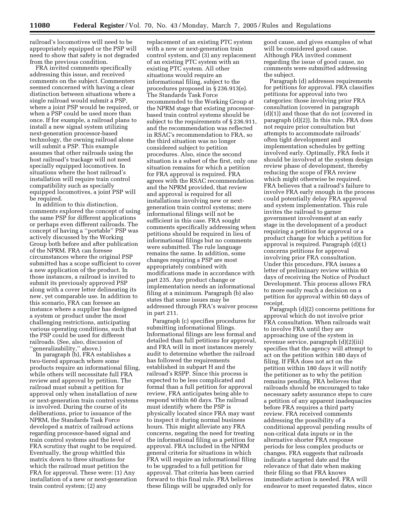railroad's locomotives will need to be appropriately equipped or the PSP will need to show that safety is not degraded from the previous condition.

FRA invited comments specifically addressing this issue, and received comments on the subject. Commenters seemed concerned with having a clear distinction between situations where a single railroad would submit a PSP, where a joint PSP would be required, or when a PSP could be used more than once. If for example, a railroad plans to install a new signal system utilizing next-generation processor-based technology, the owning railroad alone will submit a PSP. This example assumes that other railroads using the host railroad's trackage will not need specially equipped locomotives. In situations where the host railroad's installation will require train control compatibility such as specially equipped locomotives, a joint PSP will be required.

In addition to this distinction, comments explored the concept of using the same PSP for different applications or perhaps even different railroads. The concept of having a ''portable'' PSP was actively discussed by the Working Group both before and after publication of the NPRM. FRA can foresee circumstances where the original PSP submitted has a scope sufficient to cover a new application of the product. In those instances, a railroad is invited to submit its previously approved PSP along with a cover letter delineating its new, yet comparable use. In addition to this scenario, FRA can foresee an instance where a supplier has designed a system or product under the most challenging restrictions, anticipating various operating conditions, such that the PSP could be used for different railroads. (See, also, discussion of ''generalizability,'' above.)

In paragraph (b), FRA establishes a two-tiered approach where some products require an informational filing, while others will necessitate full FRA review and approval by petition. The railroad must submit a petition for approval only when installation of new or next-generation train control systems is involved. During the course of its deliberations, prior to issuance of the NPRM, the Standards Task Force developed a matrix of railroad actions regarding processor-based signal and train control systems and the level of FRA scrutiny that ought to be required. Eventually, the group whittled this matrix down to three situations for which the railroad must petition the FRA for approval. These were: (1) Any installation of a new or next-generation train control system; (2) any

replacement of an existing PTC system with a new or next-generation train control system, and (3) any replacement of an existing PTC system with an existing PTC system. All other situations would require an informational filing, subject to the procedures proposed in § 236.913(e). The Standards Task Force recommended to the Working Group at the NPRM stage that existing processorbased train control systems should be subject to the requirements of § 236.911, and the recommendation was reflected in RSAC's recommendation to FRA, so the third situation was no longer considered subject to petition procedures. Also, since the second situation is a subset of the first, only one situation remains for which a petition for FRA approval is required. FRA agrees with the RSAC recommendation and the NPRM provided, that review and approval is required for all installations involving new or nextgeneration train control systems; mere informational filings will not be sufficient in this case. FRA sought comments specifically addressing when petitions should be required in lieu of informational filings but no comments were submitted. The rule language remains the same. In addition, some changes requiring a PSP are most appropriately combined with modifications made in accordance with part 235. Any product change or implementation needs an informational filing at a minimum. Paragraph (b) also states that some issues may be addressed through FRA's waiver process in part 211.

Paragraph (c) specifies procedures for submitting informational filings. Informational filings are less formal and detailed than full petitions for approval, and FRA will in most instances merely audit to determine whether the railroad has followed the requirements established in subpart H and the railroad's RSPP. Since this process is expected to be less complicated and formal than a full petition for approval review, FRA anticipates being able to respond within 60 days. The railroad must identify where the PSP is physically located since FRA may want to inspect it during normal business hours. This might alleviate any FRA concerns, negating the need for treating the informational filing as a petition for approval. FRA included in the NPRM general criteria for situations in which FRA will require an informational filing to be upgraded to a full petition for approval. That criteria has been carried forward to this final rule. FRA believes these filings will be upgraded only for

good cause, and gives examples of what will be considered good cause. Although FRA invited comment regarding the issue of good cause, no comments were submitted addressing the subject.

Paragraph (d) addresses requirements for petitions for approval. FRA classifies petitions for approval into two categories: those involving prior FRA consultation (covered in paragraph (d)(1)) and those that do not (covered in paragraph (d)(2)). In this rule, FRA does not require prior consultation but attempts to accommodate railroads' often tight development and implementation schedules by getting involved early. Optimally, FRA feels it should be involved at the system design review phase of development, thereby reducing the scope of FRA review which might otherwise be required. FRA believes that a railroad's failure to involve FRA early enough in the process could potentially delay FRA approval and system implementation. This rule invites the railroad to garner government involvement at an early stage in the development of a product requiring a petition for approval or a product change for which a petition for approval is required. Paragraph (d)(1) concerns petitions for approval involving prior FRA consultation. Under this procedure, FRA issues a letter of preliminary review within 60 days of receiving the Notice of Product Development. This process allows FRA to more easily reach a decision on a petition for approval within 60 days of receipt.

Paragraph (d)(2) concerns petitions for approval which do not involve prior FRA consultation. When railroads wait to involve FRA until they are approaching use of the system in revenue service, paragraph (d)(2)(iii) specifies that the agency will attempt to act on the petition within 180 days of filing. If FRA does not act on the petition within 180 days it will notify the petitioner as to why the petition remains pending. FRA believes that railroads should be encouraged to take necessary safety assurance steps to cure a petition of any apparent inadequacies before FRA requires a third party review. FRA received comments addressing the possibility of a conditional approval pending results of non-critical data inputs or in the alternative shorter FRA response periods for less complex products or changes. FRA suggests that railroads indicate a targeted date and the relevance of that date when making their filing so that FRA knows immediate action is needed. FRA will endeavor to meet requested dates, since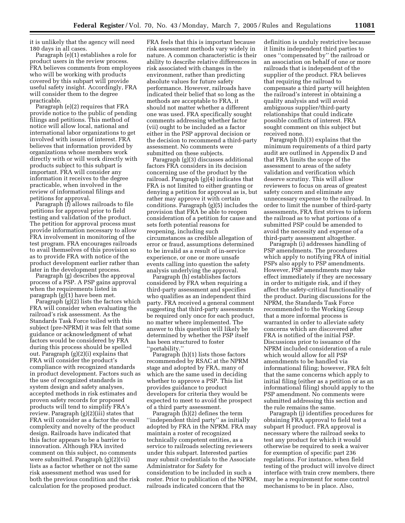it is unlikely that the agency will need 180 days in all cases.

Paragraph (e)(1) establishes a role for product users in the review process. FRA believes comments from employees who will be working with products covered by this subpart will provide useful safety insight. Accordingly, FRA will consider them to the degree practicable.

Paragraph (e)(2) requires that FRA provide notice to the public of pending filings and petitions. This method of notice will allow local, national and international labor organizations to get involved with issues of interest. FRA believes that information provided by organizations whose members work directly with or will work directly with products subject to this subpart is important. FRA will consider any information it receives to the degree practicable, when involved in the review of informational filings and petitions for approval.

Paragraph (f) allows railroads to file petitions for approval prior to field testing and validation of the product. The petition for approval process must provide information necessary to allow FRA involvement in monitoring of the test program. FRA encourages railroads to avail themselves of this provision so as to provide FRA with notice of the product development earlier rather than later in the development process.

Paragraph (g) describes the approval process of a PSP. A PSP gains approval when the requirements listed in paragraph (g)(1) have been met.

Paragraph (g)(2) lists the factors which FRA will consider when evaluating the railroad's risk assessment. As the Standards Task Force toiled with this subject (pre-NPRM) it was felt that some guidance or acknowledgment of what factors would be considered by FRA during this process should be spelled out. Paragraph (g)(2)(i) explains that FRA will consider the product's compliance with recognized standards in product development. Factors such as the use of recognized standards in system design and safety analyses, accepted methods in risk estimates and proven safety records for proposed products will tend to simplify FRA's review. Paragraph (g)(2)(iii) states that FRA will consider as a factor the overall complexity and novelty of the product design. Railroads have indicated that this factor appears to be a barrier to innovation. Although FRA invited comment on this subject, no comments were submitted. Paragraph (g)(2)(vii) lists as a factor whether or not the same risk assessment method was used for both the previous condition and the risk calculation for the proposed product.

FRA feels that this is important because risk assessment methods vary widely in nature. A common characteristic is their ability to describe relative differences in risk associated with changes in the environment, rather than predicting absolute values for future safety performance. However, railroads have indicated their belief that so long as the methods are acceptable to FRA, it should not matter whether a different one was used. FRA specifically sought comments addressing whether factor (vii) ought to be included as a factor either in the PSP approval decision or the decision to recommend a third-party assessment. No comments were submitted on these subjects.

Paragraph (g)(3) discusses additional factors FRA considers in its decision concerning use of the product by the railroad. Paragraph (g)(4) indicates that FRA is not limited to either granting or denying a petition for approval as is, but rather may approve it with certain conditions. Paragraph (g)(5) includes the provision that FRA be able to reopen consideration of a petition for cause and sets forth potential reasons for reopening, including such circumstances as credible allegation of error or fraud, assumptions determined to be invalid as a result of in-service experience, or one or more unsafe events calling into question the safety analysis underlying the approval.

Paragraph (h) establishes factors considered by FRA when requiring a third-party assessment and specifies who qualifies as an independent third party. FRA received a general comment suggesting that third-party assessments be required only once for each product, no matter where implemented. The answer to this question will likely be determined by whether the PSP itself has been structured to foster ''portability.''

Paragraph (h)(1) lists those factors recommended by RSAC at the NPRM stage and adopted by FRA, many of which are the same used in deciding whether to approve a PSP. This list provides guidance to product developers for criteria they would be expected to meet to avoid the prospect of a third party assessment.

Paragraph (h)(2) defines the term ''independent third party'' as initially adopted by FRA in the NPRM. FRA may maintain a roster of recognized technically competent entities, as a service to railroads selecting reviewers under this subpart. Interested parties may submit credentials to the Associate Administrator for Safety for consideration to be included in such a roster. Prior to publication of the NPRM, railroads indicated concern that the

definition is unduly restrictive because it limits independent third parties to ones ''compensated by'' the railroad or an association on behalf of one or more railroads that is independent of the supplier of the product. FRA believes that requiring the railroad to compensate a third party will heighten the railroad's interest in obtaining a quality analysis and will avoid ambiguous supplier/third-party relationships that could indicate possible conflicts of interest. FRA sought comment on this subject but received none.

Paragraph (h)(3) explains that the minimum requirements of a third party audit are outlined in Appendix D and that FRA limits the scope of the assessment to areas of the safety validation and verification which deserve scrutiny. This will allow reviewers to focus on areas of greatest safety concern and eliminate any unnecessary expense to the railroad. In order to limit the number of third-party assessments, FRA first strives to inform the railroad as to what portions of a submitted PSP could be amended to avoid the necessity and expense of a third-party assessment altogether.

Paragraph (i) addresses handling of PSP amendments. The procedures which apply to notifying FRA of initial PSPs also apply to PSP amendments. However, PSP amendments may take effect immediately if they are necessary in order to mitigate risk, and if they affect the safety-critical functionality of the product. During discussions for the NPRM, the Standards Task Force recommended to the Working Group that a more informal process is warranted in order to alleviate safety concerns which are discovered after FRA is notified of the initial PSP. Discussions prior to issuance of the NPRM included consideration of a rule which would allow for all PSP amendments to be handled via informational filing; however, FRA felt that the same concerns which apply to initial filing (either as a petition or as an informational filing) should apply to the PSP amendment. No comments were submitted addressing this section and the rule remains the same.

Paragraph (j) identifies procedures for obtaining FRA approval to field test a subpart H product. FRA approval is necessary where the railroad seeks to test any product for which it would otherwise be required to seek a waiver for exemption of specific part 236 regulations. For instance, when field testing of the product will involve direct interface with train crew members, there may be a requirement for some control mechanisms to be in place. Also,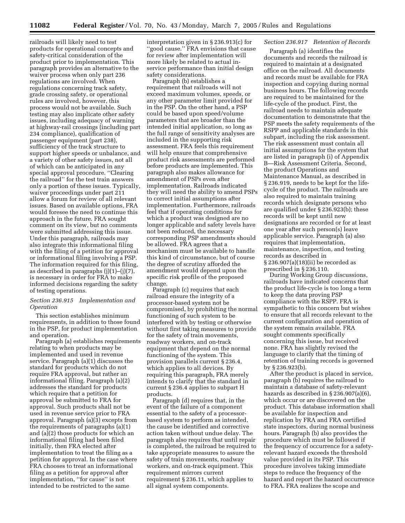railroads will likely need to test products for operational concepts and safety-critical consideration of the product prior to implementation. This paragraph provides an alternative to the waiver process when only part 236 regulations are involved. When regulations concerning track safety, grade crossing safety, or operational rules are involved, however, this process would not be available. Such testing may also implicate other safety issues, including adequacy of warning at highway-rail crossings (including part 234 compliance), qualification of passenger equipment (part 238), sufficiency of the track structure to support higher speeds or unbalance, and a variety of other safety issues, not all of which can be anticipated in any special approval procedure. ''Clearing the railroad'' for the test train answers only a portion of these issues. Typically, waiver proceedings under part 211 allow a forum for review of all relevant issues. Based on available options, FRA would foresee the need to continue this approach in the future. FRA sought comment on its view, but no comments were submitted addressing this issue. Under this paragraph, railroads may also integrate this informational filing with the filing of a petition for approval or informational filing involving a PSP. The information required for this filing, as described in paragraphs (j)(1)–(j)(7), is necessary in order for FRA to make informed decisions regarding the safety of testing operations.

#### *Section 236.915 Implementation and Operation*

This section establishes minimum requirements, in addition to those found in the PSP, for product implementation and operation.

Paragraph (a) establishes requirements relating to when products may be implemented and used in revenue service. Paragraph (a)(1) discusses the standard for products which do not require FRA approval, but rather an informational filing. Paragraph (a)(2) addresses the standard for products which require that a petition for approval be submitted to FRA for approval. Such products shall not be used in revenue service prior to FRA approval. Paragraph (a)(3) excepts from the requirements of paragraphs (a)(1) and (a)(2) those products for which an informational filing had been filed initially, then FRA elected after implementation to treat the filing as a petition for approval. In the case where FRA chooses to treat an informational filing as a petition for approval after implementation, ''for cause'' is not intended to be restricted to the same

interpretation given in § 236.913(c) for ''good cause.'' FRA envisions that cause for review after implementation will more likely be related to actual inservice performance than initial design safety considerations.

Paragraph (b) establishes a requirement that railroads will not exceed maximum volumes, speeds, or any other parameter limit provided for in the PSP. On the other hand, a PSP could be based upon speed/volume parameters that are broader than the intended initial application, so long as the full range of sensitivity analyses are included in the supporting risk assessment. FRA feels this requirement will help ensure that comprehensive product risk assessments are performed before products are implemented. This paragraph also makes allowance for amendment of PSPs even after implementation. Railroads indicated they will need the ability to amend PSPs to correct initial assumptions after implementation. Furthermore, railroads feel that if operating conditions for which a product was designed are no longer applicable and safety levels have not been reduced, the necessary corresponding PSP amendments should be allowed. FRA agrees that a mechanism must be available to handle this kind of circumstance, but of course the degree of scrutiny afforded the amendment would depend upon the specific risk profile of the proposed change.

Paragraph (c) requires that each railroad ensure the integrity of a processor-based system not be compromised, by prohibiting the normal functioning of such system to be interfered with by testing or otherwise without first taking measures to provide for the safety of train movements, roadway workers, and on-track equipment that depend on the normal functioning of the system. This provision parallels current § 236.4, which applies to all devices. By requiring this paragraph, FRA merely intends to clarify that the standard in current § 236.4 applies to subpart H products.

Paragraph (d) requires that, in the event of the failure of a component essential to the safety of a processorbased system to perform as intended, the cause be identified and corrective action taken without undue delay. The paragraph also requires that until repair is completed, the railroad be required to take appropriate measures to assure the safety of train movements, roadway workers, and on-track equipment. This requirement mirrors current requirement § 236.11, which applies to all signal system components.

#### *Section 236.917 Retention of Records*

Paragraph (a) identifies the documents and records the railroad is required to maintain at a designated office on the railroad. All documents and records must be available for FRA inspection and copying during normal business hours. The following records are required to be maintained for the life-cycle of the product. First, the railroad needs to maintain adequate documentation to demonstrate that the PSP meets the safety requirements of the RSPP and applicable standards in this subpart, including the risk assessment. The risk assessment must contain all initial assumptions for the system that are listed in paragraph (i) of Appendix B—Risk Assessment Criteria. Second, the product Operations and Maintenance Manual, as described in § 236.919, needs to be kept for the lifecycle of the product. The railroads are also required to maintain training records which designate persons who are qualified under § 236.923(b); these records will be kept until new designations are recorded or for at least one year after such person(s) leave applicable service. Paragraph (a) also requires that implementation, maintenance, inspection, and testing records as described in § 236.907(a)(18)(ii) be recorded as prescribed in § 236.110.

During Working Group discussions, railroads have indicated concerns that the product life-cycle is too long a term to keep the data proving PSP compliance with the RSPP. FRA is sympathetic to this concern but wishes to ensure that all records relevant to the current configuration and operation of the system remain available. FRA sought comments specifically concerning this issue, but received none. FRA has slightly revised the language to clarify that the timing of retention of training records is governed by § 236.923(b).

After the product is placed in service, paragraph (b) requires the railroad to maintain a database of safety-relevant hazards as described in § 236.907(a)(6), which occur or are discovered on the product. This database information shall be available for inspection and replication by FRA and FRA certified state inspectors, during normal business hours. Paragraph (b) also provides the procedure which must be followed if the frequency of occurrence for a safetyrelevant hazard exceeds the threshold value provided in its PSP. This procedure involves taking immediate steps to reduce the frequency of the hazard and report the hazard occurrence to FRA. FRA realizes the scope and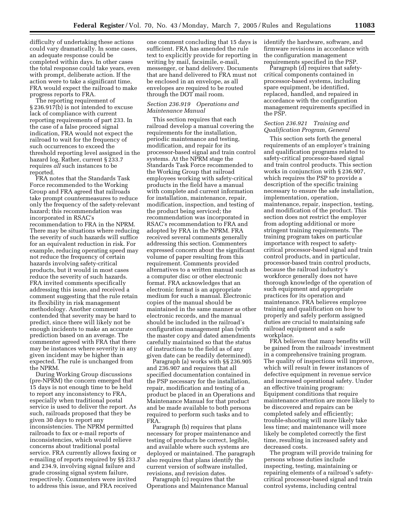difficulty of undertaking these actions could vary dramatically. In some cases, an adequate response could be completed within days. In other cases the total response could take years, even with prompt, deliberate action. If the action were to take a significant time, FRA would expect the railroad to make progress reports to FRA.

The reporting requirement of § 236.917(b) is not intended to excuse lack of compliance with current reporting requirements of part 233. In the case of a false proceed signal indication, FRA would not expect the railroad to wait for the frequency of such occurrences to exceed the threshold reporting level assigned in the hazard log. Rather, current § 233.7 requires *all* such instances to be reported.

FRA notes that the Standards Task Force recommended to the Working Group and FRA agreed that railroads take prompt countermeasures to reduce only the frequency of the safety-relevant hazard; this recommendation was incorporated in RSAC's recommendation to FRA in the NPRM. There may be situations where reducing the severity of such hazards will suffice for an equivalent reduction in risk. For example, reducing operating speed may not reduce the frequency of certain hazards involving safety-critical products, but it would in most cases reduce the severity of such hazards. FRA invited comments specifically addressing this issue, and received a comment suggesting that the rule retain its flexibility in risk management methodology. Another comment contended that severity may be hard to predict, since there will likely not be enough incidents to make an accurate prediction based on an average. The commenter agreed with FRA that there may be instances where severity in any given incident may be higher than expected. The rule is unchanged from the NPRM.

During Working Group discussions (pre-NPRM) the concern emerged that 15 days is not enough time to be held to report any inconsistency to FRA, especially when traditional postal service is used to deliver the report. As such, railroads proposed that they be given 30 days to report any inconsistencies. The NPRM permitted railroads to fax or e-mail reports of inconsistencies, which would relieve concerns about traditional postal service. FRA currently allows faxing or e-mailing of reports required by §§ 233.7 and 234.9, involving signal failure and grade crossing signal system failure, respectively. Commenters were invited to address this issue, and FRA received

one comment concluding that 15 days is sufficient. FRA has amended the rule text to explicitly provide for reporting in writing by mail, facsimile, e-mail, messenger, or hand delivery. Documents that are hand delivered to FRA must not be enclosed in an envelope, as all envelopes are required to be routed through the DOT mail room.

#### *Section 236.919 Operations and Maintenance Manual*

This section requires that each railroad develop a manual covering the requirements for the installation, periodic maintenance and testing, modification, and repair for its processor-based signal and train control systems. At the NPRM stage the Standards Task Force recommended to the Working Group that railroad employees working with safety-critical products in the field have a manual with complete and current information for installation, maintenance, repair, modification, inspection, and testing of the product being serviced; the recommendation was incorporated in RSAC's recommendation to FRA and adopted by FRA in the NPRM. FRA received several comments generally addressing this section. Commenters expressed concern about the significant volume of paper resulting from this requirement. Comments provided alternatives to a written manual such as a computer disc or other electronic format. FRA acknowledges that an electronic format is an appropriate medium for such a manual. Electronic copies of the manual should be maintained in the same manner as other electronic records, and the manual should be included in the railroad's configuration management plan (with the master copy and dated amendments carefully maintained so that the status of instructions to the field as of any given date can be readily determined).

Paragraph (a) works with §§ 236.905 and 236.907 and requires that all specified documentation contained in the PSP necessary for the installation, repair, modification and testing of a product be placed in an Operations and Maintenance Manual for that product and be made available to both persons required to perform such tasks and to FRA.

Paragraph (b) requires that plans necessary for proper maintenance and testing of products be correct, legible, and available where such systems are deployed or maintained. The paragraph also requires that plans identify the current version of software installed, revisions, and revision dates.

Paragraph (c) requires that the Operations and Maintenance Manual identify the hardware, software, and firmware revisions in accordance with the configuration management requirements specified in the PSP.

Paragraph (d) requires that safetycritical components contained in processor-based systems, including spare equipment, be identified, replaced, handled, and repaired in accordance with the configuration management requirements specified in the PSP.

#### *Section 236.921 Training and Qualification Program, General*

This section sets forth the general requirements of an employer's training and qualification programs related to safety-critical processor-based signal and train control products. This section works in conjunction with § 236.907, which requires the PSP to provide a description of the specific training necessary to ensure the safe installation, implementation, operation, maintenance, repair, inspection, testing, and modification of the product. This section does not restrict the employer from adopting additional or more stringent training requirements. The training program takes on particular importance with respect to safetycritical processor-based signal and train control products, and in particular, processor-based train control products, because the railroad industry's workforce generally does not have thorough knowledge of the operation of such equipment and appropriate practices for its operation and maintenance. FRA believes employee training and qualification on how to properly and safely perform assigned duties are crucial to maintaining safe railroad equipment and a safe workplace.

FRA believes that many benefits will be gained from the railroads' investment in a comprehensive training program. The quality of inspections will improve, which will result in fewer instances of defective equipment in revenue service and increased operational safety. Under an effective training program: Equipment conditions that require maintenance attention are more likely to be discovered and repairs can be completed safely and efficiently; trouble-shooting will more likely take less time; and maintenance will more likely be completed correctly the first time, resulting in increased safety and decreased costs.

The program will provide training for persons whose duties include inspecting, testing, maintaining or repairing elements of a railroad's safetycritical processor-based signal and train control systems, including central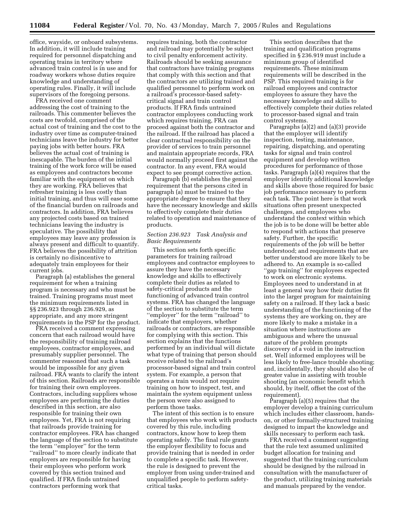office, wayside, or onboard subsystems. In addition, it will include training required for personnel dispatching and operating trains in territory where advanced train control is in use and for roadway workers whose duties require knowledge and understanding of operating rules. Finally, it will include supervisors of the foregoing persons.

FRA received one comment addressing the cost of training to the railroads. This commenter believes the costs are twofold, comprised of the actual cost of training and the cost to the industry over time as computer-trained technicians leave the industry for better paying jobs with better hours. FRA believes the actual cost of training is inescapable. The burden of the initial training of the work force will be eased as employees and contractors become familiar with the equipment on which they are working. FRA believes that refresher training is less costly than initial training, and thus will ease some of the financial burden on railroads and contractors. In addition, FRA believes any projected costs based on trained technicians leaving the industry is speculative. The possibility that employees may leave any profession is always present and difficult to quantify. FRA believes the possibility of attrition is certainly no disincentive to adequately train employees for their current jobs.

Paragraph (a) establishes the general requirement for when a training program is necessary and who must be trained. Training programs must meet the minimum requirements listed in §§ 236.923 through 236.929, as appropriate, and any more stringent requirements in the PSP for the product.

FRA received a comment expressing concern that each railroad would have the responsibility of training railroad employees, contractor employees, and presumably supplier personnel. The commenter reasoned that such a task would be impossible for any given railroad. FRA wants to clarify the intent of this section. Railroads are responsible for training their own employees. Contractors, including suppliers whose employees are performing the duties described in this section, are also responsible for training their own employees. Yet, FRA is not requiring that railroads provide training for contractor employees. FRA has changed the language of the section to substitute the term ''employer'' for the term ''railroad'' to more clearly indicate that employers are responsible for having their employees who perform work covered by this section trained and qualified. If FRA finds untrained contractors performing work that

requires training, both the contractor and railroad may potentially be subject to civil penalty enforcement activity. Railroads should be seeking assurance that contractors have training programs that comply with this section and that the contractors are utilizing trained and qualified personnel to perform work on a railroad's processor-based safetycritical signal and train control products. If FRA finds untrained contractor employees conducting work which requires training, FRA can proceed against both the contractor and the railroad. If the railroad has placed a clear contractual responsibility on the provider of services to train personnel and maintain appropriate records, FRA would normally proceed first against the contractor. In any event, FRA would expect to see prompt corrective action.

Paragraph (b) establishes the general requirement that the persons cited in paragraph (a) must be trained to the appropriate degree to ensure that they have the necessary knowledge and skills to effectively complete their duties related to operation and maintenance of products.

#### *Section 236.923 Task Analysis and Basic Requirements*

This section sets forth specific parameters for training railroad employees and contractor employees to assure they have the necessary knowledge and skills to effectively complete their duties as related to safety-critical products and the functioning of advanced train control systems. FRA has changed the language of the section to substitute the term ''employer'' for the term ''railroad'' to indicate that employers, whether railroads or contractors, are responsible for complying with this section. This section explains that the functions performed by an individual will dictate what type of training that person should receive related to the railroad's processor-based signal and train control system. For example, a person that operates a train would not require training on how to inspect, test, and maintain the system equipment unless the person were also assigned to perform those tasks.

The intent of this section is to ensure that employees who work with products covered by this rule, including contractors, know how to keep them operating safely. The final rule grants the employer flexibility to focus and provide training that is needed in order to complete a specific task. However, the rule is designed to prevent the employer from using under-trained and unqualified people to perform safetycritical tasks.

This section describes that the training and qualification programs specified in § 236.919 must include a minimum group of identified requirements. These minimum requirements will be described in the PSP. This required training is for railroad employees and contractor employees to assure they have the necessary knowledge and skills to effectively complete their duties related to processor-based signal and train control systems.

Paragraphs (a)(2) and (a)(3) provide that the employer will identify inspection, testing, maintenance, repairing, dispatching, and operating tasks for signal and train control equipment and develop written procedures for performance of those tasks. Paragraph (a)(4) requires that the employer identify additional knowledge and skills above those required for basic job performance necessary to perform each task. The point here is that work situations often present unexpected challenges, and employees who understand the context within which the job is to be done will be better able to respond with actions that preserve safety. Further, the specific requirements of the job will be better understood; and requirements that are better understood are more likely to be adhered to. An example is so-called ''gap training'' for employees expected to work on electronic systems. Employees need to understand in at least a general way how their duties fit into the larger program for maintaining safety on a railroad. If they lack a basic understanding of the functioning of the systems they are working on, they are more likely to make a mistake in a situation where instructions are ambiguous and where the unusual nature of the problem prompts discovery of a void in the instruction set. Well informed employees will be less likely to free-lance trouble shooting; and, incidentally, they should also be of greater value in assisting with trouble shooting (an economic benefit which should, by itself, offset the cost of the requirement).

Paragraph (a)(5) requires that the employer develop a training curriculum which includes either classroom, handson, or other formally-structured training designed to impart the knowledge and skills necessary to perform each task.

FRA received a comment suggesting that the rule text assumed unlimited budget allocation for training and suggested that the training curriculum should be designed by the railroad in consultation with the manufacturer of the product, utilizing training materials and manuals prepared by the vendor.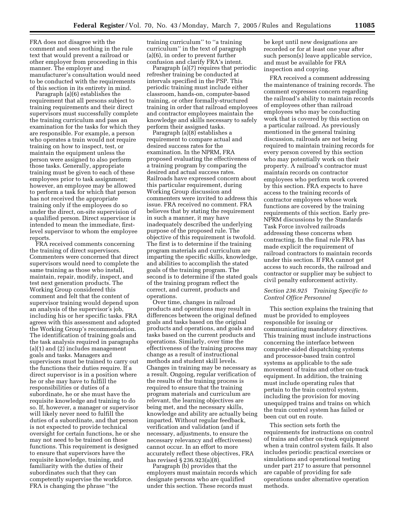FRA does not disagree with the comment and sees nothing in the rule text that would prevent a railroad or other employer from proceeding in this manner. The employer and manufacturer's consultation would need to be conducted with the requirements of this section in its entirety in mind.

Paragraph (a)(6) establishes the requirement that all persons subject to training requirements and their direct supervisors must successfully complete the training curriculum and pass an examination for the tasks for which they are responsible. For example, a person who operates a train would not require training on how to inspect, test, or maintain the equipment unless the person were assigned to also perform those tasks. Generally, appropriate training must be given to each of these employees prior to task assignment; however, an employee may be allowed to perform a task for which that person has not received the appropriate training only if the employees do so under the direct, on-site supervision of a qualified person. Direct supervisor is intended to mean the immediate, firstlevel supervisor to whom the employee reports.

FRA received comments concerning the training of direct supervisors. Commenters were concerned that direct supervisors would need to complete the same training as those who install, maintain, repair, modify, inspect, and test next generation products. The Working Group considered this comment and felt that the content of supervisor training would depend upon an analysis of the supervisor's job, including his or her specific tasks. FRA agrees with this assessment and adopted the Working Group's recommendation. The identification of training goals and the task analysis required in paragraphs (a)(1) and (2) includes management goals and tasks. Managers and supervisors must be trained to carry out the functions their duties require. If a direct supervisor is in a position where he or she may have to fulfill the responsibilities or duties of a subordinate, he or she must have the requisite knowledge and training to do so. If, however, a manager or supervisor will likely never need to fulfill the duties of a subordinate, and that person is not expected to provide technical oversight for certain functions, he or she may not need to be trained on those functions. This requirement is designed to ensure that supervisors have the requisite knowledge, training, and familiarity with the duties of their subordinates such that they can competently supervise the workforce. FRA is changing the phrase ''the

training curriculum'' to ''a training curriculum'' in the text of paragraph (a)(6), in order to prevent further confusion and clarify FRA's intent.

Paragraph (a)(7) requires that periodic refresher training be conducted at intervals specified in the PSP. This periodic training must include either classroom, hands-on, computer-based training, or other formally-structured training in order that railroad employees and contractor employees maintain the knowledge and skills necessary to safely perform their assigned tasks.

Paragraph (a)(8) establishes a requirement to compare actual and desired success rates for the examination. In the NPRM, FRA proposed evaluating the effectiveness of a training program by comparing the desired and actual success rates. Railroads have expressed concern about this particular requirement, during Working Group discussion and commenters were invited to address this issue. FRA received no comment. FRA believes that by stating the requirement in such a manner, it may have inadequately described the underlying purpose of the proposed rule. The objective of this requirement is twofold. The first is to determine if the training program materials and curriculum are imparting the specific skills, knowledge, and abilities to accomplish the stated goals of the training program. The second is to determine if the stated goals of the training program reflect the correct, and current, products and operations.

Over time, changes in railroad products and operations may result in differences between the original defined goals and tasks based on the original products and operations, and goals and tasks based on the current products and operations. Similarly, over time the effectiveness of the training process may change as a result of instructional methods and student skill levels. Changes in training may be necessary as a result. Ongoing, regular verification of the results of the training process is required to ensure that the training program materials and curriculum are relevant, the learning objectives are being met, and the necessary skills, knowledge and ability are actually being imparted. Without regular feedback, verification and validation (and if necessary, adjustments, to ensure the necessary relevancy and effectiveness) cannot occur. In an effort to more accurately reflect these objectives, FRA has revised § 236.923(a)(8).

Paragraph (b) provides that the employers must maintain records which designate persons who are qualified under this section. These records must

be kept until new designations are recorded or for at least one year after such person(s) leave applicable service, and must be available for FRA inspection and copying.

FRA received a comment addressing the maintenance of training records. The comment expresses concern regarding the railroad's ability to maintain records of employees other than railroad employees who may be conducting work that is covered by this section on a particular railroad. As previously mentioned in the general training discussion, railroads are not being required to maintain training records for every person covered by this section who may potentially work on their property. A railroad's contractor must maintain records on contractor employees who perform work covered by this section. FRA expects to have access to the training records of contractor employees whose work functions are covered by the training requirements of this section. Early pre-NPRM discussions by the Standards Task Force involved railroads addressing these concerns when contracting. In the final rule FRA has made explicit the requirement of railroad contractors to maintain records under this section. If FRA cannot get access to such records, the railroad and contractor or supplier may be subject to civil penalty enforcement activity.

#### *Section 236.925 Training Specific to Control Office Personnel*

This section explains the training that must be provided to employees responsible for issuing or communicating mandatory directives. This training must include instructions concerning the interface between computer-aided dispatching systems and processor-based train control systems as applicable to the safe movement of trains and other on-track equipment. In addition, the training must include operating rules that pertain to the train control system, including the provision for moving unequipped trains and trains on which the train control system has failed or been cut out en route.

This section sets forth the requirements for instructions on control of trains and other on-track equipment when a train control system fails. It also includes periodic practical exercises or simulations and operational testing under part 217 to assure that personnel are capable of providing for safe operations under alternative operation methods.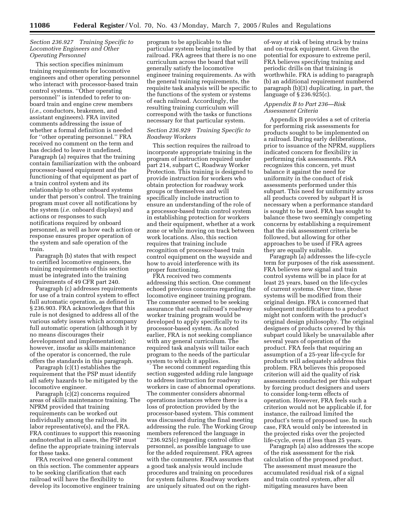#### *Section 236.927 Training Specific to Locomotive Engineers and Other Operating Personnel*

This section specifies minimum training requirements for locomotive engineers and other operating personnel who interact with processor-based train control systems. ''Other operating personnel'' is intended to refer to onboard train and engine crew members (*i.e.,* conductors, brakemen, and assistant engineers). FRA invited comments addressing the issue of whether a formal definition is needed for ''other operating personnel.'' FRA received no comment on the term and has decided to leave it undefined. Paragraph (a) requires that the training contain familiarization with the onboard processor-based equipment and the functioning of that equipment as part of a train control system and its relationship to other onboard systems under that person's control. The training program must cover all notifications by the system (*i.e.* onboard displays) and actions or responses to such notifications required by onboard personnel, as well as how each action or response ensures proper operation of the system and safe operation of the train.

Paragraph (b) states that with respect to certified locomotive engineers, the training requirements of this section must be integrated into the training requirements of 49 CFR part 240.

Paragraph (c) addresses requirements for use of a train control system to effect full automatic operation, as defined in § 236.903. FRA acknowledges that this rule is not designed to address all of the various safety issues which accompany full automatic operation (although it by no means discourages their development and implementation); however, insofar as skills maintenance of the operator is concerned, the rule offers the standards in this paragraph.

Paragraph (c)(1) establishes the requirement that the PSP must identify all safety hazards to be mitigated by the locomotive engineer.

Paragraph (c)(2) concerns required areas of skills maintenance training. The NPRM provided that training requirements can be worked out individually among the railroad, its labor representative(s), and the FRA. FRA continues to support this reasoning andnotesthat in all cases, the PSP must define the appropriate training intervals for these tasks.

FRA received one general comment on this section. The commenter appears to be seeking clarification that each railroad will have the flexibility to develop its locomotive engineer training

program to be applicable to the particular system being installed by that railroad. FRA agrees that there is no one curriculum across the board that will generally satisfy the locomotive engineer training requirements. As with the general training requirements, the requisite task analysis will be specific to the functions of the system or systems of each railroad. Accordingly, the resulting training curriculum will correspond with the tasks or functions necessary for that particular system.

#### *Section 236.929 Training Specific to Roadway Workers*

This section requires the railroad to incorporate appropriate training in the program of instruction required under part 214, subpart C, Roadway Worker Protection. This training is designed to provide instruction for workers who obtain protection for roadway work groups or themselves and will specifically include instruction to ensure an understanding of the role of a processor-based train control system in establishing protection for workers and their equipment, whether at a work zone or while moving on track between work locations. Also, this section requires that training include recognition of processor-based train control equipment on the wayside and how to avoid interference with its proper functioning.

FRA received two comments addressing this section. One comment echoed previous concerns regarding the locomotive engineer training program. The commenter seemed to be seeking assurance that each railroad's roadway worker training program would be developed to apply specifically to its processor-based system. As noted earlier, FRA is not seeking compliance with any general curriculum. The required task analysis will tailor each program to the needs of the particular system to which it applies.

The second comment regarding this section suggested adding rule language to address instruction for roadway workers in case of abnormal operations. The commenter considers abnormal operations instances where there is a loss of protection provided by the processor-based system. This comment was discussed during the final meeting addressing the rule. The Working Group members referenced the language in ''236.925(c) regarding control office personnel, as possible language to use for the added requirement. FRA agrees with the commenter. FRA assumes that a good task analysis would include procedures and training on procedures for system failures. Roadway workers are uniquely situated out on the right-

of-way at risk of being struck by trains and on-track equipment. Given the potential for exposure to extreme peril, FRA believes specifying training and periodic drills on that training is worthwhile. FRA is adding to paragraph (b) an additional requirement numbered paragraph (b)(3) duplicating, in part, the language of § 236.925(c).

#### *Appendix B to Part 236—Risk Assessment Criteria*

Appendix B provides a set of criteria for performing risk assessments for products sought to be implemented on a railroad. During early deliberations, prior to issuance of the NPRM, suppliers indicated concern for flexibility in performing risk assessments. FRA recognizes this concern, yet must balance it against the need for uniformity in the conduct of risk assessments performed under this subpart. This need for uniformity across all products covered by subpart H is necessary when a performance standard is sought to be used. FRA has sought to balance these two seemingly competing concerns by establishing a requirement that the risk assessment criteria be followed, but allowing for other approaches to be used if FRA agrees they are equally suitable.

Paragraph (a) addresses the life-cycle term for purposes of the risk assessment. FRA believes new signal and train control systems will be in place for at least 25 years, based on the life-cycles of current systems. Over time, these systems will be modified from their original design. FRA is concerned that subsequent modifications to a product might not conform with the product's original design philosophy. The original designers of products covered by this subpart could likely be unavailable after several years of operation of the product. FRA feels that requiring an assumption of a 25-year life-cycle for products will adequately address this problem. FRA believes this proposed criterion will aid the quality of risk assessments conducted per this subpart by forcing product designers and users to consider long-term effects of operation. However, FRA feels such a criterion would not be applicable if, for instance, the railroad limited the product's term of proposed use. In such case, FRA would only be interested in the projected risks over the projected life-cycle, even if less than 25 years.

Paragraph (a) also addresses the scope of the risk assessment for the risk calculation of the proposed product. The assessment must measure the accumulated residual risk of a signal and train control system, after all mitigating measures have been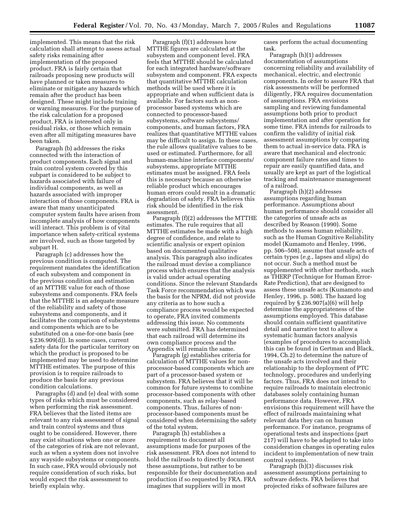implemented. This means that the risk calculation shall attempt to assess actual safety risks remaining after implementation of the proposed product. FRA is fairly certain that railroads proposing new products will have planned or taken measures to eliminate or mitigate any hazards which remain after the product has been designed. These might include training or warning measures. For the purpose of the risk calculation for a proposed product, FRA is interested only in residual risks, or those which remain even after all mitigating measures have been taken.

Paragraph (b) addresses the risks connected with the interaction of product components. Each signal and train control system covered by this subpart is considered to be subject to hazards associated with failure of individual components, as well as hazards associated with improper interaction of those components. FRA is aware that many unanticipated computer system faults have arisen from incomplete analysis of how components will interact. This problem is of vital importance when safety-critical systems are involved, such as those targeted by subpart H.

Paragraph (c) addresses how the previous condition is computed. The requirement mandates the identification of each subsystem and component in the previous condition and estimation of an MTTHE value for each of those subsystems and components. FRA feels that the MTTHE is an adequate measure of the reliability and safety of those subsystems and components, and it facilitates the comparison of subsystems and components which are to be substituted on a one-for-one basis (see § 236.909(d)). In some cases, current safety data for the particular territory on which the product is proposed to be implemented may be used to determine MTTHE estimates. The purpose of this provision is to require railroads to produce the basis for any previous condition calculations.

Paragraphs (d) and (e) deal with some types of risks which must be considered when performing the risk assessment. FRA believes that the listed items are relevant to any risk assessment of signal and train control systems and thus ought to be considered. However, there may exist situations when one or more of the categories of risk are not relevant, such as when a system does not involve any wayside subsystems or components. In such case, FRA would obviously not require consideration of such risks, but would expect the risk assessment to briefly explain why.

Paragraph (f)(1) addresses how MTTHE figures are calculated at the subsystem and component level. FRA feels that MTTHE should be calculated for each integrated hardware/software subsystem and component. FRA expects that quantitative MTTHE calculation methods will be used where it is appropriate and when sufficient data is available. For factors such as nonprocessor based systems which are connected to processor-based subsystems, software subsystems/ components, and human factors, FRA realizes that quantitative MTTHE values may be difficult to assign. In these cases, the rule allows qualitative values to be used or estimated. Furthermore, for all human-machine interface components/ subsystems, appropriate MTTHE estimates must be assigned. FRA feels this is necessary because an otherwise reliable product which encourages human errors could result in a dramatic degradation of safety. FRA believes this risk should be identified in the risk assessment.

Paragraph (f)(2) addresses the MTTHE estimates. The rule requires that all MTTHE estimates be made with a high degree of confidence, and relate to scientific analysis or expert opinion based on documented qualitative analysis. This paragraph also indicates the railroad must devise a compliance process which ensures that the analysis is valid under actual operating conditions. Since the relevant Standards Task Force recommendation which was the basis for the NPRM, did not provide any criteria as to how such a compliance process would be expected to operate, FRA invited comments addressing this issue. No comments were submitted. FRA has determined that each railroad will determine its own compliance process and the Appendix will remain the same.

Paragraph (g) establishes criteria for calculation of MTTHE values for nonprocessor-based components which are part of a processor-based system or subsystem. FRA believes that it will be common for future systems to combine processor-based components with other components, such as relay-based components. Thus, failures of nonprocessor-based components must be considered when determining the safety of the total system.

Paragraph (h) establishes a requirement to document all assumptions made for purposes of the risk assessment. FRA does not intend to hold the railroads to directly document these assumptions, but rather to be responsible for their documentation and production if so requested by FRA. FRA imagines that suppliers will in most

cases perform the actual documenting task.

Paragraph (h)(1) addresses documentation of assumptions concerning reliability and availability of mechanical, electric, and electronic components. In order to assure FRA that risk assessments will be performed diligently, FRA requires documentation of assumptions. FRA envisions sampling and reviewing fundamental assumptions both prior to product implementation and after operation for some time. FRA intends for railroads to confirm the validity of initial risk assessment assumptions by comparing them to actual in-service data. FRA is aware that mechanical and electronic component failure rates and times to repair are easily quantified data, and usually are kept as part of the logistical tracking and maintenance management of a railroad.

Paragraph (h)(2) addresses assumptions regarding human performance. Assumptions about human performance should consider all the categories of unsafe acts as described by Reason (1990). Some methods to assess human reliability, such as the Human Cognitive Reliability model (Kumamoto and Henley, 1996, pp. 506–508), assume that unsafe acts of certain types (*e.g.*, lapses and slips) do not occur. Such a method must be supplemented with other methods, such as THERP (Technique for Human Error-Rate Prediction), that are designed to assess these unsafe acts (Kumamoto and Henley, 1996, p. 508). The hazard log required by § 236.907(a)(6) will help determine the appropriateness of the assumptions employed. This database should contain sufficient quantitative detail and narrative text to allow a systematic human factors analysis (examples of procedures to accomplish this can be found in Gertman and Black, 1994, Ch.2) to determine the nature of the unsafe acts involved and their relationship to the deployment of PTC technology, procedures and underlying factors. Thus, FRA does not intend to require railroads to maintain electronic databases solely containing human performance data. However, FRA envisions this requirement will have the effect of railroads maintaining what relevant data they can on human performance. For instance, programs of operational tests and inspections (part 217) will have to be adapted to take into consideration changes in operating rules incident to implementation of new train control systems.

Paragraph (h)(3) discusses risk assessment assumptions pertaining to software defects. FRA believes that projected risks of software failures are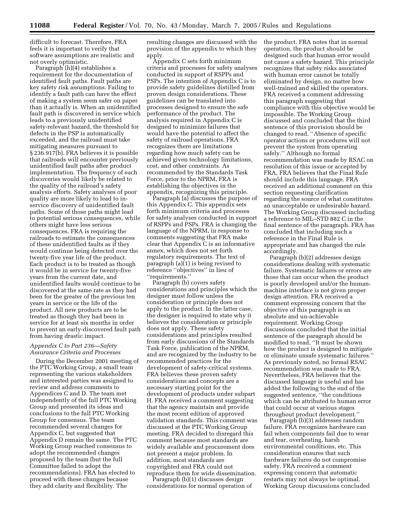difficult to forecast. Therefore, FRA feels it is important to verify that software assumptions are realistic and not overly optimistic.

Paragraph (h)(4) establishes a requirement for the documentation of identified fault paths. Fault paths are key safety risk assumptions. Failing to identify a fault path can have the effect of making a system seem safer on paper than it actually is. When an unidentified fault path is discovered in service which leads to a previously unidentified safety-relevant hazard, the threshold for defects in the PSP is automatically exceeded, and the railroad must take mitigating measures pursuant to § 236.917(b). FRA believes it is possible that railroads will encounter previously unidentified fault paths after product implementation. The frequency of such discoveries would likely be related to the quality of the railroad's safety analysis efforts. Safety analyses of poor quality are more likely to lead to inservice discovery of unidentified fault paths. Some of those paths might lead to potential serious consequences, while others might have less serious consequences. FRA is requiring the railroads to estimate the consequences of these unidentified faults as if they would continue being detected over the twenty-five year life of the product. Each product is to be treated as though it would be in service for twenty-five years from the current date, and unidentified faults would continue to be discovered at the same rate as they had been for the greater of the previous ten years in service or the life of the product. All new products are to be treated as though they had been in service for at least six months in order to prevent an early-discovered fault path from having drastic impact.

#### *Appendix C to Part 236—Safety Assurance Criteria and Processes*

During the December 2001 meeting of the PTC Working Group, a small team representing the various stakeholders and interested parties was assigned to review and address comments to Appendices C and D. The team met independently of the full PTC Working Group and presented its ideas and conclusions to the full PTC Working Group for consensus. The team recommended several changes for Appendix C, but suggested that Appendix D remain the same. The PTC Working Group reached consensus to adopt the recommended changes proposed by the team (but the full Committee failed to adopt the recommendations). FRA has elected to proceed with these changes because they add clarity and flexibility. The

resulting changes are discussed with the provision of the appendix to which they apply.

Appendix C sets forth minimum criteria and processes for safety analyses conducted in support of RSPPs and PSPs. The intention of Appendix C is to provide safety guidelines distilled from proven design considerations. These guidelines can be translated into processes designed to ensure the safe performance of the product. The analysis required in Appendix C is designed to minimize failures that would have the potential to affect the safety of railroad operations. FRA recognizes there are limitations regarding how much safety can be achieved given technology limitations, cost, and other constraints. As recommended by the Standards Task Force, prior to the NPRM, FRA is establishing the objectives in the appendix, recognizing this principle.

Paragraph (a) discusses the purpose of this Appendix C. This appendix sets forth minimum criteria and processes for safety analyses conducted in support of RSPPs and PSPs. FRA is changing the language of the NPRM, in response to comments suggesting that FRA make clear that Appendix C is an informative annex, which does not set forth regulatory requirements. The text of paragraph (a)(1) is being revised to reference ''objectives'' in lieu of ''requirements.''

Paragraph (b) covers safety considerations and principles which the designer must follow unless the consideration or principle does not apply to the product. In the latter case, the designer is required to state why it believes the consideration or principle does not apply. These safety considerations and principles resulted from early discussions of the Standards Task Force, publication of the NPRM, and are recognized by the industry to be recommended practices for the development of safety-critical systems. FRA believes these proven safety considerations and concepts are a necessary starting point for the development of products under subpart H. FRA received a comment suggesting that the agency maintain and provide the most recent edition of approved validation standards. This comment was discussed at the PTC Working Group meeting. FRA decided to disregard this comment because most standards are widely available and procurement does not present a major problem. In addition, most standards are copyrighted and FRA could not reproduce them for wide dissemination.

Paragraph (b)(1) discusses design considerations for normal operation of the product. FRA notes that in normal operation, the product should be designed such that human error would not cause a safety hazard. This principle recognizes that safety risks associated with human error cannot be totally eliminated by design, no matter how well-trained and skilled the operators. FRA received a comment addressing this paragraph suggesting that compliance with this objective would be impossible. The Working Group discussed and concluded that the third sentence of this provision should be changed to read, ''Absence of specific operator actions or procedures will not prevent the system from operating safely.'' Although no formal recommendation was made by RSAC on resolution of this issue or accepted by FRA, FRA believes that the Final Rule should include this language. FRA received an additional comment on this section requesting clarification regarding the source of what constitutes an unacceptable or undesirable hazard. The Working Group discussed including a reference to MIL–STD 882 C in the final sentence of the paragraph. FRA has concluded that including such a reference in the Final Rule is appropriate and has changed the rule accordingly.

Paragraph (b)(2) addresses design considerations dealing with systematic failure. Systematic failures or errors are those that can occur when the product is poorly developed and/or the humanmachine interface is not given proper design attention. FRA received a comment expressing concern that the objective of this paragraph is an absolute and un-achievable requirement. Working Group discussions concluded that the initial sentence of the paragraph should be modified to read, ''It must be shown how the product is designed to mitigate or eliminate unsafe systematic failures.'' As previously noted, no formal RSAC recommendation was made to FRA. Nevertheless, FRA believes that the discussed language is useful and has added the following to the end of the suggested sentence, ''the conditions which can be attributed to human error that could occur at various stages throughout product development.''

Paragraph (b)(3) addresses random failure. FRA recognizes hardware can fail when components fail due to wear and tear, overheating, harsh environmental conditions, etc. This consideration ensures that such hardware failures do not compromise safety. FRA received a comment expressing concern that automatic restarts may not always be optimal. Working Group discussions concluded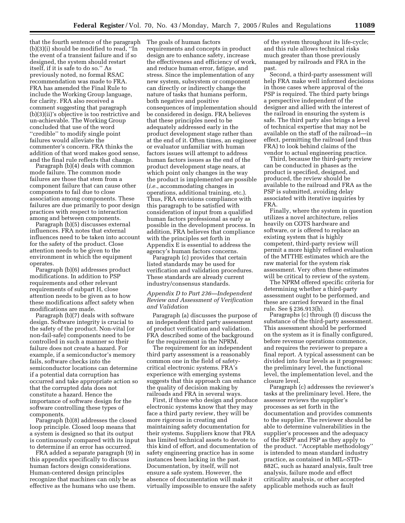that the fourth sentence of the paragraph (b)(3)(i) should be modified to read, ''In the event of a transient failure and if so designed, the system should restart itself, if it is safe to do so.'' As previously noted, no formal RSAC recommendation was made to FRA. FRA has amended the Final Rule to include the Working Group language, for clarity. FRA also received a comment suggesting that paragraph (b)(3)(ii)'s objective is too restrictive and un-achievable. The Working Group concluded that use of the word ''credible'' to modify single point failures would alleviate the commenter's concern. FRA thinks the addition of that word makes good sense, and the final rule reflects that change.

Paragraph (b)(4) deals with common mode failure. The common mode failures are those that stem from a component failure that can cause other components to fail due to close association among components. These failures are due primarily to poor design practices with respect to interaction among and between components.

Paragraph (b)(5) discusses external influences. FRA notes that external influences need to be taken into account for the safety of the product. Close attention needs to be given to the environment in which the equipment operates.

Paragraph (b)(6) addresses product modifications. In addition to PSP requirements and other relevant requirements of subpart H, close attention needs to be given as to how these modifications affect safety when modifications are made.

Paragraph (b)(7) deals with software design. Software integrity is crucial to the safety of the product. Non-vital (or non-fail-safe) components need to be controlled in such a manner so their failure does not create a hazard. For example, if a semiconductor's memory fails, software checks into the semiconductor locations can determine if a potential data corruption has occurred and take appropriate action so that the corrupted data does not constitute a hazard. Hence the importance of software design for the software controlling these types of components.

Paragraph (b)(8) addresses the closed loop principle. Closed loop means that a system is designed so that its output is continuously compared with its input to determine if an error has occurred.

FRA added a separate paragraph (9) in this appendix specifically to discuss human factors design considerations. Human-centered design principles recognize that machines can only be as effective as the humans who use them.

The goals of human factors requirements and concepts in product design are to enhance safety, increase the effectiveness and efficiency of work, and reduce human error, fatigue, and stress. Since the implementation of any new system, subsystem or component can directly or indirectly change the nature of tasks that humans perform, both negative and positive consequences of implementation should be considered in design. FRA believes that these principles need to be adequately addressed early in the product development stage rather than at the end of it. Often times, an engineer or evaluator unfamiliar with human factors issues will attempt to address human factors issues as the end of the product development stage nears, at which point only changes in the way the product is implemented are possible (*i.e.*, accommodating changes in operations, additional training, etc.). Thus, FRA envisions compliance with this paragraph to be satisfied with consideration of input from a qualified human factors professional as early as possible in the development process. In addition, FRA believes that compliance with the principles set forth in Appendix E is essential to address the agency's human factors concerns.

Paragraph (c) provides that certain listed standards may be used for verification and validation procedures. These standards are already current industry/consensus standards.

#### *Appendix D to Part 236—Independent Review and Assessment of Verification and Validation*

Paragraph (a) discusses the purpose of an independent third party assessment of product verification and validation. FRA described some of the background for the requirement in the NPRM.

The requirement for an independent third party assessment is a reasonably common one in the field of safetycritical electronic systems. FRA's experience with emerging systems suggests that this approach can enhance the quality of decision making by railroads and FRA in several ways.

First, if those who design and produce electronic systems know that they may face a third party review, they will be more rigorous in creating and maintaining safety documentation for their systems. Suppliers know that FRA has limited technical assets to devote to this kind of effort, and documentation of safety engineering practice has in some instances been lacking in the past. Documentation, by itself, will not ensure a safe system. However, the absence of documentation will make it virtually impossible to ensure the safety

of the system throughout its life-cycle; and this rule allows technical risks much greater than those previously managed by railroads and FRA in the past.

Second, a third-party assessment will help FRA make well informed decisions in those cases where approval of the PSP is required. The third party brings a perspective independent of the designer and allied with the interest of the railroad in ensuring the system is safe. The third party also brings a level of technical expertise that may not be available on the staff of the railroad—in effect, permitting the railroad (and thus FRA) to look behind claims of the vendor to actual engineering practice.

Third, because the third-party review can be conducted in phases as the product is specified, designed, and produced, the review should be available to the railroad and FRA as the PSP is submitted, avoiding delay associated with iterative inquiries by FRA.

Finally, where the system in question utilizes a novel architecture, relies heavily on COTS hardware and software, or is offered to replace an existing system that is highly competent, third-party review will permit a more highly refined evaluation of the MTTHE estimates which are the raw material for the system risk assessment. Very often these estimates will be critical to review of the system.

The NPRM offered specific criteria for determining whether a third-party assessment ought to be performed, and these are carried forward in the final rule. See § 236.913(h).

Paragraphs (c) through (f) discuss the substance of the third-party assessment. This assessment should be performed on the system as it is finally configured, before revenue operations commence, and requires the reviewer to prepare a final report. A typical assessment can be divided into four levels as it progresses: the preliminary level, the functional level, the implementation level, and the closure level.

Paragraph (c) addresses the reviewer's tasks at the preliminary level. Here, the assessor reviews the supplier's processes as set forth in the documentation and provides comments to the supplier. The reviewer should be able to determine vulnerabilities in the supplier's processes and the adequacy of the RSPP and PSP as they apply to the product. ''Acceptable methodology'' is intended to mean standard industry practice, as contained in MIL–STD– 882C, such as hazard analysis, fault tree analysis, failure mode and effect criticality analysis, or other accepted applicable methods such as fault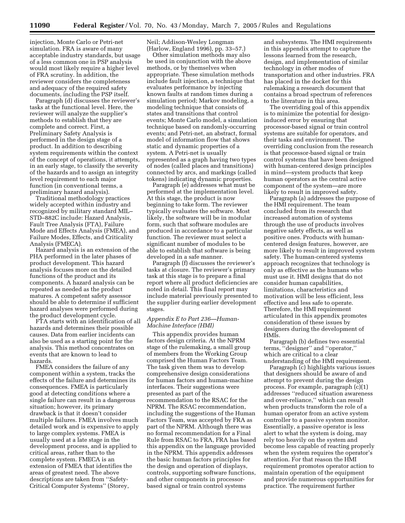injection, Monte Carlo or Petri-net simulation. FRA is aware of many acceptable industry standards, but usage of a less common one in PSP analysis would most likely require a higher level of FRA scrutiny. In addition, the reviewer considers the completeness and adequacy of the required safety documents, including the PSP itself.

Paragraph (d) discusses the reviewer's tasks at the functional level. Here, the reviewer will analyze the supplier's methods to establish that they are complete and correct. First, a Preliminary Safety Analysis is performed in the design stage of a product. In addition to describing system requirements within the context of the concept of operations, it attempts, in an early stage, to classify the severity of the hazards and to assign an integrity level requirement to each major function (in conventional terms, a preliminary hazard analysis).

Traditional methodology practices widely accepted within industry and recognized by military standard MIL– STD–882C include: Hazard Analysis, Fault Tree Analysis (FTA), Failure Mode and Effects Analysis (FMEA), and Failure Modes, Effects, and Criticality Analysis (FMECA).

Hazard analysis is an extension of the PHA performed in the later phases of product development. This hazard analysis focuses more on the detailed functions of the product and its components. A hazard analysis can be repeated as needed as the product matures. A competent safety assessor should be able to determine if sufficient hazard analyses were performed during the product development cycle.

FTA starts with an identification of all hazards and determines their possible causes. Data from earlier incidents can also be used as a starting point for the analysis. This method concentrates on events that are known to lead to hazards.

FMEA considers the failure of any component within a system, tracks the effects of the failure and determines its consequences. FMEA is particularly good at detecting conditions where a single failure can result in a dangerous situation; however, its primary drawback is that it doesn't consider multiple failures. FMEA involves much detailed work and is expensive to apply to large complex systems. FMEA is usually used at a late stage in the development process, and is applied to critical areas, rather than to the complete system. FMECA is an extension of FMEA that identifies the areas of greatest need. The above descriptions are taken from ''Safety-Critical Computer Systems'' (Storey,

Neil; Addison-Wesley Longman (Harlow, England 1996), pp. 33–57.)

Other simulation methods may also be used in conjunction with the above methods, or by themselves when appropriate. These simulation methods include fault injection, a technique that evaluates performance by injecting known faults at random times during a simulation period; Markov modeling, a modeling technique that consists of states and transitions that control events; Monte Carlo model, a simulation technique based on randomly-occurring events; and Petri-net, an abstract, formal model of information flow that shows static and dynamic properties of a system. A Petri-net is usually represented as a graph having two types of nodes (called places and transitions) connected by arcs, and markings (called tokens) indicating dynamic properties.

Paragraph (e) addresses what must be performed at the implementation level. At this stage, the product is now beginning to take form. The reviewer typically evaluates the software. Most likely, the software will be in modular form, such that software modules are produced in accordance to a particular function. The reviewer must select a significant number of modules to be able to establish that software is being developed in a safe manner.

Paragraph (f) discusses the reviewer's tasks at closure. The reviewer's primary task at this stage is to prepare a final report where all product deficiencies are noted in detail. This final report may include material previously presented to the supplier during earlier development stages.

#### *Appendix E to Part 236—Human-Machine Interface (HMI)*

This appendix provides human factors design criteria. At the NPRM stage of the rulemaking, a small group of members from the Working Group comprised the Human Factors Team. The task given them was to develop comprehensive design considerations for human factors and human-machine interfaces. Their suggestions were presented as part of the recommendation to the RSAC for the NPRM. The RSAC recommendation, including the suggestions of the Human Factors Team, was accepted by FRA as part of the NPRM. Although there was no formal recommendation for a Final Rule from RSAC to FRA, FRA has based this appendix on the language provided in the NPRM. This appendix addresses the basic human factors principles for the design and operation of displays, controls, supporting software functions, and other components in processorbased signal or train control systems

and subsystems. The HMI requirements in this appendix attempt to capture the lessons learned from the research, design, and implementation of similar technology in other modes of transportation and other industries. FRA has placed in the docket for this rulemaking a research document that contains a broad spectrum of references to the literature in this area.

The overriding goal of this appendix is to minimize the potential for designinduced error by ensuring that processor-based signal or train control systems are suitable for operators, and their tasks and environment. The overriding conclusion from the research is that processor-based signal or train control systems that have been designed with human-centered design principles in mind—system products that keep human operators as the central active component of the system—are more likely to result in improved safety.

Paragraph (a) addresses the purpose of the HMI requirement. The team concluded from its research that increased automation of systems through the use of products involves negative safety effects, as well as positive ones. Products with humancentered design features, however, are more likely to result in improved system safety. The human-centered systems approach recognizes that technology is only as effective as the humans who must use it. HMI designs that do not consider human capabilities, limitations, characteristics and motivation will be less efficient, less effective and less safe to operate. Therefore, the HMI requirement articulated in this appendix promotes consideration of these issues by designers during the development of HMIs.

Paragraph (b) defines two essential terms, ''designer'' and ''operator,'' which are critical to a clear understanding of the HMI requirement.

Paragraph (c) highlights various issues that designers should be aware of and attempt to prevent during the design process. For example, paragraph (c)(1) addresses ''reduced situation awareness and over-reliance,'' which can result when products transform the role of a human operator from an active system controller to a passive system monitor. Essentially, a passive operator is less alert to what the system is doing, may rely too heavily on the system and become less capable of reacting properly when the system requires the operator's attention. For that reason the HMI requirement promotes operator action to maintain operation of the equipment and provide numerous opportunities for practice. The requirement further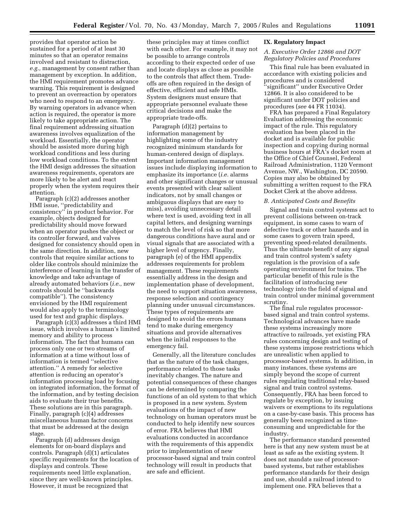provides that operator action be sustained for a period of at least 30 minutes so that an operator remains involved and resistant to distraction, *e.g.,* management by consent rather than management by exception. In addition, the HMI requirement promotes advance warning. This requirement is designed to prevent an overreaction by operators who need to respond to an emergency. By warning operators in advance when action is required, the operator is more likely to take appropriate action. The final requirement addressing situation awareness involves equalization of the workload. Essentially, the operator should be assisted more during high workload conditions and less during low workload conditions. To the extent the HMI design addresses the situation awareness requirements, operators are more likely to be alert and react properly when the system requires their attention.

Paragraph (c)(2) addresses another HMI issue, ''predictability and consistency'' in product behavior. For example, objects designed for predictability should move forward when an operator pushes the object or its controller forward, and valves designed for consistency should open in the same direction. In addition, new controls that require similar actions to older like controls should minimize the interference of learning in the transfer of knowledge and take advantage of already automated behaviors (*i.e.,* new controls should be ''backwards compatible''). The consistency envisioned by the HMI requirement would also apply to the terminology used for text and graphic displays.

Paragraph (c)(3) addresses a third HMI issue, which involves a human's limited memory and ability to process information. The fact that humans can process only one or two streams of information at a time without loss of information is termed ''selective attention.'' A remedy for selective attention is reducing an operator's information processing load by focusing on integrated information, the format of the information, and by testing decision aids to evaluate their true benefits. These solutions are in this paragraph. Finally, paragraph (c)(4) addresses miscellaneous human factor concerns that must be addressed at the design stage.

Paragraph (d) addresses design elements for on-board displays and controls. Paragraph (d)(1) articulates specific requirements for the location of displays and controls. These requirements need little explanation, since they are well-known principles. However, it must be recognized that

these principles may at times conflict with each other. For example, it may not be possible to arrange controls according to their expected order of use and locate displays as close as possible to the controls that affect them. Tradeoffs are often required in the design of effective, efficient and safe HMIs. System designers must ensure that appropriate personnel evaluate these critical decisions and make the appropriate trade-offs.

Paragraph (d)(2) pertains to information management by highlighting some of the industry recognized minimum standards for human-centered design of displays. Important information management issues include displaying information to emphasize its importance (*i.e.* alarms and other significant changes or unusual events presented with clear salient indicators, not by small changes or ambiguous displays that are easy to miss), avoiding unnecessary detail where text is used, avoiding text in all capital letters, and designing warnings to match the level of risk so that more dangerous conditions have aural and or visual signals that are associated with a higher level of urgency. Finally, paragraph (e) of the HMI appendix addresses requirements for problem management. These requirements essentially address in the design and implementation phase of development, the need to support situation awareness, response selection and contingency planning under unusual circumstances. These types of requirements are designed to avoid the errors humans tend to make during emergency situations and provide alternatives when the initial responses to the emergency fail.

Generally, all the literature concludes that as the nature of the task changes, performance related to those tasks inevitably changes. The nature and potential consequences of these changes can be determined by comparing the functions of an old system to that which is proposed in a new system. System evaluations of the impact of new technology on human operators must be conducted to help identify new sources of error. FRA believes that HMI evaluations conducted in accordance with the requirements of this appendix prior to implementation of new processor-based signal and train control technology will result in products that are safe and efficient.

#### **IX. Regulatory Impact**

#### *A. Executive Order 12866 and DOT Regulatory Policies and Procedures*

This final rule has been evaluated in accordance with existing policies and procedures and is considered ''significant'' under Executive Order 12866. It is also considered to be significant under DOT policies and procedures (*see* 44 FR 11034).

FRA has prepared a Final Regulatory Evaluation addressing the economic impact of the rule. This regulatory evaluation has been placed in the docket and is available for public inspection and copying during normal business hours at FRA's docket room at the Office of Chief Counsel, Federal Railroad Administration, 1120 Vermont Avenue, NW., Washington, DC 20590. Copies may also be obtained by submitting a written request to the FRA Docket Clerk at the above address.

#### *B. Anticipated Costs and Benefits*

Signal and train control systems act to prevent collisions between on-track equipment, in some cases to warn of defective track or other hazards and in some cases to govern train speed, preventing speed-related derailments. Thus the ultimate benefit of any signal and train control system's safety regulation is the provision of a safe operating environment for trains. The particular benefit of this rule is the facilitation of introducing new technology into the field of signal and train control under minimal government scrutiny.

The final rule regulates processorbased signal and train control systems. Technological advances have made these systems increasingly more attractive to railroads, yet existing FRA rules concerning design and testing of these systems impose restrictions which are unrealistic when applied to processor-based systems. In addition, in many instances, these systems are simply beyond the scope of current rules regulating traditional relay-based signal and train control systems. Consequently, FRA has been forced to regulate by exception, by issuing waivers or exemptions to its regulations on a case-by-case basis. This process has generally been recognized as timeconsuming and unpredictable for the industry.

The performance standard presented here is that any new system must be at least as safe as the existing system. It does not mandate use of processorbased systems, but rather establishes performance standards for their design and use, should a railroad intend to implement one. FRA believes that a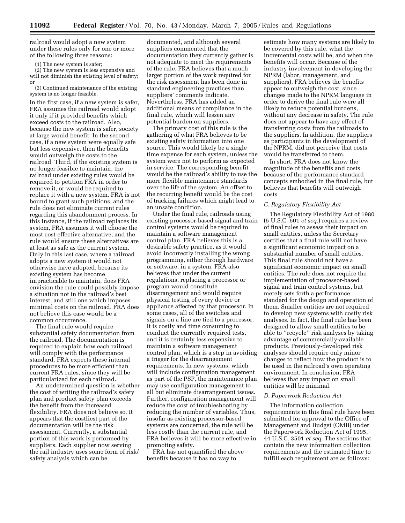railroad would adopt a new system under these rules only for one or more of the following three reasons:

(1) The new system is safer;

(2) The new system is less expensive and will not diminish the existing level of safety; or

(3) Continued maintenance of the existing system is no longer feasible.

In the first case, if a new system is safer, FRA assumes the railroad would adopt it only if it provided benefits which exceed costs to the railroad. Also, because the new system is safer, society at large would benefit. In the second case, if a new system were equally safe but less expensive, then the benefits would outweigh the costs to the railroad. Third, if the existing system is no longer feasible to maintain, the railroad under existing rules would be required to petition FRA in order to remove it, or would be required to replace it with a new system. FRA is not bound to grant such petitions, and the rule does not eliminate current rules regarding this abandonment process. In this instance, if the railroad replaces its system, FRA assumes it will choose the most cost-effective alternative, and the rule would ensure these alternatives are at least as safe as the current system. Only in this last case, where a railroad adopts a new system it would not otherwise have adopted, because its existing system has become impracticable to maintain, does FRA envision the rule could possibly impose a situation not in the railroad's best interest, and still one which imposes minimal costs on the railroad. FRA does not believe this case would be a common occurrence.

The final rule would require substantial safety documentation from the railroad. The documentation is required to explain how each railroad will comply with the performance standard. FRA expects these internal procedures to be more efficient than current FRA rules, since they will be particularized for each railroad.

An undetermined question is whether the cost of writing the railroad's safety plan and product safety plan exceeds the benefit from the increased flexibility. FRA does not believe so. It appears that the costliest part of the documentation will be the risk assessment. Currently, a substantial portion of this work is performed by suppliers. Each supplier now serving the rail industry uses some form of risk/ safety analysis which can be

documented, and although several suppliers commented that the documentation they currently gather is not adequate to meet the requirements of the rule, FRA believes that a much larger portion of the work required for the risk assessment has been done in standard engineering practices than suppliers' comments indicate. Nevertheless, FRA has added an additional means of compliance in the final rule, which will lessen any potential burden on suppliers.

The primary cost of this rule is the gathering of what FRA believes to be existing safety information into one source. This would likely be a single time expense for each system, unless the system were not to perform as expected in service. The corresponding benefit would be the railroad's ability to use the more flexible maintenance standards over the life of the system. An offset to the recurring benefit would be the cost of tracking failures which might lead to an unsafe condition.

Under the final rule, railroads using existing processor-based signal and train control systems would be required to maintain a software management control plan. FRA believes this is a desirable safety practice, as it would avoid incorrectly installing the wrong programming, either through hardware or software, in a system. FRA also believes that under the current regulations, replacing a processor or program would constitute disarrangement and would require physical testing of every device or appliance affected by that processor. In some cases, all of the switches and signals on a line are tied to a processor. It is costly and time consuming to conduct the currently required tests, and it is certainly less expensive to maintain a software management control plan, which is a step in avoiding a trigger for the disarrangement requirements. In new systems, which will include configuration management as part of the PSP, the maintenance plan may use configuration management to all but eliminate disarrangement issues. Further, configuration management will reduce the cost of troubleshooting by reducing the number of variables. Thus, insofar as existing processor-based systems are concerned, the rule will be less costly than the current rule, and FRA believes it will be more effective in promoting safety.

FRA has not quantified the above benefits because it has no way to

estimate how many systems are likely to be covered by this rule, what the incremental costs will be, and when the benefits will occur. Because of the industry involvement in developing the NPRM (labor, management, and suppliers), FRA believes the benefits appear to outweigh the cost, since changes made to the NPRM language in order to derive the final rule were all likely to reduce potential burdens, without any decrease in safety. The rule does not appear to have any effect of transferring costs from the railroads to the suppliers. In addition, the suppliers as participants in the development of the NPRM, did not perceive that costs would be transferred to them.

In short, FRA does not know the magnitude of the benefits and costs because of the performance standard concepts embodied in the final rule, but believes that benefits will outweigh costs.

#### *C. Regulatory Flexibility Act*

The Regulatory Flexibility Act of 1980 (5 U.S.C. 601 *et seq.*) requires a review of final rules to assess their impact on small entities, unless the Secretary certifies that a final rule will not have a significant economic impact on a substantial number of small entities. This final rule should not have a significant economic impact on small entities. The rule does not require the implementation of processor-based signal and train control systems, but merely sets forth a performance standard for the design and operation of them. Smaller entities are not required to develop new systems with costly risk analyses. In fact, the final rule has been designed to allow small entities to be able to ''recycle'' risk analyses by taking advantage of commercially-available products. Previously-developed risk analyses should require only minor changes to reflect how the product is to be used in the railroad's own operating environment. In conclusion, FRA believes that any impact on small entities will be minimal.

#### *D. Paperwork Reduction Act*

The information collection requirements in this final rule have been submitted for approval to the Office of Management and Budget (OMB) under the Paperwork Reduction Act of 1995, 44 U.S.C. 3501 *et seq.* The sections that contain the new information collection requirements and the estimated time to fulfill each requirement are as follows: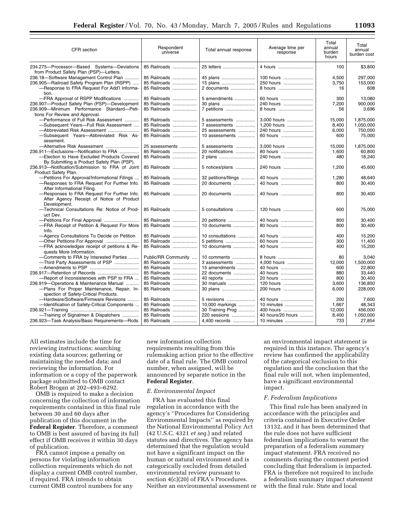| CFR section                                                                                              | Respondent<br>universe | Total annual response | Average time per<br>response | Total<br>annual<br>burden<br>hours | Total<br>annual<br>burden cost |
|----------------------------------------------------------------------------------------------------------|------------------------|-----------------------|------------------------------|------------------------------------|--------------------------------|
| 234.275-Processor-Based Systems-Deviations<br>from Product Safety Plan (PSP)-Letters.                    | 85 Railroads           | 25 letters            | 4 hours                      | 100                                | \$3,800                        |
| 236.18-Software Management Control Plan                                                                  | 85 Railroads           | 45 plans              | 100 hours                    | 4,500                              | 297,000                        |
| 236.905-Railroad Safety Program Plan (RSPP)                                                              | 85 Railroads           | 15 plans              | 250 hours                    | 3.750                              | 153,000                        |
| -Response to FRA Request For Add'l Informa-                                                              | 85 Railroads           | 2 documents           | 8 hours                      | 16                                 | 608                            |
| tion.                                                                                                    |                        |                       |                              |                                    |                                |
| -FRA Approval of RSPP Modifications                                                                      | 85 Railroads           | 5 amendments          | 60 hours                     | 300                                | 13,080                         |
| 236.907-Product Safety Plan (PSP)-Development                                                            | 85 Railroads           | 30 plans              | 240 hours                    | 7.200                              | 900,000                        |
| 236.909-Minimum Performance Standard-Peti-                                                               | 85 Railroads           | 7 petitions           | 8 hours                      | 56                                 | 3,696                          |
| tions For Review and Approval.<br>-Performance of Full Risk Assessment                                   | 85 Railroads           | 5 assessments         | 3.000 hours                  | 15.000                             | 1,875,000                      |
| -Subsequent Years-Full Risk Assessment                                                                   | 85 Railroads           | 7 assessments         | 1,200 hours                  | 8,400                              | 1,050,000                      |
| -Abbreviated Risk Assessment                                                                             | 85 Railroads           | 25 assessments        | 240 hours                    | 6.000                              | 750.000                        |
| -Subsequent Years-Abbreviated Risk As-<br>sessment.                                                      | 85 Railroads           | 10 assessments        | 60 hours                     | 600                                | 75,000                         |
| -Alternative Risk Assessment                                                                             | 25 assessments         | 5 assessments         | 3,000 hours                  | 15,000                             | 1,875,000                      |
| 236.911-Exclusions-Notification to FRA                                                                   | 85 Railroads           | 20 notifications      | 80 hours                     | 1,600                              | 60.800                         |
| -Election to Have Excluded Products Covered                                                              | 85 Railroads           | 2 plans               | 240 hours                    | 480                                | 18,240                         |
| By Submitting a Product Safety Plan (PSP).                                                               |                        |                       |                              |                                    |                                |
| 236.913-Notification/Submission to FRA of Joint                                                          | 85 Railroads           | 5 notices/plans       | 240 hours                    | 1,200                              | 45,600                         |
| Product Safety Plan.                                                                                     |                        |                       |                              |                                    |                                |
| -Petitions For Approval/Informational Filings                                                            | 85 Railroads           | 32 petitions/filings  | 40 hours                     | 1.280                              | 48.640                         |
| -Responses to FRA Request For Further Info.<br>After Informational Filing.                               | 85 Railroads           | 20 documents          | 40 hours                     | 800                                | 30,400                         |
| -Responses to FRA Request For Further Info.<br>After Agency Receipt of Notice of Product<br>Development. | 85 Railroads           | 20 documents          | 40 hours                     | 800                                | 30,400                         |
| -Technical Consultations Re: Notice of Prod-<br>uct Dev.                                                 | 85 Railroads           | 5 consultations       | 120 hours                    | 600                                | 75,000                         |
|                                                                                                          | 85 Railroads           | 20 petitions          | 40 hours                     | 800                                | 30.400                         |
| -FRA Receipt of Petition & Request For More                                                              | 85 Railroads           | 10 documents          | 80 hours                     | 800                                | 30,400                         |
| Info.                                                                                                    |                        |                       |                              |                                    |                                |
| -Agency Consultations To Decide on Petition                                                              | 85 Railroads           | 10 consultations      | 40 hours                     | 400                                | 15.200                         |
| -Other Petitions For Approval                                                                            | 85 Railroads           | 5 petitions           | 60 hours                     | 300                                | 11,400                         |
| -FRA acknowledges receipt of petitions & Re-<br>quests More Information.                                 | 85 Railroads           | 10 documents          | 40 hours                     | 400                                | 15,200                         |
| -Comments to FRA by Interested Parties                                                                   | Public/RR Community    | 10 comments           | 8 hours                      | 80                                 | 3,040                          |
| -Third Party Assessments of PSP                                                                          | 85 Railroads           | 3 assessments         | 4,000 hours                  | 12,000                             | 1,500,000                      |
|                                                                                                          | 85 Railroads           | 15 amendments         | 40 hours                     | 600                                | 22.800                         |
|                                                                                                          | 85 Railroads           | 22 documents          | 40 hours                     | 880                                | 33.440                         |
| -Report of Inconsistencies with PSP to FRA                                                               | 85 Railroads           | 40 reports            | 20 hours                     | 800                                | 30,400                         |
| 236.919-Operations & Maintenance Manual                                                                  | 85 Railroads           | 30 manuals            | 120 hours                    | 3.600                              | 136.800                        |
| -Plans For Proper Maintenance, Repair, In-                                                               | 85 Railroads           | 30 plans              | 200 hours                    | 6,000                              | 228,000                        |
| spection of Safety-Critical Products.                                                                    |                        |                       |                              |                                    |                                |
| -Hardware/Software/Firmware Revisions                                                                    | 85 Railroads           | 5 revisions           | 40 hours                     | 200                                | 7,600                          |
| -- Identification of Safety-Critical Components                                                          | 85 Railroads           | 10,000 markings       | 10 minutes                   | 1.667                              | 48,343                         |
|                                                                                                          | 85 Railroads           | 30 Training Prog      | 400 hours                    | 12,000                             | 456,000                        |
| -Training of Signalmen & Dispatchers                                                                     | 85 Railroads           | 220 sessions          | 40 hours/20 hours            | 8,400                              | 1,050,000                      |
| 236.923-Task Analysis/Basic Requirements-Rcds                                                            | 85 Railroads           | 4,400 records         | 10 minutes                   | 733                                | 27,854                         |
|                                                                                                          |                        |                       |                              |                                    |                                |

All estimates include the time for reviewing instructions; searching existing data sources; gathering or maintaining the needed data; and reviewing the information. For information or a copy of the paperwork package submitted to OMB contact Robert Brogan at 202–493–6292.

OMB is required to make a decision concerning the collection of information requirements contained in this final rule between 30 and 60 days after publication of this document in the **Federal Register**. Therefore, a comment to OMB is best assured of having its full effect if OMB receives it within 30 days of publication.

FRA cannot impose a penalty on persons for violating information collection requirements which do not display a current OMB control number, if required. FRA intends to obtain current OMB control numbers for any

new information collection requirements resulting from this rulemaking action prior to the effective date of a final rule. The OMB control number, when assigned, will be announced by separate notice in the **Federal Register**.

#### *E. Environmental Impact*

FRA has evaluated this final regulation in accordance with the agency's ''Procedures for Considering Environmental Impacts'' as required by the National Environmental Policy Act (42 U.S.C. 4321 *et seq.*) and related statutes and directives. The agency has determined that the regulation would not have a significant impact on the human or natural environment and is categorically excluded from detailed environmental review pursuant to section 4(c)(20) of FRA's Procedures. Neither an environmental assessment or

an environmental impact statement is required in this instance. The agency's review has confirmed the applicability of the categorical exclusion to this regulation and the conclusion that the final rule will not, when implemented, have a significant environmental impact.

#### *F. Federalism Implications*

This final rule has been analyzed in accordance with the principles and criteria contained in Executive Order 13132, and it has been determined that the rule does not have sufficient federalism implications to warrant the preparation of a federalism summary impact statement. FRA received no comments during the comment period concluding that federalism is impacted. FRA is therefore not required to include a federalism summary impact statement with the final rule. State and local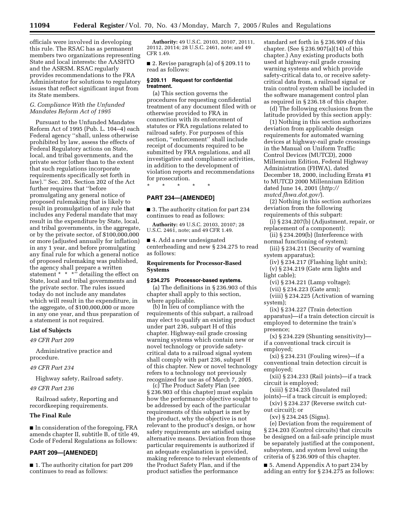officials were involved in developing this rule. The RSAC has as permanent members two organizations representing State and local interests: the AASHTO and the ASRSM. RSAC regularly provides recommendations to the FRA Administrator for solutions to regulatory issues that reflect significant input from its State members.

#### *G. Compliance With the Unfunded Mandates Reform Act of 1995*

Pursuant to the Unfunded Mandates Reform Act of 1995 (Pub. L. 104–4) each Federal agency ''shall, unless otherwise prohibited by law, assess the effects of Federal Regulatory actions on State, local, and tribal governments, and the private sector (other than to the extent that such regulations incorporate requirements specifically set forth in law).'' Sec. 201. Section 202 of the Act further requires that ''before promulgating any general notice of proposed rulemaking that is likely to result in promulgation of any rule that includes any Federal mandate that may result in the expenditure by State, local, and tribal governments, in the aggregate, or by the private sector, of \$100,000,000 or more (adjusted annually for inflation) in any 1 year, and before promulgating any final rule for which a general notice of proposed rulemaking was published, the agency shall prepare a written statement  $* * *$ ; detailing the effect on State, local and tribal governments and the private sector. The rules issued today do not include any mandates which will result in the expenditure, in the aggregate, of \$100,000,000 or more in any one year, and thus preparation of a statement is not required.

#### **List of Subjects**

*49 CFR Part 209* 

Administrative practice and procedure.

#### *49 CFR Part 234*

Highway safety, Railroad safety.

*49 CFR Part 236* 

Railroad safety, Reporting and recordkeeping requirements.

#### **The Final Rule**

■ In consideration of the foregoing, FRA amends chapter II, subtitle B, of title 49, Code of Federal Regulations as follows:

#### **PART 209—[AMENDED]**

■ 1. The authority citation for part 209 continues to read as follows:

**Authority:** 49 U.S.C. 20103, 20107, 20111, 20112, 20114; 28 U.S.C. 2461, note; and 49 CFR 1.49.

■ 2. Revise paragraph (a) of § 209.11 to read as follows:

#### **§ 209.11 Request for confidential treatment.**

(a) This section governs the procedures for requesting confidential treatment of any document filed with or otherwise provided to FRA in connection with its enforcement of statutes or FRA regulations related to railroad safety. For purposes of this section, ''enforcement'' shall include receipt of documents required to be submitted by FRA regulations, and all investigative and compliance activities, in addition to the development of violation reports and recommendations for prosecution.

\* \* \* \* \*

#### **PART 234—[AMENDED]**

■ 3. The authority citation for part 234 continues to read as follows:

**Authority:** 49 U.S.C. 20103, 20107; 28 U.S.C. 2461, note; and 49 CFR 1.49.

■ 4. Add a new undesignated centerheading and new § 234.275 to read as follows:

#### **Requirements for Processor-Based Systems**

#### **§ 234.275 Processor-based systems.**

(a) The definitions in § 236.903 of this chapter shall apply to this section, where applicable.

(b) In lieu of compliance with the requirements of this subpart, a railroad may elect to qualify an existing product under part 236, subpart H of this chapter. Highway-rail grade crossing warning systems which contain new or novel technology or provide safetycritical data to a railroad signal system shall comply with part 236, subpart H of this chapter. New or novel technology refers to a technology not previously recognized for use as of March 7, 2005.

(c) The Product Safety Plan (see § 236.903 of this chapter) must explain how the performance objective sought to be addressed by each of the particular requirements of this subpart is met by the product, why the objective is not relevant to the product's design, or how safety requirements are satisfied using alternative means. Deviation from those particular requirements is authorized if an adequate explanation is provided, making reference to relevant elements of the Product Safety Plan, and if the product satisfies the performance

standard set forth in § 236.909 of this chapter. (See § 236.907(a)(14) of this chapter.) Any existing products both used at highway-rail grade crossing warning systems and which provide safety-critical data to, or receive safetycritical data from, a railroad signal or train control system shall be included in the software management control plan as required in § 236.18 of this chapter.

(d) The following exclusions from the latitude provided by this section apply:

(1) Nothing in this section authorizes deviation from applicable design requirements for automated warning devices at highway-rail grade crossings in the Manual on Uniform Traffic Control Devices (MUTCD), 2000 Millennium Edition, Federal Highway Administration (FHWA), dated December 18, 2000, including Errata #1 to MUTCD 2000 Millennium Edition dated June 14, 2001 (*http:// mutcd.fhwa.dot.gov/*).

(2) Nothing in this section authorizes deviation from the following requirements of this subpart:

(i) § 234.207(b) (Adjustment, repair, or replacement of a component);

(ii) § 234.209(b) (Interference with normal functioning of system);

(iii) § 234.211 (Security of warning system apparatus);

(iv) § 234.217 (Flashing light units);

(v) § 234.219 (Gate arm lights and light cable);

(vi) § 234.221 (Lamp voltage);

(vii) § 234.223 (Gate arm);

(viii) § 234.225 (Activation of warning system);

(ix) § 234.227 (Train detection apparatus)—if a train detection circuit is employed to determine the train's presence;

 $(x)$  § 234.229 (Shunting sensitivity) if a conventional track circuit is

employed;

(xi) § 234.231 (Fouling wires)—if a conventional train detection circuit is employed;

(xii) § 234.233 (Rail joints)—if a track circuit is employed;

(xiii) § 234.235 (Insulated rail

joints)—if a track circuit is employed; (xiv) § 234.237 (Reverse switch cutout circuit); or

(xv) § 234.245 (Signs).

(e) Deviation from the requirement of § 234.203 (Control circuits) that circuits be designed on a fail-safe principle must be separately justified at the component, subsystem, and system level using the criteria of § 236.909 of this chapter.

■ 5. Amend Appendix A to part 234 by adding an entry for § 234.275 as follows: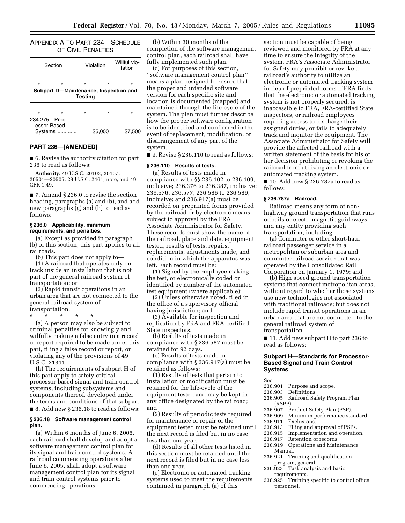APPENDIX A TO PART 234—SCHEDULE OF CIVIL PENALTIES

|         | Section | Violation                 |         | Willful vio-<br>lation                           |  |  |
|---------|---------|---------------------------|---------|--------------------------------------------------|--|--|
| $\star$ | $\star$ | $\star$<br><b>Testing</b> | $\star$ | $\star$<br>Subpart D-Maintenance, Inspection and |  |  |
| $\star$ | ÷       | ÷                         | ÷       | $\star$                                          |  |  |

| 234.275 Proc- |         |         |         |
|---------------|---------|---------|---------|
| essor-Based   |         |         |         |
|               | Systems | \$5,000 | \$7,500 |
|               |         |         |         |

#### **PART 236—[AMENDED]**

■ 6. Revise the authority citation for part 236 to read as follows:

**Authority:** 49 U.S.C. 20103, 20107, 20501—20505; 28 U.S.C. 2461, note; and 49 CFR 1.49.

■ 7. Amend § 236.0 to revise the section heading, paragraphs (a) and (b), and add new paragraphs (g) and (h) to read as follows:

#### **§ 236.0 Applicability, minimum requirements, and penalties.**

(a) Except as provided in paragraph (b) of this section, this part applies to all railroads.

(b) This part does not apply to—

(1) A railroad that operates only on track inside an installation that is not part of the general railroad system of transportation; or

(2) Rapid transit operations in an urban area that are not connected to the general railroad system of transportation.

\* \* \* \* \*

(g) A person may also be subject to criminal penalties for knowingly and wilfully making a false entry in a record or report required to be made under this part, filing a false record or report, or violating any of the provisions of 49 U.S.C. 21311.

(h) The requirements of subpart H of this part apply to safety-critical processor-based signal and train control systems, including subsystems and components thereof, developed under the terms and conditions of that subpart. ■ 8. Add new § 236.18 to read as follows:

#### **§ 236.18 Software management control plan.**

(a) Within 6 months of June 6, 2005, each railroad shall develop and adopt a software management control plan for its signal and train control systems. A railroad commencing operations after June 6, 2005, shall adopt a software management control plan for its signal and train control systems prior to commencing operations.

(b) Within 30 months of the completion of the software management control plan, each railroad shall have fully implemented such plan.

(c) For purposes of this section, ''software management control plan'' means a plan designed to ensure that the proper and intended software version for each specific site and location is documented (mapped) and maintained through the life-cycle of the system. The plan must further describe how the proper software configuration is to be identified and confirmed in the event of replacement, modification, or disarrangement of any part of the system.

■ 9. Revise § 236.110 to read as follows:

#### **§ 236.110 Results of tests.**

(a) Results of tests made in compliance with §§ 236.102 to 236.109, inclusive; 236.376 to 236.387, inclusive; 236.576; 236.577; 236.586 to 236.589, inclusive; and 236.917(a) must be recorded on preprinted forms provided by the railroad or by electronic means, subject to approval by the FRA Associate Administrator for Safety. These records must show the name of the railroad, place and date, equipment tested, results of tests, repairs, replacements, adjustments made, and condition in which the apparatus was left. Each record must be:

(1) Signed by the employee making the test, or electronically coded or identified by number of the automated test equipment (where applicable);

(2) Unless otherwise noted, filed in the office of a supervisory official having jurisdiction; and

(3) Available for inspection and replication by FRA and FRA-certified State inspectors.

(b) Results of tests made in compliance with § 236.587 must be retained for 92 days.

(c) Results of tests made in compliance with § 236.917(a) must be retained as follows:

(1) Results of tests that pertain to installation or modification must be retained for the life-cycle of the equipment tested and may be kept in any office designated by the railroad; and

(2) Results of periodic tests required for maintenance or repair of the equipment tested must be retained until the next record is filed but in no case less than one year.

(d) Results of all other tests listed in this section must be retained until the next record is filed but in no case less than one year.

(e) Electronic or automated tracking systems used to meet the requirements contained in paragraph (a) of this

section must be capable of being reviewed and monitored by FRA at any time to ensure the integrity of the system. FRA's Associate Administrator for Safety may prohibit or revoke a railroad's authority to utilize an electronic or automated tracking system in lieu of preprinted forms if FRA finds that the electronic or automated tracking system is not properly secured, is inaccessible to FRA, FRA-certified State inspectors, or railroad employees requiring access to discharge their assigned duties, or fails to adequately track and monitor the equipment. The Associate Administrator for Safety will provide the affected railroad with a written statement of the basis for his or her decision prohibiting or revoking the railroad from utilizing an electronic or automated tracking system.

■ 10. Add new § 236.787a to read as follows:

#### **§ 236.787a Railroad.**

Railroad means any form of nonhighway ground transportation that runs on rails or electromagnetic guideways and any entity providing such transportation, including—

(a) Commuter or other short-haul railroad passenger service in a metropolitan or suburban area and commuter railroad service that was operated by the Consolidated Rail Corporation on January 1, 1979; and

(b) High speed ground transportation systems that connect metropolitan areas, without regard to whether those systems use new technologies not associated with traditional railroads; but does not include rapid transit operations in an urban area that are not connected to the general railroad system of transportation.

■ 11. Add new subpart H to part 236 to read as follows:

#### **Subpart H—Standards for Processor-Based Signal and Train Control Systems**

Sec.

236.901 Purpose and scope.<br>236.903 Definitions.

### 236.903 Definitions.<br>236.905 Railroad Sa

- Railroad Safety Program Plan (RSPP).<br>236.907 P
- Product Safety Plan (PSP).
- 236.909 Minimum performance standard.
- 236.911 Exclusions.<br>236.913 Filing and a
- Filing and approval of PSPs.
- 236.915 Implementation and operation.<br>236.917 Retention of records.
- Retention of records.
- 236.919 Operations and Maintenance Manual.
- 236.921 Training and qualification program, general.
- 236.923 Task analysis and basic requirements.
- 236.925 Training specific to control office personnel.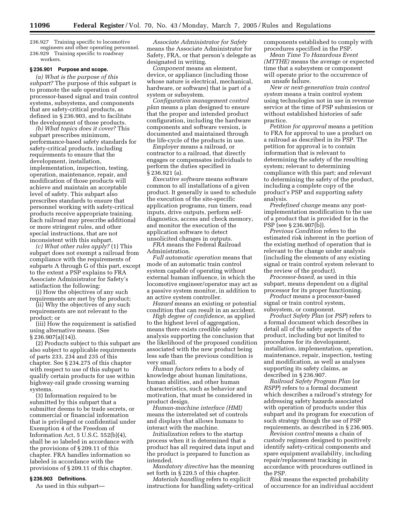236.927 Training specific to locomotive engineers and other operating personnel. 236.929 Training specific to roadway

workers.

#### **§ 236.901 Purpose and scope.**

*(a) What is the purpose of this subpart?* The purpose of this subpart is to promote the safe operation of processor-based signal and train control systems, subsystems, and components that are safety-critical products, as defined in § 236.903, and to facilitate the development of those products.

*(b) What topics does it cover?* This subpart prescribes minimum, performance-based safety standards for safety-critical products, including requirements to ensure that the development, installation, implementation, inspection, testing, operation, maintenance, repair, and modification of those products will achieve and maintain an acceptable level of safety. This subpart also prescribes standards to ensure that personnel working with safety-critical products receive appropriate training. Each railroad may prescribe additional or more stringent rules, and other special instructions, that are not inconsistent with this subpart.

*(c) What other rules apply?* (1) This subpart does not exempt a railroad from compliance with the requirements of subparts A through G of this part, except to the extent a PSP explains to FRA Associate Administrator for Safety's satisfaction the following:

(i) How the objectives of any such requirements are met by the product;

(ii) Why the objectives of any such requirements are not relevant to the product; or

(iii) How the requirement is satisfied using alternative means. (See § 236.907(a)(14)).

(2) Products subject to this subpart are also subject to applicable requirements of parts 233, 234 and 235 of this chapter. See § 234.275 of this chapter with respect to use of this subpart to qualify certain products for use within highway-rail grade crossing warning systems.

(3) Information required to be submitted by this subpart that a submitter deems to be trade secrets, or commercial or financial information that is privileged or confidential under Exemption 4 of the Freedom of Information Act,  $5$  U.S.C.  $552(b)(4)$ shall be so labeled in accordance with the provisions of § 209.11 of this chapter. FRA handles information so labeled in accordance with the provisions of § 209.11 of this chapter.

#### **§ 236.903 Definitions.**

As used in this subpart—

*Associate Administrator for Safety* means the Associate Administrator for Safety, FRA, or that person's delegate as designated in writing.

*Component* means an element, device, or appliance (including those whose nature is electrical, mechanical, hardware, or software) that is part of a system or subsystem.

*Configuration management control plan* means a plan designed to ensure that the proper and intended product configuration, including the hardware components and software version, is documented and maintained through the life-cycle of the products in use.

*Employer* means a railroad, or contractor to a railroad, that directly engages or compensates individuals to perform the duties specified in § 236.921 (a).

*Executive software* means software common to all installations of a given product. It generally is used to schedule the execution of the site-specific application programs, run timers, read inputs, drive outputs, perform selfdiagnostics, access and check memory, and monitor the execution of the application software to detect unsolicited changes in outputs.

*FRA* means the Federal Railroad Administration.

*Full automatic operation* means that mode of an automatic train control system capable of operating without external human influence, in which the locomotive engineer/operator may act as a passive system monitor, in addition to an active system controller.

*Hazard* means an existing or potential condition that can result in an accident.

*High degree of confidence,* as applied to the highest level of aggregation, means there exists credible safety analysis supporting the conclusion that the likelihood of the proposed condition associated with the new product being less safe than the previous condition is very small.

*Human factors* refers to a body of knowledge about human limitations, human abilities, and other human characteristics, such as behavior and motivation, that must be considered in product design.

*Human-machine interface (HMI)* means the interrelated set of controls and displays that allows humans to interact with the machine.

*Initialization* refers to the startup process when it is determined that a product has all required data input and the product is prepared to function as intended.

*Mandatory directive* has the meaning set forth in § 220.5 of this chapter.

*Materials handling* refers to explicit instructions for handling safety-critical components established to comply with procedures specified in the PSP.

*Mean Time To Hazardous Event (MTTHE)* means the average or expected time that a subsystem or component will operate prior to the occurrence of an unsafe failure.

*New or next-generation train control system* means a train control system using technologies not in use in revenue service at the time of PSP submission or without established histories of safe practice.

*Petition for approval* means a petition to FRA for approval to use a product on a railroad as described in its PSP. The petition for approval is to contain information that is relevant to determining the safety of the resulting system; relevant to determining compliance with this part; and relevant to determining the safety of the product, including a complete copy of the product's PSP and supporting safety analysis.

*Predefined change* means any postimplementation modification to the use of a product that is provided for in the PSP (see § 236.907(b)).

*Previous Condition* refers to the estimated risk inherent in the portion of the existing method of operation that is relevant to the change under analysis (including the elements of any existing signal or train control system relevant to the review of the product).

*Processor-based,* as used in this subpart, means dependent on a digital processor for its proper functioning.

*Product* means a processor-based signal or train control system, subsystem, or component.

*Product Safety Plan* (or *PSP*) refers to a formal document which describes in detail all of the safety aspects of the product, including but not limited to procedures for its development, installation, implementation, operation, maintenance, repair, inspection, testing and modification, as well as analyses supporting its safety claims, as described in § 236.907.

*Railroad Safety Program Plan* (or *RSPP*) refers to a formal document which describes a railroad's strategy for addressing safety hazards associated with operation of products under this subpart and its program for execution of such strategy though the use of PSP requirements, as described in § 236.905.

*Revision control* means a chain of custody regimen designed to positively identify safety-critical components and spare equipment availability, including repair/replacement tracking in accordance with procedures outlined in the PSP.

*Risk* means the expected probability of occurrence for an individual accident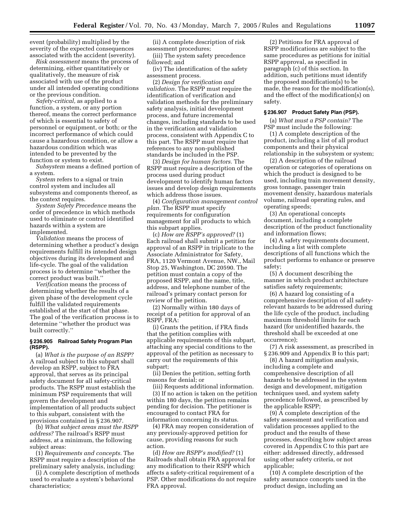event (probability) multiplied by the severity of the expected consequences associated with the accident (severity).

*Risk assessment* means the process of determining, either quantitatively or qualitatively, the measure of risk associated with use of the product under all intended operating conditions or the previous condition.

*Safety-critical,* as applied to a function, a system, or any portion thereof, means the correct performance of which is essential to safety of personnel or equipment, or both; or the incorrect performance of which could cause a hazardous condition, or allow a hazardous condition which was intended to be prevented by the function or system to exist.

*Subsystem* means a defined portion of a system.

*System* refers to a signal or train control system and includes all subsystems and components thereof, as the context requires.

*System Safety Precedence* means the order of precedence in which methods used to eliminate or control identified hazards within a system are implemented.

*Validation* means the process of determining whether a product's design requirements fulfill its intended design objectives during its development and life-cycle. The goal of the validation process is to determine ''whether the correct product was built.''

*Verification* means the process of determining whether the results of a given phase of the development cycle fulfill the validated requirements established at the start of that phase. The goal of the verification process is to determine ''whether the product was built correctly.''

#### **§ 236.905 Railroad Safety Program Plan (RSPP).**

(a) *What is the purpose of an RSPP?* A railroad subject to this subpart shall develop an RSPP, subject to FRA approval, that serves as its principal safety document for all safety-critical products. The RSPP must establish the minimum PSP requirements that will govern the development and implementation of all products subject to this subpart, consistent with the provisions contained in § 236.907.

(b) *What subject areas must the RSPP address?* The railroad's RSPP must address, at a minimum, the following subject areas:

(1) *Requirements and concepts.* The RSPP must require a description of the preliminary safety analysis, including:

(i) A complete description of methods used to evaluate a system's behavioral characteristics;

(ii) A complete description of risk assessment procedures;

(iii) The system safety precedence followed; and

(iv) The identification of the safety assessment process.

(2) *Design for verification and validation.* The RSPP must require the identification of verification and validation methods for the preliminary safety analysis, initial development process, and future incremental changes, including standards to be used in the verification and validation process, consistent with Appendix C to this part. The RSPP must require that references to any non-published standards be included in the PSP.

(3) *Design for human factors.* The RSPP must require a description of the process used during product development to identify human factors issues and develop design requirements which address those issues.

(4) *Configuration management control plan.* The RSPP must specify requirements for configuration management for all products to which this subpart applies.

(c) *How are RSPP's approved?* (1) Each railroad shall submit a petition for approval of an RSPP in triplicate to the Associate Administrator for Safety, FRA, 1120 Vermont Avenue, NW., Mail Stop 25, Washington, DC 20590. The petition must contain a copy of the proposed RSPP, and the name, title, address, and telephone number of the railroad's primary contact person for review of the petition.

(2) Normally within 180 days of receipt of a petition for approval of an RSPP, FRA:

(i) Grants the petition, if FRA finds that the petition complies with applicable requirements of this subpart, attaching any special conditions to the approval of the petition as necessary to carry out the requirements of this subpart;

(ii) Denies the petition, setting forth reasons for denial; or

(iii) Requests additional information. (3) If no action is taken on the petition within 180 days, the petition remains pending for decision. The petitioner is encouraged to contact FRA for information concerning its status.

(4) FRA may reopen consideration of any previously-approved petition for cause, providing reasons for such action.

(d) *How are RSPP's modified?* (1) Railroads shall obtain FRA approval for any modification to their RSPP which affects a safety-critical requirement of a PSP. Other modifications do not require FRA approval.

(2) Petitions for FRA approval of RSPP modifications are subject to the same procedures as petitions for initial RSPP approval, as specified in paragraph (c) of this section. In addition, such petitions must identify the proposed modification(s) to be made, the reason for the modification(s), and the effect of the modification(s) on safety.

#### **§ 236.907 Product Safety Plan (PSP).**

(a) *What must a PSP contain?* The PSP must include the following:

(1) A complete description of the product, including a list of all product components and their physical relationship in the subsystem or system;

(2) A description of the railroad operation or categories of operations on which the product is designed to be used, including train movement density, gross tonnage, passenger train movement density, hazardous materials volume, railroad operating rules, and operating speeds;

(3) An operational concepts document, including a complete description of the product functionality and information flows;

(4) A safety requirements document, including a list with complete descriptions of all functions which the product performs to enhance or preserve safety;

(5) A document describing the manner in which product architecture satisfies safety requirements;

(6) A hazard log consisting of a comprehensive description of all safetyrelevant hazards to be addressed during the life cycle of the product, including maximum threshold limits for each hazard (for unidentified hazards, the threshold shall be exceeded at one occurrence);

(7) A risk assessment, as prescribed in § 236.909 and Appendix B to this part;

(8) A hazard mitigation analysis, including a complete and comprehensive description of all hazards to be addressed in the system design and development, mitigation techniques used, and system safety precedence followed, as prescribed by the applicable RSPP;

(9) A complete description of the safety assessment and verification and validation processes applied to the product and the results of these processes, describing how subject areas covered in Appendix C to this part are either: addressed directly, addressed using other safety criteria, or not applicable;

(10) A complete description of the safety assurance concepts used in the product design, including an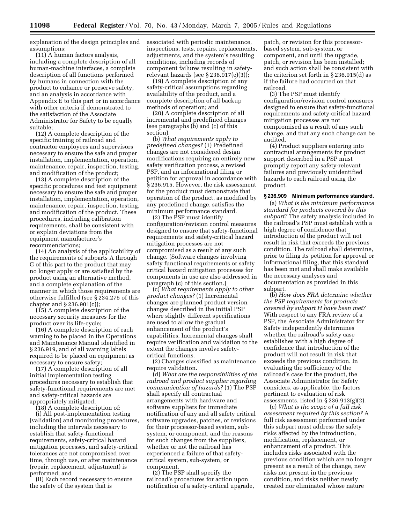explanation of the design principles and assumptions;

(11) A human factors analysis, including a complete description of all human-machine interfaces, a complete description of all functions performed by humans in connection with the product to enhance or preserve safety, and an analysis in accordance with Appendix E to this part or in accordance with other criteria if demonstrated to the satisfaction of the Associate Administrator for Safety to be equally suitable;

(12) A complete description of the specific training of railroad and contractor employees and supervisors necessary to ensure the safe and proper installation, implementation, operation, maintenance, repair, inspection, testing, and modification of the product;

(13) A complete description of the specific procedures and test equipment necessary to ensure the safe and proper installation, implementation, operation, maintenance, repair, inspection, testing, and modification of the product. These procedures, including calibration requirements, shall be consistent with or explain deviations from the equipment manufacturer's recommendations;

(14) An analysis of the applicability of the requirements of subparts A through G of this part to the product that may no longer apply or are satisfied by the product using an alternative method, and a complete explanation of the manner in which those requirements are otherwise fulfilled (see § 234.275 of this chapter and § 236.901(c));

(15) A complete description of the necessary security measures for the product over its life-cycle;

(16) A complete description of each warning to be placed in the Operations and Maintenance Manual identified in § 236.919, and of all warning labels required to be placed on equipment as necessary to ensure safety;

(17) A complete description of all initial implementation testing procedures necessary to establish that safety-functional requirements are met and safety-critical hazards are appropriately mitigated;

(18) A complete description of:

(i) All post-implementation testing (validation) and monitoring procedures, including the intervals necessary to establish that safety-functional requirements, safety-critical hazard mitigation processes, and safety-critical tolerances are not compromised over time, through use, or after maintenance (repair, replacement, adjustment) is performed; and

(ii) Each record necessary to ensure the safety of the system that is

associated with periodic maintenance, inspections, tests, repairs, replacements, adjustments, and the system's resulting conditions, including records of component failures resulting in safetyrelevant hazards (see § 236.917(e)(3));

(19) A complete description of any safety-critical assumptions regarding availability of the product, and a complete description of all backup methods of operation; and

(20) A complete description of all incremental and predefined changes (see paragraphs (b) and (c) of this section).

(b) *What requirements apply to predefined changes?* (1) Predefined changes are not considered design modifications requiring an entirely new safety verification process, a revised PSP, and an informational filing or petition for approval in accordance with § 236.915. However, the risk assessment for the product must demonstrate that operation of the product, as modified by any predefined change, satisfies the minimum performance standard.

(2) The PSP must identify configuration/revision control measures designed to ensure that safety-functional requirements and safety-critical hazard mitigation processes are not compromised as a result of any such change. (Software changes involving safety functional requirements or safety critical hazard mitigation processes for components in use are also addressed in paragraph (c) of this section.)

(c) *What requirements apply to other product changes?* (1) Incremental changes are planned product version changes described in the initial PSP where slightly different specifications are used to allow the gradual enhancement of the product's capabilities. Incremental changes shall require verification and validation to the extent the changes involve safetycritical functions.

(2) Changes classified as maintenance require validation.

(d) *What are the responsibilities of the railroad and product supplier regarding communication of hazards?* (1) The PSP shall specify all contractual arrangements with hardware and software suppliers for immediate notification of any and all safety critical software upgrades, patches, or revisions for their processor-based system, subsystem, or component, and the reasons for such changes from the suppliers, whether or not the railroad has experienced a failure of that safetycritical system, sub-system, or component.

(2) The PSP shall specify the railroad's procedures for action upon notification of a safety-critical upgrade,

patch, or revision for this processorbased system, sub-system, or component, and until the upgrade, patch, or revision has been installed; and such action shall be consistent with the criterion set forth in § 236.915(d) as if the failure had occurred on that railroad.

(3) The PSP must identify configuration/revision control measures designed to ensure that safety-functional requirements and safety-critical hazard mitigation processes are not compromised as a result of any such change, and that any such change can be audited.

(4) Product suppliers entering into contractual arrangements for product support described in a PSP must promptly report any safety-relevant failures and previously unidentified hazards to each railroad using the product.

#### **§ 236.909 Minimum performance standard.**

(a) *What is the minimum performance standard for products covered by this subpart?* The safety analysis included in the railroad's PSP must establish with a high degree of confidence that introduction of the product will not result in risk that exceeds the previous condition. The railroad shall determine, prior to filing its petition for approval or informational filing, that this standard has been met and shall make available the necessary analyses and documentation as provided in this subpart.

(b) *How does FRA determine whether the PSP requirements for products covered by subpart H have been met?* With respect to any FRA review of a PSP, the Associate Administrator for Safety independently determines whether the railroad's safety case establishes with a high degree of confidence that introduction of the product will not result in risk that exceeds the previous condition. In evaluating the sufficiency of the railroad's case for the product, the Associate Administrator for Safety considers, as applicable, the factors pertinent to evaluation of risk assessments, listed in  $\S 236.913(g)(2)$ .

(c) *What is the scope of a full risk assessment required by this section?* A full risk assessment performed under this subpart must address the safety risks affected by the introduction, modification, replacement, or enhancement of a product. This includes risks associated with the previous condition which are no longer present as a result of the change, new risks not present in the previous condition, and risks neither newly created nor eliminated whose nature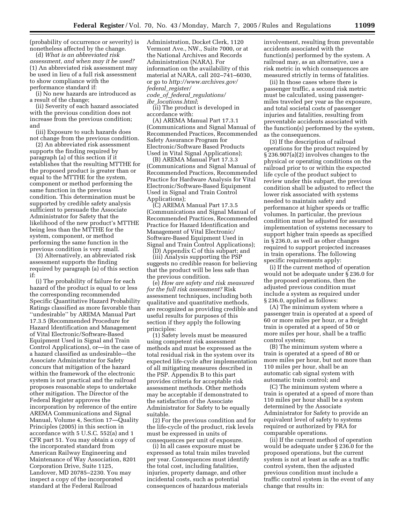(probability of occurrence or severity) is nonetheless affected by the change.

(d) *What is an abbreviated risk assessment, and when may it be used?* (1) An abbreviated risk assessment may be used in lieu of a full risk assessment to show compliance with the performance standard if:

(i) No new hazards are introduced as a result of the change;

(ii) Severity of each hazard associated with the previous condition does not increase from the previous condition; and

(iii) Exposure to such hazards does not change from the previous condition.

(2) An abbreviated risk assessment supports the finding required by paragraph (a) of this section if it establishes that the resulting MTTHE for the proposed product is greater than or equal to the MTTHE for the system, component or method performing the same function in the previous condition. This determination must be supported by credible safety analysis sufficient to persuade the Associate Administrator for Safety that the likelihood of the new product's MTTHE being less than the MTTHE for the system, component, or method performing the same function in the previous condition is very small.

(3) Alternatively, an abbreviated risk assessment supports the finding required by paragraph (a) of this section if:

(i) The probability of failure for each hazard of the product is equal to or less the corresponding recommended Specific Quantitative Hazard Probability Ratings classified as more favorable than ''undesirable'' by AREMA Manual Part 17.3.5 (Recommended Procedure for Hazard Identification and Management of Vital Electronic/Software-Based Equipment Used in Signal and Train Control Applications), or—in the case of a hazard classified as undesirable—the Associate Administrator for Safety concurs that mitigation of the hazard within the framework of the electronic system is not practical and the railroad proposes reasonable steps to undertake other mitigation. The Director of the Federal Register approves the incorporation by reference of the entire AREMA Communications and Signal Manual, Volume 4, Section 17—Quality Principles (2005) in this section in accordance with 5 U.S.C. 552(a) and 1 CFR part 51. You may obtain a copy of the incorporated standard from American Railway Engineering and Maintenance of Way Association, 8201 Corporation Drive, Suite 1125, Landover, MD 20785–2230. You may inspect a copy of the incorporated standard at the Federal Railroad

Administration, Docket Clerk, 1120 Vermont Ave., NW., Suite 7000, or at the National Archives and Records Administration (NARA). For information on the availability of this material at NARA, call 202–741–6030, or go to *http://www.archives.gov/ federal*\_*register/ code*\_*of*\_*federal*\_*regulations/ ibr*\_*locations.html*;

(ii) The product is developed in accordance with:

(A) AREMA Manual Part 17.3.1 (Communications and Signal Manual of Recommended Practices, Recommended Safety Assurance Program for Electronic/Software Based Products Used in Vital Signal Applications);

(B) AREMA Manual Part 17.3.3 (Communications and Signal Manual of Recommended Practices, Recommended Practice for Hardware Analysis for Vital Electronic/Software-Based Equipment Used in Signal and Train Control Applications);

(C) AREMA Manual Part 17.3.5 (Communications and Signal Manual of Recommended Practices, Recommended Practice for Hazard Identification and Management of Vital Electronic/ Software-Based Equipment Used in Signal and Train Control Applications);

(D) Appendix C of this subpart; and

(iii) Analysis supporting the PSP suggests no credible reason for believing that the product will be less safe than the previous condition.

(e) *How are safety and risk measured for the full risk assessment?* Risk assessment techniques, including both qualitative and quantitative methods, are recognized as providing credible and useful results for purposes of this section if they apply the following principles:

(1) Safety levels must be measured using competent risk assessment methods and must be expressed as the total residual risk in the system over its expected life-cycle after implementation of all mitigating measures described in the PSP. Appendix B to this part provides criteria for acceptable risk assessment methods. Other methods may be acceptable if demonstrated to the satisfaction of the Associate Administrator for Safety to be equally suitable.

(2) For the previous condition and for the life-cycle of the product, risk levels must be expressed in units of consequences per unit of exposure.

(i) In all cases exposure must be expressed as total train miles traveled per year. Consequences must identify the total cost, including fatalities, injuries, property damage, and other incidental costs, such as potential consequences of hazardous materials

involvement, resulting from preventable accidents associated with the function(s) performed by the system. A railroad may, as an alternative, use a risk metric in which consequences are measured strictly in terms of fatalities.

(ii) In those cases where there is passenger traffic, a second risk metric must be calculated, using passengermiles traveled per year as the exposure, and total societal costs of passenger injuries and fatalities, resulting from preventable accidents associated with the function(s) performed by the system, as the consequences.

(3) If the description of railroad operations for the product required by § 236.907(a)(2) involves changes to the physical or operating conditions on the railroad prior to or within the expected life cycle of the product subject to review under this subpart, the previous condition shall be adjusted to reflect the lower risk associated with systems needed to maintain safety and performance at higher speeds or traffic volumes. In particular, the previous condition must be adjusted for assumed implementation of systems necessary to support higher train speeds as specified in § 236.0, as well as other changes required to support projected increases in train operations. The following specific requirements apply:

(i) If the current method of operation would not be adequate under § 236.0 for the proposed operations, then the adjusted previous condition must include a system as required under § 236.0, applied as follows:

(A) The minimum system where a passenger train is operated at a speed of 60 or more miles per hour, or a freight train is operated at a speed of 50 or more miles per hour, shall be a traffic control system;

(B) The minimum system where a train is operated at a speed of 80 or more miles per hour, but not more than 110 miles per hour, shall be an automatic cab signal system with automatic train control; and

(C) The minimum system where a train is operated at a speed of more than 110 miles per hour shall be a system determined by the Associate Administrator for Safety to provide an equivalent level of safety to systems required or authorized by FRA for comparable operations.

(ii) If the current method of operation would be adequate under § 236.0 for the proposed operations, but the current system is not at least as safe as a traffic control system, then the adjusted previous condition must include a traffic control system in the event of any change that results in: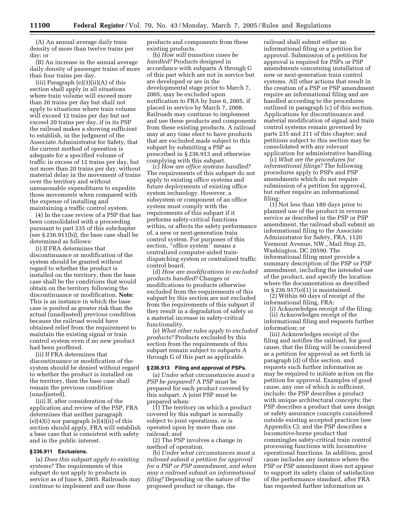(A) An annual average daily train density of more than twelve trains per day; or

(B) An increase in the annual average daily density of passenger trains of more than four trains per day.

(iii) Paragraph  $(e)(3)(ii)(A)$  of this section shall apply in all situations where train volume will exceed more than 20 trains per day but shall not apply to situations where train volume will exceed 12 trains per day but not exceed 20 trains per day, if in its PSP the railroad makes a showing sufficient to establish, in the judgment of the Associate Administrator for Safety, that the current method of operation is adequate for a specified volume of traffic in excess of 12 trains per day, but not more than 20 trains per day, without material delay in the movement of trains over the territory and without unreasonable expenditures to expedite those movements when compared with the expense of installing and maintaining a traffic control system.

(4) In the case review of a PSP that has been consolidated with a proceeding pursuant to part 235 of this subchapter (see § 236.911(b)), the base case shall be determined as follows:

(i) If FRA determines that discontinuance or modification of the system should be granted without regard to whether the product is installed on the territory, then the base case shall be the conditions that would obtain on the territory following the discontinuance or modification. **Note:** This is an instance in which the base case is posited as greater risk than the actual (unadjusted) previous condition because the railroad would have obtained relief from the requirement to maintain the existing signal or train control system even if no new product had been proffered.

(ii) If FRA determines that discontinuance or modification of the system should be denied without regard to whether the product is installed on the territory, then the base case shall remain the previous condition (unadjusted).

(iii) If, after consideration of the application and review of the PSP, FRA determines that neither paragraph (e)(4)(i) nor paragraph (e)(4)(ii) of this section should apply, FRA will establish a base case that is consistent with safety and in the public interest.

#### **§ 236.911 Exclusions.**

(a) *Does this subpart apply to existing systems?* The requirements of this subpart do not apply to products in service as of June 6, 2005. Railroads may continue to implement and use these

products and components from these existing products.

(b) *How will transition cases be handled?* Products designed in accordance with subparts A through G of this part which are not in service but are developed or are in the developmental stage prior to March 7, 2005, may be excluded upon notification to FRA by June 6, 2005, if placed in service by March 7, 2008. Railroads may continue to implement and use these products and components from these existing products. A railroad may at any time elect to have products that are excluded made subject to this subpart by submitting a PSP as prescribed in § 236.913 and otherwise complying with this subpart.

(c) *How are office systems handled?* The requirements of this subpart do not apply to existing office systems and future deployments of existing office system technology. However, a subsystem or component of an office system must comply with the requirements of this subpart if it performs safety-critical functions within, or affects the safety performance of, a new or next-generation train control system. For purposes of this section, "office system" means a centralized computer-aided traindispatching system or centralized traffic control board.

(d) *How are modifications to excluded products handled?* Changes or modifications to products otherwise excluded from the requirements of this subpart by this section are not excluded from the requirements of this subpart if they result in a degradation of safety or a material increase in safety-critical functionality.

(e) *What other rules apply to excluded products?* Products excluded by this section from the requirements of this subpart remain subject to subparts A through G of this part as applicable.

#### **§ 236.913 Filing and approval of PSPs.**

(a) *Under what circumstances must a PSP be prepared?* A PSP must be prepared for each product covered by this subpart. A joint PSP must be prepared when:

(1) The territory on which a product covered by this subpart is normally subject to joint operations, or is operated upon by more than one railroad; and

(2) The PSP involves a change in method of operation.

(b) *Under what circumstances must a railroad submit a petition for approval for a PSP or PSP amendment, and when may a railroad submit an informational filing?* Depending on the nature of the proposed product or change, the

railroad shall submit either an informational filing or a petition for approval. Submission of a petition for approval is required for PSPs or PSP amendments concerning installation of new or next-generation train control systems. All other actions that result in the creation of a PSP or PSP amendment require an informational filing and are handled according to the procedures outlined in paragraph (c) of this section. Applications for discontinuance and material modification of signal and train control systems remain governed by parts 235 and 211 of this chapter; and petitions subject to this section may be consolidated with any relevant application for administrative handling.

(c) *What are the procedures for informational filings?* The following procedures apply to PSPs and PSP amendments which do not require submission of a petition for approval, but rather require an informational filing:

(1) Not less than 180 days prior to planned use of the product in revenue service as described in the PSP or PSP amendment, the railroad shall submit an informational filing to the Associate Administrator for Safety, FRA, 1120 Vermont Avenue, NW., Mail Stop 25, Washington, DC 20590. The informational filing must provide a summary description of the PSP or PSP amendment, including the intended use of the product, and specify the location where the documentation as described in § 236.917(e)(1) is maintained.

(2) Within 60 days of receipt of the informational filing, FRA:

(i) Acknowledges receipt of the filing; (ii) Acknowledges receipt of the

informational filing and requests further information; or

(iii) Acknowledges receipt of the filing and notifies the railroad, for good cause, that the filing will be considered as a petition for approval as set forth in paragraph (d) of this section, and requests such further information as may be required to initiate action on the petition for approval. Examples of good cause, any one of which is sufficient, include: the PSP describes a product with unique architectural concepts; the PSP describes a product that uses design or safety assurance concepts considered outside existing accepted practices (see Appendix C); and the PSP describes a locomotive-borne product that commingles safety-critical train control processing functions with locomotive operational functions. In addition, good cause includes any instance where the PSP or PSP amendment does not appear to support its safety claim of satisfaction of the performance standard, after FRA has requested further information as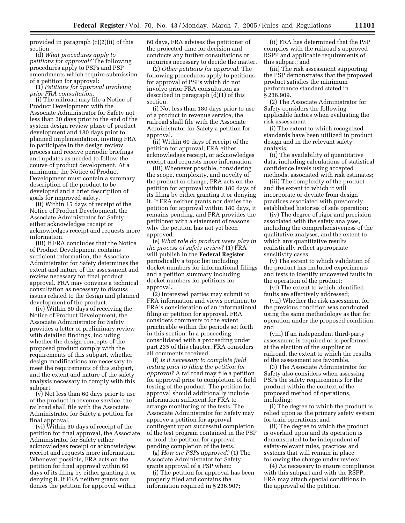provided in paragraph (c)(2)(ii) of this section.

(d) *What procedures apply to petitions for approval?* The following procedures apply to PSPs and PSP amendments which require submission of a petition for approval:

(1) *Petitions for approval involving prior FRA consultation.*

(i) The railroad may file a Notice of Product Development with the Associate Administrator for Safety not less than 30 days prior to the end of the system design review phase of product development and 180 days prior to planned implementation, inviting FRA to participate in the design review process and receive periodic briefings and updates as needed to follow the course of product development. At a minimum, the Notice of Product Development must contain a summary description of the product to be developed and a brief description of goals for improved safety.

(ii) Within 15 days of receipt of the Notice of Product Development, the Associate Administrator for Safety either acknowledges receipt or acknowledges receipt and requests more information.

(iii) If FRA concludes that the Notice of Product Development contains sufficient information, the Associate Administrator for Safety determines the extent and nature of the assessment and review necessary for final product approval. FRA may convene a technical consultation as necessary to discuss issues related to the design and planned development of the product.

(iv) Within 60 days of receiving the Notice of Product Development, the Associate Administrator for Safety provides a letter of preliminary review with detailed findings, including whether the design concepts of the proposed product comply with the requirements of this subpart, whether design modifications are necessary to meet the requirements of this subpart, and the extent and nature of the safety analysis necessary to comply with this subpart.

(v) Not less than 60 days prior to use of the product in revenue service, the railroad shall file with the Associate Administrator for Safety a petition for final approval.

(vi) Within 30 days of receipt of the petition for final approval, the Associate Administrator for Safety either acknowledges receipt or acknowledges receipt and requests more information. Whenever possible, FRA acts on the petition for final approval within 60 days of its filing by either granting it or denying it. If FRA neither grants nor denies the petition for approval within

60 days, FRA advises the petitioner of the projected time for decision and conducts any further consultations or inquiries necessary to decide the matter.

(2) *Other petitions for approval.* The following procedures apply to petitions for approval of PSPs which do not involve prior FRA consultation as described in paragraph (d)(1) of this section.

(i) Not less than 180 days prior to use of a product in revenue service, the railroad shall file with the Associate Administrator for Safety a petition for approval.

(ii) Within 60 days of receipt of the petition for approval, FRA either acknowledges receipt, or acknowledges receipt and requests more information.

(iii) Whenever possible, considering the scope, complexity, and novelty of the product or change, FRA acts on the petition for approval within 180 days of its filing by either granting it or denying it. If FRA neither grants nor denies the petition for approval within 180 days, it remains pending, and FRA provides the petitioner with a statement of reasons why the petition has not yet been approved.

(e) *What role do product users play in the process of safety review?* (1) FRA will publish in the **Federal Register** periodically a topic list including docket numbers for informational filings and a petition summary including docket numbers for petitions for approval.

(2) Interested parties may submit to FRA information and views pertinent to FRA's consideration of an informational filing or petition for approval. FRA considers comments to the extent practicable within the periods set forth in this section. In a proceeding consolidated with a proceeding under part 235 of this chapter, FRA considers all comments received.

(f) *Is it necessary to complete field testing prior to filing the petition for approval?* A railroad may file a petition for approval prior to completion of field testing of the product. The petition for approval should additionally include information sufficient for FRA to arrange monitoring of the tests. The Associate Administrator for Safety may approve a petition for approval contingent upon successful completion of the test program contained in the PSP or hold the petition for approval pending completion of the tests.

(g) *How are PSPs approved?* (1) The Associate Administrator for Safety grants approval of a PSP when:

(i) The petition for approval has been properly filed and contains the information required in § 236.907;

(ii) FRA has determined that the PSP complies with the railroad's approved RSPP and applicable requirements of this subpart; and

(iii) The risk assessment supporting the PSP demonstrates that the proposed product satisfies the minimum performance standard stated in § 236.909.

(2) The Associate Administrator for Safety considers the following applicable factors when evaluating the risk assessment:

(i) The extent to which recognized standards have been utilized in product design and in the relevant safety analysis;

(ii) The availability of quantitative data, including calculations of statistical confidence levels using accepted methods, associated with risk estimates;

(iii) The complexity of the product and the extent to which it will incorporate or deviate from design practices associated with previously established histories of safe operation;

(iv) The degree of rigor and precision associated with the safety analyses, including the comprehensiveness of the qualitative analyses, and the extent to which any quantitative results realistically reflect appropriate sensitivity cases;

(v) The extent to which validation of the product has included experiments and tests to identify uncovered faults in the operation of the product;

(vi) The extent to which identified faults are effectively addressed;

(vii) Whether the risk assessment for the previous condition was conducted using the same methodology as that for operation under the proposed condition; and

(viii) If an independent third-party assessment is required or is performed at the election of the supplier or railroad, the extent to which the results of the assessment are favorable.

(3) The Associate Administrator for Safety also considers when assessing PSPs the safety requirements for the product within the context of the proposed method of operations, including:

(i) The degree to which the product is relied upon as the primary safety system for train operations; and

(ii) The degree to which the product is overlaid upon and its operation is demonstrated to be independent of safety-relevant rules, practices and systems that will remain in place following the change under review.

(4) As necessary to ensure compliance with this subpart and with the RSPP, FRA may attach special conditions to the approval of the petition.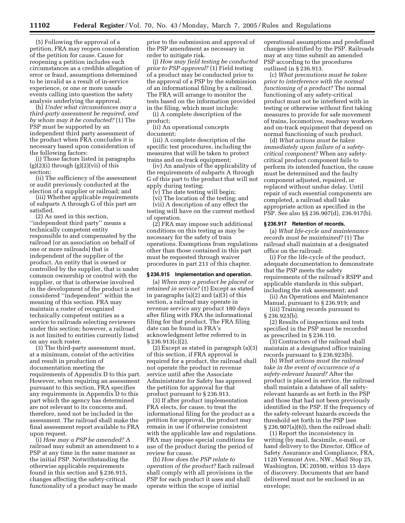(5) Following the approval of a petition, FRA may reopen consideration of the petition for cause. Cause for reopening a petition includes such circumstances as a credible allegation of error or fraud, assumptions determined to be invalid as a result of in-service experience, or one or more unsafe events calling into question the safety analysis underlying the approval.

(h) *Under what circumstances may a third-party assessment be required, and by whom may it be conducted?* (1) The PSP must be supported by an independent third party assessment of the product when FRA concludes it is necessary based upon consideration of the following factors:

(i) Those factors listed in paragraphs (g)(2)(i) through (g)(2)(vii) of this section;

(ii) The sufficiency of the assessment or audit previously conducted at the election of a supplier or railroad; and

(iii) Whether applicable requirements of subparts A through G of this part are satisfied.

(2) As used in this section, ''independent third party'' means a technically competent entity responsible to and compensated by the railroad (or an association on behalf of one or more railroads) that is independent of the supplier of the product. An entity that is owned or controlled by the supplier, that is under common ownership or control with the supplier, or that is otherwise involved in the development of the product is not considered ''independent'' within the meaning of this section. FRA may maintain a roster of recognized technically competent entities as a service to railroads selecting reviewers under this section; however, a railroad is not limited to entities currently listed on any such roster.

(3) The third-party assessment must, at a minimum, consist of the activities and result in production of documentation meeting the requirements of Appendix D to this part. However, when requiring an assessment pursuant to this section, FRA specifies any requirements in Appendix D to this part which the agency has determined are not relevant to its concerns and, therefore, need not be included in the assessment. The railroad shall make the final assessment report available to FRA upon request.

(i) *How may a PSP be amended?* A railroad may submit an amendment to a PSP at any time in the same manner as the initial PSP. Notwithstanding the otherwise applicable requirements found in this section and § 236.915, changes affecting the safety-critical functionality of a product may be made

prior to the submission and approval of the PSP amendment as necessary in order to mitigate risk.

(j) *How may field testing be conducted prior to PSP approval?* (1) Field testing of a product may be conducted prior to the approval of a PSP by the submission of an informational filing by a railroad. The FRA will arrange to monitor the tests based on the information provided in the filing, which must include:

(i) A complete description of the product;

(ii) An operational concepts document;

(iii) A complete description of the specific test procedures, including the measures that will be taken to protect trains and on-track equipment;

(iv) An analysis of the applicability of the requirements of subparts A through G of this part to the product that will not apply during testing;

(v) The date testing will begin;

(vi) The location of the testing; and

(vii) A description of any effect the testing will have on the current method of operation.

(2) FRA may impose such additional conditions on this testing as may be necessary for the safety of train operations. Exemptions from regulations other than those contained in this part must be requested through waiver procedures in part 211 of this chapter.

#### **§ 236.915 Implementation and operation.**

(a) *When may a product be placed or retained in service?* (1) Except as stated in paragraphs (a)(2) and (a)(3) of this section, a railroad may operate in revenue service any product 180 days after filing with FRA the informational filing for that product. The FRA filing date can be found in FRA's acknowledgment letter referred to in § 236.913(c)(2).

(2) Except as stated in paragraph (a)(3) of this section, if FRA approval is required for a product, the railroad shall not operate the product in revenue service until after the Associate Administrator for Safety has approved the petition for approval for that product pursuant to § 236.913.

(3) If after product implementation FRA elects, for cause, to treat the informational filing for the product as a petition for approval, the product may remain in use if otherwise consistent with the applicable law and regulations. FRA may impose special conditions for use of the product during the period of review for cause.

(b) *How does the PSP relate to operation of the product?* Each railroad shall comply with all provisions in the PSP for each product it uses and shall operate within the scope of initial

operational assumptions and predefined changes identified by the PSP. Railroads may at any time submit an amended PSP according to the procedures outlined in § 236.913.

(c) *What precautions must be taken prior to interference with the normal functioning of a product?* The normal functioning of any safety-critical product must not be interfered with in testing or otherwise without first taking measures to provide for safe movement of trains, locomotives, roadway workers and on-track equipment that depend on normal functioning of such product.

(d) *What actions must be taken immediately upon failure of a safetycritical component?* When any safetycritical product component fails to perform its intended function, the cause must be determined and the faulty component adjusted, repaired, or replaced without undue delay. Until repair of such essential components are completed, a railroad shall take appropriate action as specified in the PSP. See also §§ 236.907(d), 236.917(b).

#### **§ 236.917 Retention of records.**

(a) *What life-cycle and maintenance records must be maintained?* (1) The railroad shall maintain at a designated office on the railroad:

(i) For the life-cycle of the product, adequate documentation to demonstrate that the PSP meets the safety requirements of the railroad's RSPP and applicable standards in this subpart, including the risk assessment; and

(ii) An Operations and Maintenance Manual, pursuant to § 236.919; and

(iii) Training records pursuant to § 236.923(b).

(2) Results of inspections and tests specified in the PSP must be recorded as prescribed in § 236.110.

(3) Contractors of the railroad shall maintain at a designated office training records pursuant to § 236.923(b).

(b) *What actions must the railroad take in the event of occurrence of a safety-relevant hazard?* After the product is placed in service, the railroad shall maintain a database of all safetyrelevant hazards as set forth in the PSP and those that had not been previously identified in the PSP. If the frequency of the safety-relevant hazards exceeds the threshold set forth in the PSP (see § 236.907(a)(6)), then the railroad shall:

(1) Report the inconsistency in writing (by mail, facsimile, e-mail, or hand delivery to the Director, Office of Safety Assurance and Compliance, FRA, 1120 Vermont Ave., NW., Mail Stop 25, Washington, DC 20590, within 15 days of discovery. Documents that are hand delivered must not be enclosed in an envelope;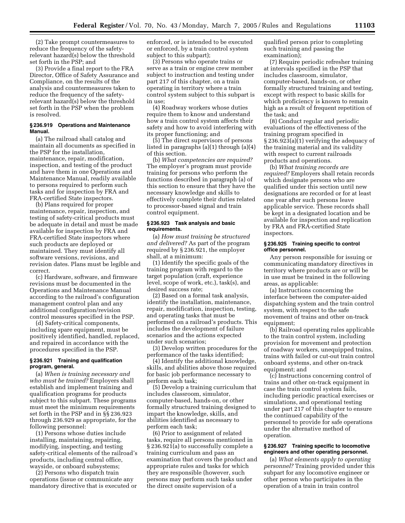(2) Take prompt countermeasures to reduce the frequency of the safetyrelevant hazard(s) below the threshold set forth in the PSP; and

(3) Provide a final report to the FRA Director, Office of Safety Assurance and Compliance, on the results of the analysis and countermeasures taken to reduce the frequency of the safetyrelevant hazard(s) below the threshold set forth in the PSP when the problem is resolved.

#### **§ 236.919 Operations and Maintenance Manual.**

(a) The railroad shall catalog and maintain all documents as specified in the PSP for the installation, maintenance, repair, modification, inspection, and testing of the product and have them in one Operations and Maintenance Manual, readily available to persons required to perform such tasks and for inspection by FRA and FRA-certified State inspectors.

(b) Plans required for proper maintenance, repair, inspection, and testing of safety-critical products must be adequate in detail and must be made available for inspection by FRA and FRA-certified State inspectors where such products are deployed or maintained. They must identify all software versions, revisions, and revision dates. Plans must be legible and correct.

(c) Hardware, software, and firmware revisions must be documented in the Operations and Maintenance Manual according to the railroad's configuration management control plan and any additional configuration/revision control measures specified in the PSP.

(d) Safety-critical components, including spare equipment, must be positively identified, handled, replaced, and repaired in accordance with the procedures specified in the PSP.

#### **§ 236.921 Training and qualification program, general.**

(a) *When is training necessary and who must be trained?* Employers shall establish and implement training and qualification programs for products subject to this subpart. These programs must meet the minimum requirements set forth in the PSP and in §§ 236.923 through 236.929 as appropriate, for the following personnel:

(1) Persons whose duties include installing, maintaining, repairing, modifying, inspecting, and testing safety-critical elements of the railroad's products, including central office, wayside, or onboard subsystems;

(2) Persons who dispatch train operations (issue or communicate any mandatory directive that is executed or enforced, or is intended to be executed or enforced, by a train control system subject to this subpart);

(3) Persons who operate trains or serve as a train or engine crew member subject to instruction and testing under part 217 of this chapter, on a train operating in territory where a train control system subject to this subpart is in use;

(4) Roadway workers whose duties require them to know and understand how a train control system affects their safety and how to avoid interfering with its proper functioning; and

(5) The direct supervisors of persons listed in paragraphs (a)(1) through (a)(4) of this section.

(b) *What competencies are required?* The employer's program must provide training for persons who perform the functions described in paragraph (a) of this section to ensure that they have the necessary knowledge and skills to effectively complete their duties related to processor-based signal and train control equipment.

#### **§ 236.923 Task analysis and basic requirements.**

(a) *How must training be structured and delivered?* As part of the program required by § 236.921, the employer shall, at a minimum:

(1) Identify the specific goals of the training program with regard to the target population (craft, experience level, scope of work, etc.), task(s), and desired success rate;

(2) Based on a formal task analysis, identify the installation, maintenance, repair, modification, inspection, testing, and operating tasks that must be performed on a railroad's products. This includes the development of failure scenarios and the actions expected under such scenarios;

(3) Develop written procedures for the performance of the tasks identified;

(4) Identify the additional knowledge, skills, and abilities above those required for basic job performance necessary to perform each task;

(5) Develop a training curriculum that includes classroom, simulator, computer-based, hands-on, or other formally structured training designed to impart the knowledge, skills, and abilities identified as necessary to perform each task;

(6) Prior to assignment of related tasks, require all persons mentioned in § 236.921(a) to successfully complete a training curriculum and pass an examination that covers the product and appropriate rules and tasks for which they are responsible (however, such persons may perform such tasks under the direct onsite supervision of a

qualified person prior to completing such training and passing the examination);

(7) Require periodic refresher training at intervals specified in the PSP that includes classroom, simulator, computer-based, hands-on, or other formally structured training and testing, except with respect to basic skills for which proficiency is known to remain high as a result of frequent repetition of the task; and

(8) Conduct regular and periodic evaluations of the effectiveness of the training program specified in § 236.923(a)(1) verifying the adequacy of the training material and its validity with respect to current railroads products and operations.

(b) *What training records are required?* Employers shall retain records which designate persons who are qualified under this section until new designations are recorded or for at least one year after such persons leave applicable service. These records shall be kept in a designated location and be available for inspection and replication by FRA and FRA-certified State inspectors.

#### **§ 236.925 Training specific to control office personnel.**

Any person responsible for issuing or communicating mandatory directives in territory where products are or will be in use must be trained in the following areas, as applicable:

(a) Instructions concerning the interface between the computer-aided dispatching system and the train control system, with respect to the safe movement of trains and other on-track equipment;

(b) Railroad operating rules applicable to the train control system, including provision for movement and protection of roadway workers, unequipped trains, trains with failed or cut-out train control onboard systems, and other on-track equipment; and

(c) Instructions concerning control of trains and other on-track equipment in case the train control system fails, including periodic practical exercises or simulations, and operational testing under part 217 of this chapter to ensure the continued capability of the personnel to provide for safe operations under the alternative method of operation.

#### **§ 236.927 Training specific to locomotive engineers and other operating personnel.**

(a) *What elements apply to operating personnel?* Training provided under this subpart for any locomotive engineer or other person who participates in the operation of a train in train control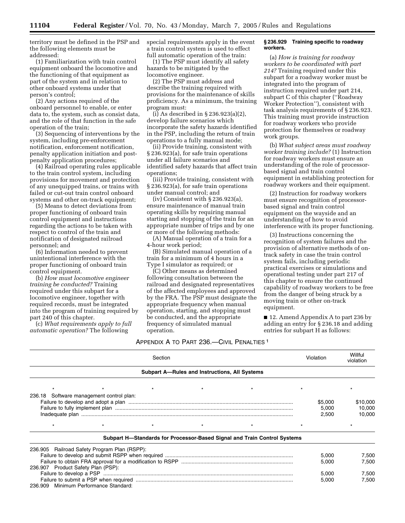territory must be defined in the PSP and the following elements must be addressed:

(1) Familiarization with train control equipment onboard the locomotive and the functioning of that equipment as part of the system and in relation to other onboard systems under that person's control;

(2) Any actions required of the onboard personnel to enable, or enter data to, the system, such as consist data, and the role of that function in the safe operation of the train;

(3) Sequencing of interventions by the system, including pre-enforcement notification, enforcement notification, penalty application initiation and postpenalty application procedures;

(4) Railroad operating rules applicable to the train control system, including provisions for movement and protection of any unequipped trains, or trains with failed or cut-out train control onboard systems and other on-track equipment;

(5) Means to detect deviations from proper functioning of onboard train control equipment and instructions regarding the actions to be taken with respect to control of the train and notification of designated railroad personnel; and

(6) Information needed to prevent unintentional interference with the proper functioning of onboard train control equipment.

(b) *How must locomotive engineer training be conducted?* Training required under this subpart for a locomotive engineer, together with required records, must be integrated into the program of training required by part 240 of this chapter.

(c) *What requirements apply to full automatic operation?* The following

special requirements apply in the event a train control system is used to effect full automatic operation of the train:

(1) The PSP must identify all safety hazards to be mitigated by the locomotive engineer.

(2) The PSP must address and describe the training required with provisions for the maintenance of skills proficiency. As a minimum, the training program must:

(i) As described in § 236.923(a)(2), develop failure scenarios which incorporate the safety hazards identified in the PSP, including the return of train operations to a fully manual mode;

(ii) Provide training, consistent with § 236.923(a), for safe train operations under all failure scenarios and identified safety hazards that affect train operations;

(iii) Provide training, consistent with § 236.923(a), for safe train operations under manual control; and

(iv) Consistent with § 236.923(a), ensure maintenance of manual train operating skills by requiring manual starting and stopping of the train for an appropriate number of trips and by one or more of the following methods:

(A) Manual operation of a train for a 4-hour work period;

(B) Simulated manual operation of a train for a minimum of 4 hours in a Type I simulator as required; or

(C) Other means as determined following consultation between the railroad and designated representatives of the affected employees and approved by the FRA. The PSP must designate the appropriate frequency when manual operation, starting, and stopping must be conducted, and the appropriate frequency of simulated manual operation.

#### **§ 236.929 Training specific to roadway workers.**

(a) *How is training for roadway workers to be coordinated with part 214?* Training required under this subpart for a roadway worker must be integrated into the program of instruction required under part 214, subpart C of this chapter (''Roadway Worker Protection''), consistent with task analysis requirements of § 236.923. This training must provide instruction for roadway workers who provide protection for themselves or roadway work groups.

(b) *What subject areas must roadway worker training include?* (1) Instruction for roadway workers must ensure an understanding of the role of processorbased signal and train control equipment in establishing protection for roadway workers and their equipment.

(2) Instruction for roadway workers must ensure recognition of processorbased signal and train control equipment on the wayside and an understanding of how to avoid interference with its proper functioning.

(3) Instructions concerning the recognition of system failures and the provision of alternative methods of ontrack safety in case the train control system fails, including periodic practical exercises or simulations and operational testing under part 217 of this chapter to ensure the continued capability of roadway workers to be free from the danger of being struck by a moving train or other on-track equipment.

■ 12. Amend Appendix A to part 236 by adding an entry for § 236.18 and adding entries for subpart H as follows:

#### APPENDIX A TO PART 236.—CIVIL PENALTIES 1

| Section                                                                            |  |  |  |                                                                          | Violation | Willful<br>violation      |                              |
|------------------------------------------------------------------------------------|--|--|--|--------------------------------------------------------------------------|-----------|---------------------------|------------------------------|
| Subpart A-Rules and Instructions, All Systems                                      |  |  |  |                                                                          |           |                           |                              |
|                                                                                    |  |  |  |                                                                          |           |                           |                              |
| 236.18 Software management control plan:                                           |  |  |  |                                                                          |           | \$5,000<br>5,000<br>2,500 | \$10,000<br>10,000<br>10,000 |
|                                                                                    |  |  |  |                                                                          |           |                           |                              |
|                                                                                    |  |  |  | Subpart H-Standards for Processor-Based Signal and Train Control Systems |           |                           |                              |
| 236.905 Railroad Safety Program Plan (RSPP):<br>236.907 Product Safety Plan (PSP): |  |  |  |                                                                          |           | 5,000<br>5.000            | 7,500<br>7.500               |
| 236.909 Minimum Performance Standard:                                              |  |  |  |                                                                          |           | 5,000<br>5,000            | 7,500<br>7.500               |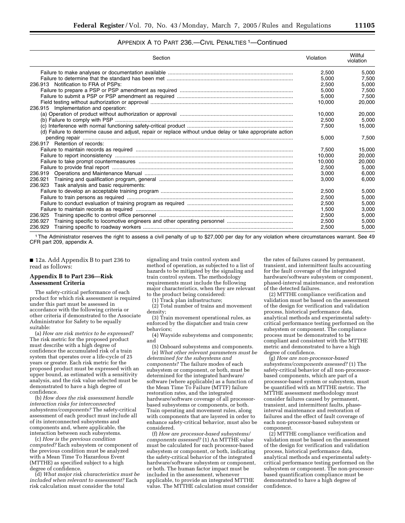#### APPENDIX A TO PART 236.—CIVIL PENALTIES 1—Continued

| Section                                                                                                     | Violation | Willful<br>violation |
|-------------------------------------------------------------------------------------------------------------|-----------|----------------------|
|                                                                                                             | 2,500     | 5.000                |
|                                                                                                             | 5.000     | 7,500                |
| 236.913 Notification to FRA of PSPs:                                                                        | 2.500     | 5,000                |
|                                                                                                             | 5.000     | 7,500                |
|                                                                                                             | 5.000     | 7.500                |
|                                                                                                             | 10,000    | 20,000               |
| 236.915 Implementation and operation:                                                                       |           |                      |
|                                                                                                             | 10.000    | 20,000               |
|                                                                                                             | 2.500     | 5,000                |
|                                                                                                             | 7.500     | 15,000               |
| (d) Failure to determine cause and adjust, repair or replace without undue delay or take appropriate action |           |                      |
|                                                                                                             | 5.000     | 7,500                |
| 236.917 Retention of records:                                                                               |           |                      |
|                                                                                                             | 7.500     | 15.000               |
|                                                                                                             | 10.000    | 20,000               |
|                                                                                                             | 10.000    | 20,000               |
|                                                                                                             | 2,500     | 5,000                |
|                                                                                                             | 3.000     | 6.000                |
|                                                                                                             | 3.000     | 6,000                |
| 236.923 Task analysis and basic requirements:                                                               |           |                      |
|                                                                                                             | 2.500     | 5.000                |
|                                                                                                             | 2,500     | 5,000                |
|                                                                                                             | 2.500     | 5,000                |
|                                                                                                             | 1,500     | 3,000                |
|                                                                                                             | 2,500     | 5,000                |
| 236.927                                                                                                     | 2.500     | 5.000                |
|                                                                                                             | 2,500     | 5,000                |

1The Administrator reserves the right to assess a civil penalty of up to \$27,000 per day for any violation where circumstances warrant. See 49 CFR part 209, appendix A.

■ 12a. Add Appendix B to part 236 to read as follows:

#### **Appendix B to Part 236—Risk Assessment Criteria**

The safety-critical performance of each product for which risk assessment is required under this part must be assessed in accordance with the following criteria or other criteria if demonstrated to the Associate Administrator for Safety to be equally suitable:

(a) *How are risk metrics to be expressed?* The risk metric for the proposed product must describe with a high degree of confidence the accumulated risk of a train system that operates over a life-cycle of 25 years or greater. Each risk metric for the proposed product must be expressed with an upper bound, as estimated with a sensitivity analysis, and the risk value selected must be demonstrated to have a high degree of confidence.

(b) *How does the risk assessment handle interaction risks for interconnected subsystems/components?* The safety-critical assessment of each product must include all of its interconnected subsystems and components and, where applicable, the interaction between such subsystems.

(c) *How is the previous condition computed?* Each subsystem or component of the previous condition must be analyzed with a Mean Time To Hazardous Event (MTTHE) as specified subject to a high degree of confidence.

(d) *What major risk characteristics must be included when relevant to assessment?* Each risk calculation must consider the total

signaling and train control system and method of operation, as subjected to a list of hazards to be mitigated by the signaling and train control system. The methodology requirements must include the following major characteristics, when they are relevant to the product being considered:

(1) Track plan infrastructure;

(2) Total number of trains and movement density;

(3) Train movement operational rules, as enforced by the dispatcher and train crew behaviors;

(4) Wayside subsystems and components; and

(5) Onboard subsystems and components. (e) *What other relevant parameters must be determined for the subsystems and components?* The failure modes of each subsystem or component, or both, must be determined for the integrated hardware/ software (where applicable) as a function of the Mean Time To Failure (MTTF) failure restoration rates, and the integrated hardware/software coverage of all processorbased subsystems or components, or both. Train operating and movement rules, along with components that are layered in order to enhance safety-critical behavior, must also be considered.

(f) *How are processor-based subsystems/ components assessed?* (1) An MTTHE value must be calculated for each processor-based subsystem or component, or both, indicating the safety-critical behavior of the integrated hardware/software subsystem or component, or both. The human factor impact must be included in the assessment, whenever applicable, to provide an integrated MTTHE value. The MTTHE calculation must consider

the rates of failures caused by permanent, transient, and intermittent faults accounting for the fault coverage of the integrated hardware/software subsystem or component, phased-interval maintenance, and restoration of the detected failures.

(2) MTTHE compliance verification and validation must be based on the assessment of the design for verification and validation process, historical performance data, analytical methods and experimental safetycritical performance testing performed on the subsystem or component. The compliance process must be demonstrated to be compliant and consistent with the MTTHE metric and demonstrated to have a high degree of confidence.

(g) *How are non-processor-based subsystems/components assessed?* (1) The safety-critical behavior of all non-processorbased components, which are part of a processor-based system or subsystem, must be quantified with an MTTHE metric. The MTTHE assessment methodology must consider failures caused by permanent, transient, and intermittent faults, phaseinterval maintenance and restoration of failures and the effect of fault coverage of each non-processor-based subsystem or component.

(2) MTTHE compliance verification and validation must be based on the assessment of the design for verification and validation process, historical performance data, analytical methods and experimental safetycritical performance testing performed on the subsystem or component. The non-processorbased quantification compliance must be demonstrated to have a high degree of confidence.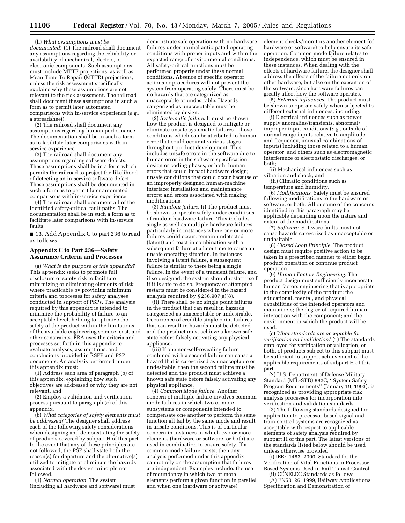(h) *What assumptions must be documented?* (1) The railroad shall document any assumptions regarding the reliability or availability of mechanical, electric, or electronic components. Such assumptions must include MTTF projections, as well as Mean Time To Repair (MTTR) projections, unless the risk assessment specifically explains why these assumptions are not relevant to the risk assessment. The railroad shall document these assumptions in such a form as to permit later automated comparisons with in-service experience (*e.g.*, a spreadsheet).

(2) The railroad shall document any assumptions regarding human performance. The documentation shall be in such a form as to facilitate later comparisons with inservice experience.

(3) The railroad shall document any assumptions regarding software defects. These assumptions shall be in a form which permits the railroad to project the likelihood of detecting an in-service software defect. These assumptions shall be documented in such a form as to permit later automated comparisons with in-service experience.

(4) The railroad shall document all of the identified safety-critical fault paths. The documentation shall be in such a form as to facilitate later comparisons with in-service faults.

■ 13. Add Appendix C to part 236 to read as follows:

#### **Appendix C to Part 236—Safety Assurance Criteria and Processes**

(a) *What is the purpose of this appendix?* This appendix seeks to promote full disclosure of safety risk to facilitate minimizing or eliminating elements of risk where practicable by providing minimum criteria and processes for safety analyses conducted in support of PSPs. The analysis required by this appendix is intended to minimize the probability of failure to an acceptable level, helping to optimize the safety of the product within the limitations of the available engineering science, cost, and other constraints. FRA uses the criteria and processes set forth in this appendix to evaluate analyses, assumptions, and conclusions provided in RSPP and PSP documents. An analysis performed under this appendix must:

(1) Address each area of paragraph (b) of this appendix, explaining how such objectives are addressed or why they are not relevant, and

(2) Employ a validation and verification process pursuant to paragraph (c) of this appendix.

(b) *What categories of safety elements must be addressed?* The designer shall address each of the following safety considerations when designing and demonstrating the safety of products covered by subpart H of this part. In the event that any of these principles are not followed, the PSP shall state both the reason(s) for departure and the alternative(s) utilized to mitigate or eliminate the hazards associated with the design principle not followed.

(1) *Normal operation*. The system (including all hardware and software) must

demonstrate safe operation with no hardware failures under normal anticipated operating conditions with proper inputs and within the expected range of environmental conditions. All safety-critical functions must be performed properly under these normal conditions. Absence of specific operator actions or procedures will not prevent the system from operating safely. There must be no hazards that are categorized as unacceptable or undesirable. Hazards categorized as unacceptable must be eliminated by design.

(2) *Systematic failure*. It must be shown how the product is designed to mitigate or eliminate unsafe systematic failures—those conditions which can be attributed to human error that could occur at various stages throughout product development. This includes unsafe errors in the software due to human error in the software specification, design or coding phases, or both; human errors that could impact hardware design; unsafe conditions that could occur because of an improperly designed human-machine interface; installation and maintenance errors; and errors associated with making modifications.

(3) *Random failure*. (i) The product must be shown to operate safely under conditions of random hardware failure. This includes single as well as multiple hardware failures, particularly in instances where one or more failures could occur, remain undetected (latent) and react in combination with a subsequent failure at a later time to cause an unsafe operating situation. In instances involving a latent failure, a subsequent failure is similar to there being a single failure. In the event of a transient failure, and if so designed, the system should restart itself if it is safe to do so. Frequency of attempted restarts must be considered in the hazard analysis required by § 236.907(a)(8).

(ii) There shall be no single point failures in the product that can result in hazards categorized as unacceptable or undesirable. Occurrence of credible single point failures that can result in hazards must be detected and the product must achieve a known safe state before falsely activating any physical appliance.

(iii) If one non-self-revealing failure combined with a second failure can cause a hazard that is categorized as unacceptable or undesirable, then the second failure must be detected and the product must achieve a known safe state before falsely activating any physical appliance.

(4) *Common Mode failure*. Another concern of multiple failure involves common mode failures in which two or more subsystems or components intended to compensate one another to perform the same function all fail by the same mode and result in unsafe conditions. This is of particular concern in instances in which two or more elements (hardware or software, or both) are used in combination to ensure safety. If a common mode failure exists, then any analysis performed under this appendix cannot rely on the assumption that failures are independent. Examples include: the use of redundancy in which two or more elements perform a given function in parallel and when one (hardware or software)

element checks/monitors another element (of hardware or software) to help ensure its safe operation. Common mode failure relates to independence, which must be ensured in these instances. When dealing with the effects of hardware failure, the designer shall address the effects of the failure not only on other hardware, but also on the execution of the software, since hardware failures can greatly affect how the software operates.

(5) *External influences*. The product must be shown to operate safely when subjected to different external influences, including:

(i) Electrical influences such as power supply anomalies/transients, abnormal/ improper input conditions (*e.g.*, outside of normal range inputs relative to amplitude and frequency, unusual combinations of inputs) including those related to a human operator, and others such as electromagnetic interference or electrostatic discharges, or both;

(ii) Mechanical influences such as vibration and shock; and

(iii) Climatic conditions such as temperature and humidity.

(6) *Modifications*. Safety must be ensured following modifications to the hardware or software, or both. All or some of the concerns identified in this paragraph may be applicable depending upon the nature and extent of the modifications.

(7) *Software.* Software faults must not cause hazards categorized as unacceptable or undesirable.

(8) *Closed Loop Principle*. The product design must require positive action to be taken in a prescribed manner to either begin product operation or continue product operation.

(9) *Human Factors Engineering:* The product design must sufficiently incorporate human factors engineering that is appropriate to the complexity of the product; the educational, mental, and physical capabilities of the intended operators and maintainers; the degree of required human interaction with the component; and the environment in which the product will be used.

(c) *What standards are acceptable for verification and validation?* (1) The standards employed for verification or validation, or both, of products subject to this subpart must be sufficient to support achievement of the applicable requirements of subpart H of this part.

(2) U.S. Department of Defense Military Standard (MIL-STD) 882C, ''System Safety Program Requirements'' (January 19, 1993), is recognized as providing appropriate risk analysis processes for incorporation into verification and validation standards.

(3) The following standards designed for application to processor-based signal and train control systems are recognized as acceptable with respect to applicable elements of safety analysis required by subpart H of this part. The latest versions of the standards listed below should be used unless otherwise provided.

(i) IEEE 1483–2000, Standard for the Verification of Vital Functions in Processor-Based Systems Used in Rail Transit Control. (ii) CENELEC Standards as follows:

(A) EN50126: 1999, Railway Applications: Specification and Demonstration of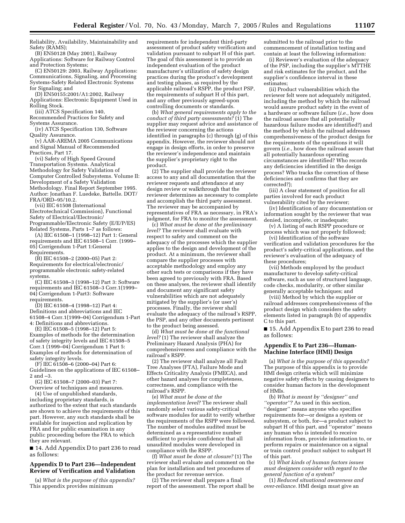Reliability, Availability, Maintainability and Safety (RAMS);

(B) EN50128 (May 2001), Railway Applications: Software for Railway Control and Protection Systems;

(C) EN50129: 2003, Railway Applications: Communications, Signaling, and Processing Systems-Safety Related Electronic Systems for Signaling; and

(D) EN50155:2001/A1:2002, Railway Applications: Electronic Equipment Used in Rolling Stock.

(iii) ATCS Specification 140,

Recommended Practices for Safety and Systems Assurance.

(iv) ATCS Specification 130, Software Quality Assurance.

(v) AAR-AREMA 2005 Communications and Signal Manual of Recommended Practices, Part 17.

(vi) Safety of High Speed Ground Transportation Systems. Analytical Methodology for Safety Validation of Computer Controlled Subsystems. Volume II: Development of a Safety Validation Methodology. Final Report September 1995. Author: Jonathan F. Luedeke, Battelle. DOT/ FRA/ORD–95/10.2.

(vii) IEC 61508 (International Electrotechnical Commission), Functional Safety of Electrical/Electronic/ Programmable/Electronic Safety (E/E/P/ES) Related Systems, Parts 1–7 as follows:

(A) IEC 61508–1 (1998–12) Part 1: General requirements and IEC 61508–1 Corr. (1999– 05) Corrigendum 1-Part 1:General Requirements.

(B) IEC 61508–2 (2000–05) Part 2: Requirements for electrical/electronic/ programmable electronic safety-related systems.

(C) IEC 61508–3 (1998–12) Part 3: Software requirements and IEC 61508–3 Corr.1(1999– 04) Corrigendum 1-Part3: Software requirements.

(D) IEC 61508–4 (1998–12) Part 4: Definitions and abbreviations and IEC 61508–4 Corr.1(1999–04) Corrigendum 1-Part 4: Definitions and abbreviations.

(E) IEC 61508–5 (1998–12) Part 5: Examples of methods for the determination of safety integrity levels and IEC 61508–5 Corr.1 (1999–04) Corrigendum 1 Part 5: Examples of methods for determination of safety integrity levels.

(F) IEC 61508–6 (2000–04) Part 6: Guidelines on the applications of IEC 61508– 2 and –3.

(G) IEC 61508–7 (2000–03) Part 7: Overview of techniques and measures.

(4) Use of unpublished standards, including proprietary standards, is authorized to the extent that such standards are shown to achieve the requirements of this part. However, any such standards shall be available for inspection and replication by FRA and for public examination in any public proceeding before the FRA to which they are relevant.

■ 14. Add Appendix D to part 236 to read as follows:

#### **Appendix D to Part 236—Independent Review of Verification and Validation**

(a) *What is the purpose of this appendix?* This appendix provides minimum

requirements for independent third-party assessment of product safety verification and validation pursuant to subpart H of this part. The goal of this assessment is to provide an independent evaluation of the product manufacturer's utilization of safety design practices during the product's development and testing phases, as required by the applicable railroad's RSPP, the product PSP, the requirements of subpart H of this part, and any other previously agreed-upon controlling documents or standards.

(b) *What general requirements apply to the conduct of third party assessments?* (1) The supplier may request advice and assistance of the reviewer concerning the actions identified in paragraphs (c) through (g) of this appendix. However, the reviewer should not engage in design efforts, in order to preserve the reviewer's independence and maintain the supplier's proprietary right to the product.

(2) The supplier shall provide the reviewer access to any and all documentation that the reviewer requests and attendance at any design review or walkthrough that the reviewer determines as necessary to complete and accomplish the third party assessment. The reviewer may be accompanied by representatives of FRA as necessary, in FRA's judgment, for FRA to monitor the assessment.

(c) *What must be done at the preliminary level?* The reviewer shall evaluate with respect to safety and comment on the adequacy of the processes which the supplier applies to the design and development of the product. At a minimum, the reviewer shall compare the supplier processes with acceptable methodology and employ any other such tests or comparisons if they have been agreed to previously with FRA. Based on these analyses, the reviewer shall identify and document any significant safety vulnerabilities which are not adequately mitigated by the supplier's (or user's) processes. Finally, the reviewer shall evaluate the adequacy of the railroad's RSPP, the PSP, and any other documents pertinent to the product being assessed.

(d) *What must be done at the functional level?* (1) The reviewer shall analyze the Preliminary Hazard Analysis (PHA) for comprehensiveness and compliance with the railroad's RSPP.

(2) The reviewer shall analyze all Fault Tree Analyses (FTA), Failure Mode and Effects Criticality Analysis (FMECA), and other hazard analyses for completeness, correctness, and compliance with the railroad's RSPP.

(e) *What must be done at the implementation level?* The reviewer shall randomly select various safety-critical software modules for audit to verify whether the requirements of the RSPP were followed. The number of modules audited must be determined as a representative number sufficient to provide confidence that all unaudited modules were developed in compliance with the RSPP.

(f) *What must be done at closure?* (1) The reviewer shall evaluate and comment on the plan for installation and test procedures of the product for revenue service.

(2) The reviewer shall prepare a final report of the assessment. The report shall be

submitted to the railroad prior to the commencement of installation testing and contain at least the following information:

(i) Reviewer's evaluation of the adequacy of the PSP, including the supplier's MTTHE and risk estimates for the product, and the supplier's confidence interval in these estimates;

(ii) Product vulnerabilities which the reviewer felt were not adequately mitigated, including the method by which the railroad would assure product safety in the event of a hardware or software failure (*i.e.*, how does the railroad assure that all potentially hazardous failure modes are identified?) and the method by which the railroad addresses comprehensiveness of the product design for the requirements of the operations it will govern (*i.e.*, how does the railroad assure that all potentially hazardous operating circumstances are identified? Who records any deficiencies identified in the design process? Who tracks the correction of these deficiencies and confirms that they are corrected?);

(iii) A clear statement of position for all parties involved for each product vulnerability cited by the reviewer;

(iv) Identification of any documentation or information sought by the reviewer that was denied, incomplete, or inadequate;

(v) A listing of each RSPP procedure or process which was not properly followed;

(vi) Identification of the software verification and validation procedures for the product's safety-critical applications, and the reviewer's evaluation of the adequacy of these procedures;

(vii) Methods employed by the product manufacturer to develop safety-critical software, such as use of structured language, code checks, modularity, or other similar generally acceptable techniques; and

(viii) Method by which the supplier or railroad addresses comprehensiveness of the product design which considers the safety elements listed in paragraph (b) of appendix C to this part.

■ 15. Add Appendix E to part 236 to read as follows:

#### **Appendix E to Part 236—Human-Machine Interface (HMI) Design**

(a) *What is the purpose of this appendix?* The purpose of this appendix is to provide HMI design criteria which will minimize negative safety effects by causing designers to consider human factors in the development of HMIs.

(b) *What is meant by ''designer'' and ''operator''?* As used in this section, ''designer'' means anyone who specifies requirements for—or designs a system or subsystem, or both, for—a product subject to subpart H of this part, and ''operator'' means any human who is intended to receive information from, provide information to, or perform repairs or maintenance on a signal or train control product subject to subpart H of this part.

(c) *What kinds of human factors issues must designers consider with regard to the general function of a system?*

(1) *Reduced situational awareness and over-reliance.* HMI design must give an